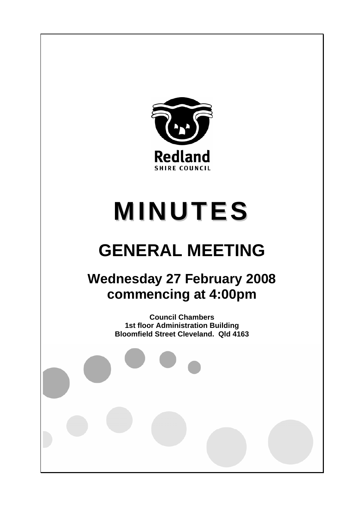

# **MINUTES**

# **GENERAL MEETING**

## **Wednesday 27 February 2008 commencing at 4:00pm**

**Council Chambers 1st floor Administration Building Bloomfield Street Cleveland. Qld 4163**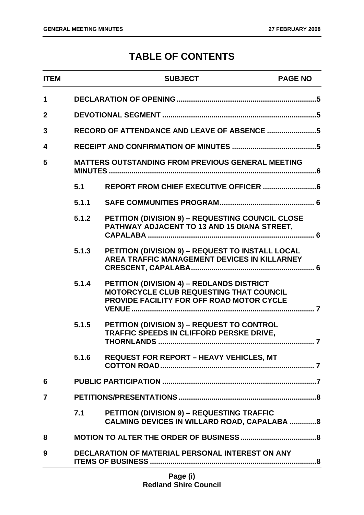### **TABLE OF CONTENTS**

| <b>ITEM</b>    |                                                         | <b>SUBJECT</b>                                                                                                                           | <b>PAGE NO</b> |
|----------------|---------------------------------------------------------|------------------------------------------------------------------------------------------------------------------------------------------|----------------|
| $\mathbf 1$    |                                                         |                                                                                                                                          |                |
| $\overline{2}$ |                                                         |                                                                                                                                          |                |
| 3              |                                                         |                                                                                                                                          |                |
| 4              |                                                         |                                                                                                                                          |                |
| 5              |                                                         | <b>MATTERS OUTSTANDING FROM PREVIOUS GENERAL MEETING</b>                                                                                 |                |
|                | 5.1                                                     |                                                                                                                                          |                |
|                | 5.1.1                                                   |                                                                                                                                          |                |
|                | 5.1.2                                                   | PETITION (DIVISION 9) - REQUESTING COUNCIL CLOSE<br>PATHWAY ADJACENT TO 13 AND 15 DIANA STREET,                                          |                |
|                | 5.1.3                                                   | PETITION (DIVISION 9) - REQUEST TO INSTALL LOCAL<br><b>AREA TRAFFIC MANAGEMENT DEVICES IN KILLARNEY</b>                                  |                |
|                | 5.1.4                                                   | PETITION (DIVISION 4) - REDLANDS DISTRICT<br><b>MOTORCYCLE CLUB REQUESTING THAT COUNCIL</b><br>PROVIDE FACILITY FOR OFF ROAD MOTOR CYCLE |                |
|                | 5.1.5                                                   | PETITION (DIVISION 3) - REQUEST TO CONTROL<br>TRAFFIC SPEEDS IN CLIFFORD PERSKE DRIVE,                                                   |                |
|                | 5.1.6                                                   | <b>REQUEST FOR REPORT - HEAVY VEHICLES, MT</b>                                                                                           |                |
| 6              |                                                         |                                                                                                                                          |                |
| 7              |                                                         |                                                                                                                                          |                |
|                | 7.1                                                     | <b>PETITION (DIVISION 9) - REQUESTING TRAFFIC</b><br><b>CALMING DEVICES IN WILLARD ROAD, CAPALABA 8</b>                                  |                |
| 8              |                                                         |                                                                                                                                          |                |
| 9              | <b>DECLARATION OF MATERIAL PERSONAL INTEREST ON ANY</b> |                                                                                                                                          |                |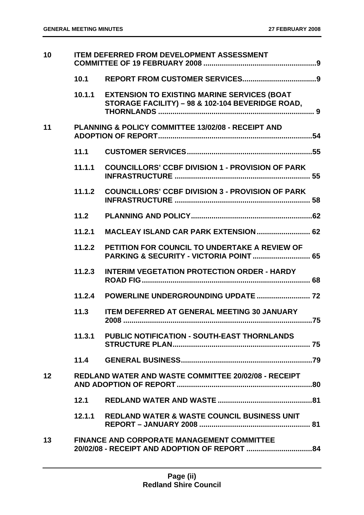| 10              | <b>ITEM DEFERRED FROM DEVELOPMENT ASSESSMENT</b> |                                                                                                        |
|-----------------|--------------------------------------------------|--------------------------------------------------------------------------------------------------------|
|                 |                                                  |                                                                                                        |
|                 | 10.1.1                                           | <b>EXTENSION TO EXISTING MARINE SERVICES (BOAT</b><br>STORAGE FACILITY) - 98 & 102-104 BEVERIDGE ROAD, |
| 11              |                                                  | PLANNING & POLICY COMMITTEE 13/02/08 - RECEIPT AND                                                     |
|                 | 11.1                                             |                                                                                                        |
|                 | 11.1.1                                           | <b>COUNCILLORS' CCBF DIVISION 1 - PROVISION OF PARK</b>                                                |
|                 | 11.1.2                                           | <b>COUNCILLORS' CCBF DIVISION 3 - PROVISION OF PARK</b>                                                |
|                 | 11.2                                             |                                                                                                        |
|                 | 11.2.1                                           | MACLEAY ISLAND CAR PARK EXTENSION  62                                                                  |
|                 | 11.2.2                                           | PETITION FOR COUNCIL TO UNDERTAKE A REVIEW OF<br>PARKING & SECURITY - VICTORIA POINT  65               |
|                 | 11.2.3                                           | <b>INTERIM VEGETATION PROTECTION ORDER - HARDY</b>                                                     |
|                 |                                                  |                                                                                                        |
|                 | 11.3                                             | <b>ITEM DEFERRED AT GENERAL MEETING 30 JANUARY</b>                                                     |
|                 |                                                  | 11.3.1 PUBLIC NOTIFICATION - SOUTH-EAST THORNLANDS                                                     |
|                 |                                                  |                                                                                                        |
| 12 <sub>2</sub> |                                                  | <b>REDLAND WATER AND WASTE COMMITTEE 20/02/08 - RECEIPT</b>                                            |
|                 | 12.1                                             |                                                                                                        |
|                 |                                                  | 12.1.1 REDLAND WATER & WASTE COUNCIL BUSINESS UNIT                                                     |
| 13              |                                                  | <b>FINANCE AND CORPORATE MANAGEMENT COMMITTEE</b>                                                      |
|                 |                                                  |                                                                                                        |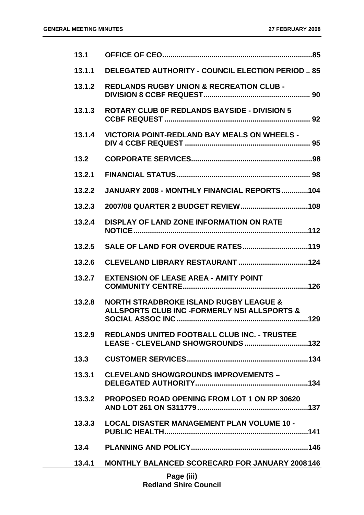| 13.1   |                                                                                                   |
|--------|---------------------------------------------------------------------------------------------------|
| 13.1.1 | <b>DELEGATED AUTHORITY - COUNCIL ELECTION PERIOD  85</b>                                          |
| 13.1.2 | <b>REDLANDS RUGBY UNION &amp; RECREATION CLUB -</b>                                               |
| 13.1.3 | <b>ROTARY CLUB OF REDLANDS BAYSIDE - DIVISION 5</b>                                               |
| 13.1.4 | <b>VICTORIA POINT-REDLAND BAY MEALS ON WHEELS -</b>                                               |
| 13.2   |                                                                                                   |
| 13.2.1 |                                                                                                   |
| 13.2.2 | JANUARY 2008 - MONTHLY FINANCIAL REPORTS104                                                       |
| 13.2.3 |                                                                                                   |
| 13.2.4 | <b>DISPLAY OF LAND ZONE INFORMATION ON RATE</b>                                                   |
| 13.2.5 |                                                                                                   |
| 13.2.6 |                                                                                                   |
| 13.2.7 | <b>EXTENSION OF LEASE AREA - AMITY POINT</b>                                                      |
| 13.2.8 | <b>NORTH STRADBROKE ISLAND RUGBY LEAGUE &amp;</b><br>ALLSPORTS CLUB INC -FORMERLY NSI ALLSPORTS & |
| 13.2.9 | <b>REDLANDS UNITED FOOTBALL CLUB INC. - TRUSTEE</b>                                               |
| 13.3   |                                                                                                   |
| 13.3.1 | <b>CLEVELAND SHOWGROUNDS IMPROVEMENTS -</b>                                                       |
| 13.3.2 | <b>PROPOSED ROAD OPENING FROM LOT 1 ON RP 30620</b>                                               |
| 13.3.3 | <b>LOCAL DISASTER MANAGEMENT PLAN VOLUME 10 -</b>                                                 |
| 13.4   |                                                                                                   |
| 13.4.1 | <b>MONTHLY BALANCED SCORECARD FOR JANUARY 2008146</b>                                             |
|        | <b>Page (iii)</b>                                                                                 |

**Page (iii) Redland Shire Council**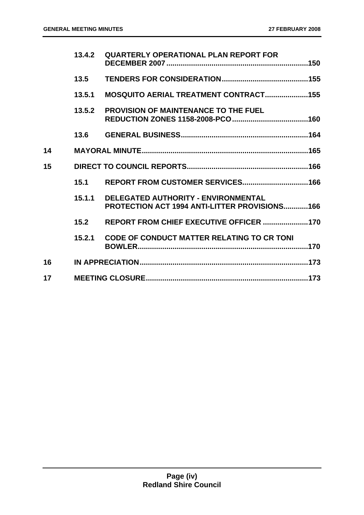|    | 13.4.2 | <b>QUARTERLY OPERATIONAL PLAN REPORT FOR</b>                                                       |  |
|----|--------|----------------------------------------------------------------------------------------------------|--|
|    | 13.5   |                                                                                                    |  |
|    | 13.5.1 | <b>MOSQUITO AERIAL TREATMENT CONTRACT155</b>                                                       |  |
|    | 13.5.2 | <b>PROVISION OF MAINTENANCE TO THE FUEL</b>                                                        |  |
|    | 13.6   |                                                                                                    |  |
| 14 |        |                                                                                                    |  |
| 15 |        |                                                                                                    |  |
|    | 15.1   |                                                                                                    |  |
|    | 15.1.1 | <b>DELEGATED AUTHORITY - ENVIRONMENTAL</b><br><b>PROTECTION ACT 1994 ANTI-LITTER PROVISIONS166</b> |  |
|    | 15.2   | REPORT FROM CHIEF EXECUTIVE OFFICER 170                                                            |  |
|    | 15.2.1 | <b>CODE OF CONDUCT MATTER RELATING TO CR TONI</b>                                                  |  |
| 16 |        |                                                                                                    |  |
| 17 |        |                                                                                                    |  |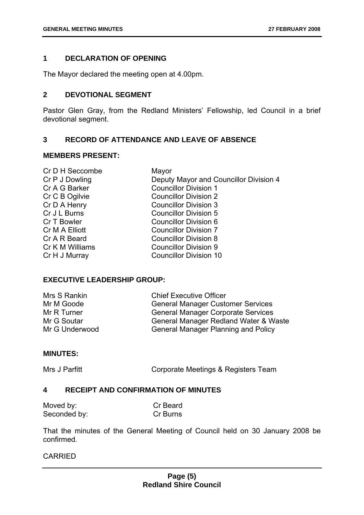#### <span id="page-5-0"></span>**1 DECLARATION OF OPENING**

The Mayor declared the meeting open at 4.00pm.

#### <span id="page-5-1"></span>**2 DEVOTIONAL SEGMENT**

Pastor Glen Gray, from the Redland Ministers' Fellowship, led Council in a brief devotional segment.

#### <span id="page-5-2"></span>**3 RECORD OF ATTENDANCE AND LEAVE OF ABSENCE**

#### **MEMBERS PRESENT:**

| Cr D H Seccombe | Mayor                                  |
|-----------------|----------------------------------------|
| Cr P J Dowling  | Deputy Mayor and Councillor Division 4 |
| Cr A G Barker   | <b>Councillor Division 1</b>           |
| Cr C B Ogilvie  | <b>Councillor Division 2</b>           |
| Cr D A Henry    | <b>Councillor Division 3</b>           |
| Cr J L Burns    | <b>Councillor Division 5</b>           |
| Cr T Bowler     | <b>Councillor Division 6</b>           |
| Cr M A Elliott  | <b>Councillor Division 7</b>           |
| Cr A R Beard    | <b>Councillor Division 8</b>           |
| Cr K M Williams | <b>Councillor Division 9</b>           |
| Cr H J Murray   | <b>Councillor Division 10</b>          |
|                 |                                        |

#### **EXECUTIVE LEADERSHIP GROUP:**

| Mrs S Rankin   | <b>Chief Executive Officer</b>             |
|----------------|--------------------------------------------|
| Mr M Goode     | <b>General Manager Customer Services</b>   |
| Mr R Turner    | <b>General Manager Corporate Services</b>  |
| Mr G Soutar    | General Manager Redland Water & Waste      |
| Mr G Underwood | <b>General Manager Planning and Policy</b> |

#### **MINUTES:**

Mrs J Parfitt **Corporate Meetings & Registers Team** 

#### <span id="page-5-3"></span>**4 RECEIPT AND CONFIRMATION OF MINUTES**

| Moved by:    | Cr Beard |
|--------------|----------|
| Seconded by: | Cr Burns |

That the minutes of the General Meeting of Council held on 30 January 2008 be confirmed.

#### CARRIED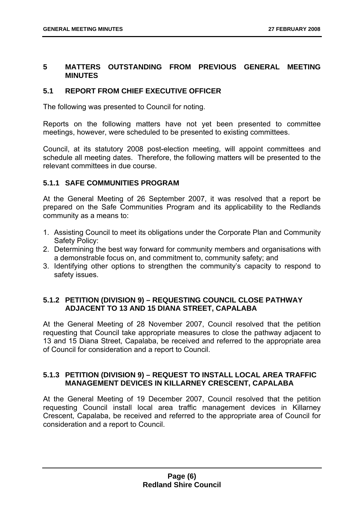#### <span id="page-6-0"></span>**5 MATTERS OUTSTANDING FROM PREVIOUS GENERAL MEETING MINUTES**

#### <span id="page-6-1"></span>**5.1 REPORT FROM CHIEF EXECUTIVE OFFICER**

The following was presented to Council for noting.

Reports on the following matters have not yet been presented to committee meetings, however, were scheduled to be presented to existing committees.

Council, at its statutory 2008 post-election meeting, will appoint committees and schedule all meeting dates. Therefore, the following matters will be presented to the relevant committees in due course.

#### <span id="page-6-2"></span>**5.1.1 SAFE COMMUNITIES PROGRAM**

At the General Meeting of 26 September 2007, it was resolved that a report be prepared on the Safe Communities Program and its applicability to the Redlands community as a means to:

- 1. Assisting Council to meet its obligations under the Corporate Plan and Community Safety Policy:
- 2. Determining the best way forward for community members and organisations with a demonstrable focus on, and commitment to, community safety; and
- 3. Identifying other options to strengthen the community's capacity to respond to safety issues.

#### <span id="page-6-3"></span>**5.1.2 PETITION (DIVISION 9) – REQUESTING COUNCIL CLOSE PATHWAY ADJACENT TO 13 AND 15 DIANA STREET, CAPALABA**

At the General Meeting of 28 November 2007, Council resolved that the petition requesting that Council take appropriate measures to close the pathway adjacent to 13 and 15 Diana Street, Capalaba, be received and referred to the appropriate area of Council for consideration and a report to Council.

#### <span id="page-6-4"></span>**5.1.3 PETITION (DIVISION 9) – REQUEST TO INSTALL LOCAL AREA TRAFFIC MANAGEMENT DEVICES IN KILLARNEY CRESCENT, CAPALABA**

At the General Meeting of 19 December 2007, Council resolved that the petition requesting Council install local area traffic management devices in Killarney Crescent, Capalaba, be received and referred to the appropriate area of Council for consideration and a report to Council.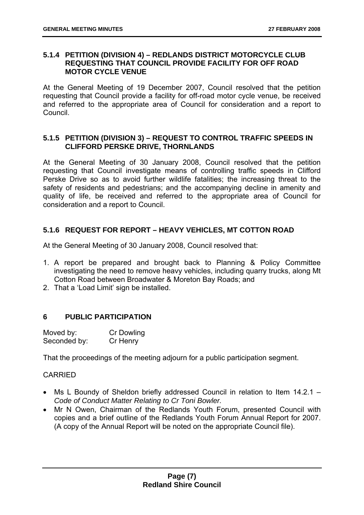#### <span id="page-7-0"></span>**5.1.4 PETITION (DIVISION 4) – REDLANDS DISTRICT MOTORCYCLE CLUB REQUESTING THAT COUNCIL PROVIDE FACILITY FOR OFF ROAD MOTOR CYCLE VENUE**

At the General Meeting of 19 December 2007, Council resolved that the petition requesting that Council provide a facility for off-road motor cycle venue, be received and referred to the appropriate area of Council for consideration and a report to Council.

#### <span id="page-7-1"></span>**5.1.5 PETITION (DIVISION 3) – REQUEST TO CONTROL TRAFFIC SPEEDS IN CLIFFORD PERSKE DRIVE, THORNLANDS**

At the General Meeting of 30 January 2008, Council resolved that the petition requesting that Council investigate means of controlling traffic speeds in Clifford Perske Drive so as to avoid further wildlife fatalities; the increasing threat to the safety of residents and pedestrians; and the accompanying decline in amenity and quality of life, be received and referred to the appropriate area of Council for consideration and a report to Council.

#### <span id="page-7-2"></span>**5.1.6 REQUEST FOR REPORT – HEAVY VEHICLES, MT COTTON ROAD**

At the General Meeting of 30 January 2008, Council resolved that:

- 1. A report be prepared and brought back to Planning & Policy Committee investigating the need to remove heavy vehicles, including quarry trucks, along Mt Cotton Road between Broadwater & Moreton Bay Roads; and
- 2. That a 'Load Limit' sign be installed.

#### <span id="page-7-3"></span>**6 PUBLIC PARTICIPATION**

| Moved by:    | Cr Dowling |
|--------------|------------|
| Seconded by: | Cr Henry   |

That the proceedings of the meeting adjourn for a public participation segment.

#### CARRIED

- Ms L Boundy of Sheldon briefly addressed Council in relation to Item 14.2.1 *Code of Conduct Matter Relating to Cr Toni Bowler.*
- Mr N Owen, Chairman of the Redlands Youth Forum, presented Council with copies and a brief outline of the Redlands Youth Forum Annual Report for 2007. (A copy of the Annual Report will be noted on the appropriate Council file).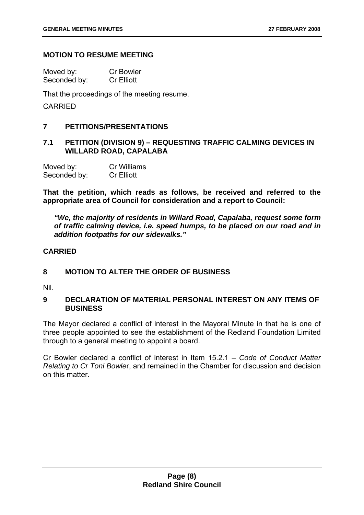#### **MOTION TO RESUME MEETING**

| Moved by:    | <b>Cr Bowler</b>  |
|--------------|-------------------|
| Seconded by: | <b>Cr Elliott</b> |

That the proceedings of the meeting resume.

CARRIED

#### <span id="page-8-0"></span>**7 PETITIONS/PRESENTATIONS**

#### <span id="page-8-1"></span>**7.1 PETITION (DIVISION 9) – REQUESTING TRAFFIC CALMING DEVICES IN WILLARD ROAD, CAPALABA**

| Moved by:    | <b>Cr Williams</b> |
|--------------|--------------------|
| Seconded by: | <b>Cr Elliott</b>  |

**That the petition, which reads as follows, be received and referred to the appropriate area of Council for consideration and a report to Council:** 

*"We, the majority of residents in Willard Road, Capalaba, request some form of traffic calming device, i.e. speed humps, to be placed on our road and in addition footpaths for our sidewalks."* 

#### **CARRIED**

#### <span id="page-8-2"></span>**8 MOTION TO ALTER THE ORDER OF BUSINESS**

Nil.

#### <span id="page-8-3"></span>**9 DECLARATION OF MATERIAL PERSONAL INTEREST ON ANY ITEMS OF BUSINESS**

The Mayor declared a conflict of interest in the Mayoral Minute in that he is one of three people appointed to see the establishment of the Redland Foundation Limited through to a general meeting to appoint a board.

Cr Bowler declared a conflict of interest in Item 15.2.1 – *Code of Conduct Matter Relating to Cr Toni Bowle*r, and remained in the Chamber for discussion and decision on this matter.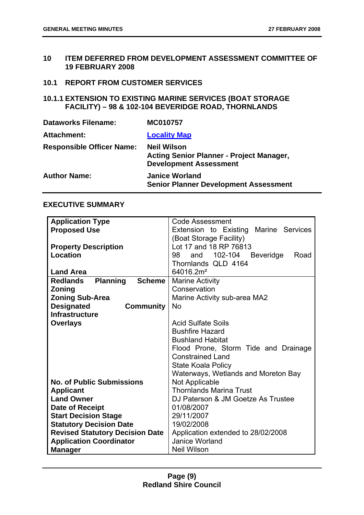#### <span id="page-9-0"></span>**10 ITEM DEFERRED FROM DEVELOPMENT ASSESSMENT COMMITTEE OF 19 FEBRUARY 2008**

#### <span id="page-9-1"></span>**10.1 REPORT FROM CUSTOMER SERVICES**

#### <span id="page-9-2"></span>**10.1.1 EXTENSION TO EXISTING MARINE SERVICES (BOAT STORAGE FACILITY) – 98 & 102-104 BEVERIDGE ROAD, THORNLANDS**

| <b>Dataworks Filename:</b>       | MC010757                                                                                               |
|----------------------------------|--------------------------------------------------------------------------------------------------------|
| Attachment:                      | <b>Locality Map</b>                                                                                    |
| <b>Responsible Officer Name:</b> | <b>Neil Wilson</b><br><b>Acting Senior Planner - Project Manager,</b><br><b>Development Assessment</b> |
| <b>Author Name:</b>              | <b>Janice Worland</b><br><b>Senior Planner Development Assessment</b>                                  |

#### **EXECUTIVE SUMMARY**

| <b>Application Type</b>                             | <b>Code Assessment</b>                           |  |
|-----------------------------------------------------|--------------------------------------------------|--|
| <b>Proposed Use</b>                                 | Extension to Existing Marine Services            |  |
|                                                     | (Boat Storage Facility)                          |  |
| <b>Property Description</b>                         | Lot 17 and 18 RP 76813                           |  |
| Location                                            | 102-104<br>98<br>and<br><b>Beveridge</b><br>Road |  |
|                                                     | Thornlands QLD 4164                              |  |
| <b>Land Area</b>                                    | 64016.2m <sup>2</sup>                            |  |
| <b>Planning</b><br><b>Scheme</b><br><b>Redlands</b> | <b>Marine Activity</b>                           |  |
| Zoning                                              | Conservation                                     |  |
| <b>Zoning Sub-Area</b>                              | Marine Activity sub-area MA2                     |  |
| <b>Designated</b><br><b>Community</b>               | <b>No</b>                                        |  |
| <b>Infrastructure</b>                               |                                                  |  |
| <b>Overlays</b>                                     | <b>Acid Sulfate Soils</b>                        |  |
|                                                     | <b>Bushfire Hazard</b>                           |  |
|                                                     | <b>Bushland Habitat</b>                          |  |
|                                                     | Flood Prone, Storm Tide and Drainage             |  |
|                                                     | <b>Constrained Land</b>                          |  |
|                                                     | State Koala Policy                               |  |
|                                                     | Waterways, Wetlands and Moreton Bay              |  |
| <b>No. of Public Submissions</b>                    | Not Applicable                                   |  |
| <b>Applicant</b>                                    | <b>Thornlands Marina Trust</b>                   |  |
| <b>Land Owner</b>                                   | DJ Paterson & JM Goetze As Trustee               |  |
| Date of Receipt                                     | 01/08/2007                                       |  |
| <b>Start Decision Stage</b>                         | 29/11/2007                                       |  |
| <b>Statutory Decision Date</b>                      | 19/02/2008                                       |  |
| <b>Revised Statutory Decision Date</b>              | Application extended to 28/02/2008               |  |
| <b>Application Coordinator</b>                      | Janice Worland                                   |  |
| <b>Manager</b>                                      | <b>Neil Wilson</b>                               |  |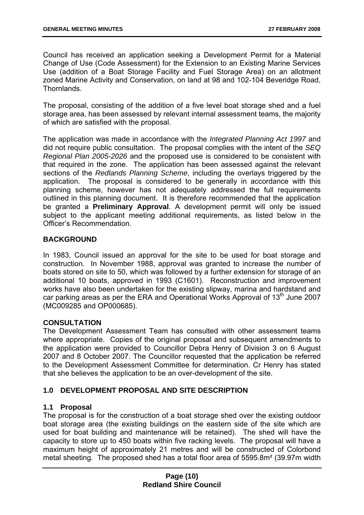Council has received an application seeking a Development Permit for a Material Change of Use (Code Assessment) for the Extension to an Existing Marine Services Use (addition of a Boat Storage Facility and Fuel Storage Area) on an allotment zoned Marine Activity and Conservation, on land at 98 and 102-104 Beveridge Road, Thornlands.

The proposal, consisting of the addition of a five level boat storage shed and a fuel storage area, has been assessed by relevant internal assessment teams, the majority of which are satisfied with the proposal.

The application was made in accordance with the *Integrated Planning Act 1997* and did not require public consultation. The proposal complies with the intent of the *SEQ Regional Plan 2005-2026* and the proposed use is considered to be consistent with that required in the zone. The application has been assessed against the relevant sections of the *Redlands Planning Scheme*, including the overlays triggered by the application. The proposal is considered to be generally in accordance with this planning scheme, however has not adequately addressed the full requirements outlined in this planning document. It is therefore recommended that the application be granted a **Preliminary Approval**. A development permit will only be issued subject to the applicant meeting additional requirements, as listed below in the Officer's Recommendation.

#### **BACKGROUND**

In 1983, Council issued an approval for the site to be used for boat storage and construction. In November 1988, approval was granted to increase the number of boats stored on site to 50, which was followed by a further extension for storage of an additional 10 boats, approved in 1993 (C1601). Reconstruction and improvement works have also been undertaken for the existing slipway, marina and hardstand and car parking areas as per the ERA and Operational Works Approval of  $13<sup>th</sup>$  June 2007 (MC009285 and OP000685).

#### **CONSULTATION**

The Development Assessment Team has consulted with other assessment teams where appropriate. Copies of the original proposal and subsequent amendments to the application were provided to Councillor Debra Henry of Division 3 on 6 August 2007 and 8 October 2007. The Councillor requested that the application be referred to the Development Assessment Committee for determination. Cr Henry has stated that she believes the application to be an over-development of the site.

#### **1.0 DEVELOPMENT PROPOSAL AND SITE DESCRIPTION**

#### **1.1 Proposal**

The proposal is for the construction of a boat storage shed over the existing outdoor boat storage area (the existing buildings on the eastern side of the site which are used for boat building and maintenance will be retained). The shed will have the capacity to store up to 450 boats within five racking levels. The proposal will have a maximum height of approximately 21 metres and will be constructed of Colorbond metal sheeting. The proposed shed has a total floor area of 5595.8m² (39.97m width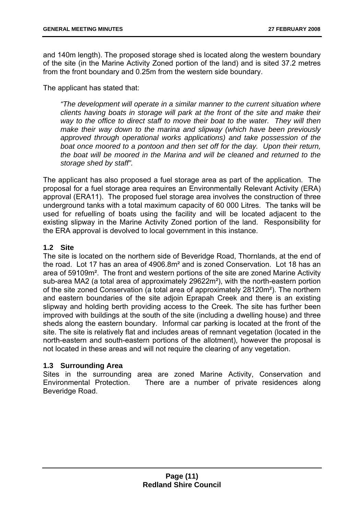and 140m length). The proposed storage shed is located along the western boundary of the site (in the Marine Activity Zoned portion of the land) and is sited 37.2 metres from the front boundary and 0.25m from the western side boundary.

The applicant has stated that:

*"The development will operate in a similar manner to the current situation where clients having boats in storage will park at the front of the site and make their way to the office to direct staff to move their boat to the water. They will then make their way down to the marina and slipway (which have been previously approved through operational works applications) and take possession of the boat once moored to a pontoon and then set off for the day. Upon their return, the boat will be moored in the Marina and will be cleaned and returned to the storage shed by staff".* 

The applicant has also proposed a fuel storage area as part of the application. The proposal for a fuel storage area requires an Environmentally Relevant Activity (ERA) approval (ERA11). The proposed fuel storage area involves the construction of three underground tanks with a total maximum capacity of 60 000 Litres. The tanks will be used for refuelling of boats using the facility and will be located adjacent to the existing slipway in the Marine Activity Zoned portion of the land. Responsibility for the ERA approval is devolved to local government in this instance.

#### **1.2 Site**

The site is located on the northern side of Beveridge Road, Thornlands, at the end of the road. Lot 17 has an area of 4906.8m² and is zoned Conservation. Lot 18 has an area of 59109m². The front and western portions of the site are zoned Marine Activity sub-area MA2 (a total area of approximately 29622m²), with the north-eastern portion of the site zoned Conservation (a total area of approximately 28120m²). The northern and eastern boundaries of the site adjoin Eprapah Creek and there is an existing slipway and holding berth providing access to the Creek. The site has further been improved with buildings at the south of the site (including a dwelling house) and three sheds along the eastern boundary. Informal car parking is located at the front of the site. The site is relatively flat and includes areas of remnant vegetation (located in the north-eastern and south-eastern portions of the allotment), however the proposal is not located in these areas and will not require the clearing of any vegetation.

#### **1.3 Surrounding Area**

Sites in the surrounding area are zoned Marine Activity, Conservation and Environmental Protection. There are a number of private residences along Beveridge Road.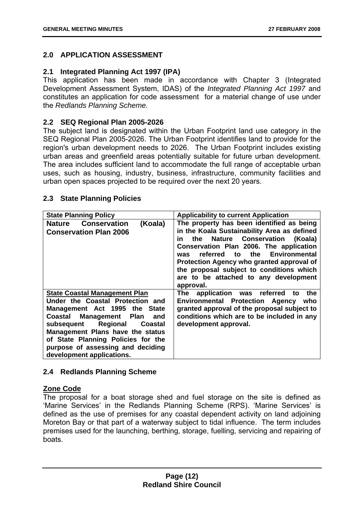#### **2.0 APPLICATION ASSESSMENT**

#### **2.1 Integrated Planning Act 1997 (IPA)**

This application has been made in accordance with Chapter 3 (Integrated Development Assessment System, IDAS) of the *Integrated Planning Act 1997* and constitutes an application for code assessment for a material change of use under the *Redlands Planning Scheme.* 

#### **2.2 SEQ Regional Plan 2005-2026**

The subject land is designated within the Urban Footprint land use category in the SEQ Regional Plan 2005-2026. The Urban Footprint identifies land to provide for the region's urban development needs to 2026. The Urban Footprint includes existing urban areas and greenfield areas potentially suitable for future urban development. The area includes sufficient land to accommodate the full range of acceptable urban uses, such as housing, industry, business, infrastructure, community facilities and urban open spaces projected to be required over the next 20 years.

| 2.5 State Fiaming Folicies                                                                                                                                                                                                                                                                                                   |                                                                                                                                                                                                                                                                                                                                                                                               |  |
|------------------------------------------------------------------------------------------------------------------------------------------------------------------------------------------------------------------------------------------------------------------------------------------------------------------------------|-----------------------------------------------------------------------------------------------------------------------------------------------------------------------------------------------------------------------------------------------------------------------------------------------------------------------------------------------------------------------------------------------|--|
| <b>State Planning Policy</b>                                                                                                                                                                                                                                                                                                 | <b>Applicability to current Application</b>                                                                                                                                                                                                                                                                                                                                                   |  |
| <b>Nature Conservation</b><br>(Koala)<br><b>Conservation Plan 2006</b>                                                                                                                                                                                                                                                       | The property has been identified as being<br>in the Koala Sustainability Area as defined<br><b>Nature Conservation</b><br>(Koala)<br>the<br>in<br>Conservation Plan 2006. The application<br><b>Environmental</b><br>the<br>referred to<br>was<br>Protection Agency who granted approval of<br>the proposal subject to conditions which<br>are to be attached to any development<br>approval. |  |
| <b>State Coastal Management Plan</b><br>Under the Coastal Protection and<br>Management Act 1995 the State<br>Coastal Management Plan<br>and<br>Regional<br>subsequent<br>Coastal<br>Management Plans have the status<br>of State Planning Policies for the<br>purpose of assessing and deciding<br>development applications. | The<br>application was referred<br>the<br>to<br><b>Environmental Protection Agency</b><br>who<br>granted approval of the proposal subject to<br>conditions which are to be included in any<br>development approval.                                                                                                                                                                           |  |

#### **2.3 State Planning Policies**

#### **2.4 Redlands Planning Scheme**

#### **Zone Code**

The proposal for a boat storage shed and fuel storage on the site is defined as 'Marine Services' in the Redlands Planning Scheme (RPS). 'Marine Services' is defined as the use of premises for any coastal dependent activity on land adjoining Moreton Bay or that part of a waterway subject to tidal influence. The term includes premises used for the launching, berthing, storage, fuelling, servicing and repairing of boats.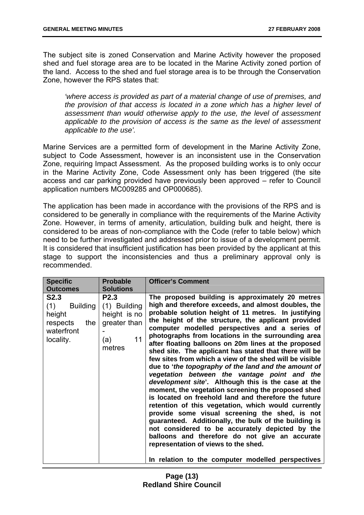The subject site is zoned Conservation and Marine Activity however the proposed shed and fuel storage area are to be located in the Marine Activity zoned portion of the land. Access to the shed and fuel storage area is to be through the Conservation Zone, however the RPS states that:

*'where access is provided as part of a material change of use of premises, and the provision of that access is located in a zone which has a higher level of assessment than would otherwise apply to the use, the level of assessment applicable to the provision of access is the same as the level of assessment applicable to the use'.* 

Marine Services are a permitted form of development in the Marine Activity Zone, subject to Code Assessment, however is an inconsistent use in the Conservation Zone, requiring Impact Assessment. As the proposed building works is to only occur in the Marine Activity Zone, Code Assessment only has been triggered (the site access and car parking provided have previously been approved – refer to Council application numbers MC009285 and OP000685).

The application has been made in accordance with the provisions of the RPS and is considered to be generally in compliance with the requirements of the Marine Activity Zone. However, in terms of amenity, articulation, building bulk and height, there is considered to be areas of non-compliance with the Code (refer to table below) which need to be further investigated and addressed prior to issue of a development permit. It is considered that insufficient justification has been provided by the applicant at this stage to support the inconsistencies and thus a preliminary approval only is recommended.

| <b>Specific</b>                                                                 | <b>Probable</b>                                                                    | <b>Officer's Comment</b>                                                                                                                                                                                                                                                                                                                                                                                                                                                                                                                                                                                                                                                                                                                                                                                                                                                                                                                                                                                                                                                                                                                                     |
|---------------------------------------------------------------------------------|------------------------------------------------------------------------------------|--------------------------------------------------------------------------------------------------------------------------------------------------------------------------------------------------------------------------------------------------------------------------------------------------------------------------------------------------------------------------------------------------------------------------------------------------------------------------------------------------------------------------------------------------------------------------------------------------------------------------------------------------------------------------------------------------------------------------------------------------------------------------------------------------------------------------------------------------------------------------------------------------------------------------------------------------------------------------------------------------------------------------------------------------------------------------------------------------------------------------------------------------------------|
| <b>Outcomes</b>                                                                 | <b>Solutions</b>                                                                   |                                                                                                                                                                                                                                                                                                                                                                                                                                                                                                                                                                                                                                                                                                                                                                                                                                                                                                                                                                                                                                                                                                                                                              |
| S2.3<br>(1)<br>Building<br>height<br>respects<br>the<br>waterfront<br>locality. | <b>P2.3</b><br>(1) Building<br>height is no<br>greater than<br>11<br>(a)<br>metres | The proposed building is approximately 20 metres<br>high and therefore exceeds, and almost doubles, the<br>probable solution height of 11 metres. In justifying<br>the height of the structure, the applicant provided<br>computer modelled perspectives and a series of<br>photographs from locations in the surrounding area<br>after floating balloons on 20m lines at the proposed<br>shed site. The applicant has stated that there will be<br>few sites from which a view of the shed will be visible<br>due to 'the topography of the land and the amount of<br>vegetation between the vantage point and the<br>development site'. Although this is the case at the<br>moment, the vegetation screening the proposed shed<br>is located on freehold land and therefore the future<br>retention of this vegetation, which would currently<br>provide some visual screening the shed, is not<br>guaranteed. Additionally, the bulk of the building is<br>not considered to be accurately depicted by the<br>balloons and therefore do not give an accurate<br>representation of views to the shed.<br>In relation to the computer modelled perspectives |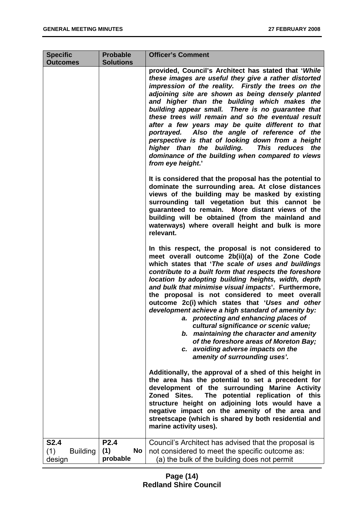| <b>Specific</b>                                 | <b>Probable</b>                      | <b>Officer's Comment</b>                                                                                                                                                                                                                                                                                                                                                                                                                                                                                                                                                                                                                                                                                                                        |  |
|-------------------------------------------------|--------------------------------------|-------------------------------------------------------------------------------------------------------------------------------------------------------------------------------------------------------------------------------------------------------------------------------------------------------------------------------------------------------------------------------------------------------------------------------------------------------------------------------------------------------------------------------------------------------------------------------------------------------------------------------------------------------------------------------------------------------------------------------------------------|--|
| <b>Outcomes</b>                                 | <b>Solutions</b>                     |                                                                                                                                                                                                                                                                                                                                                                                                                                                                                                                                                                                                                                                                                                                                                 |  |
|                                                 |                                      | provided, Council's Architect has stated that 'While<br>these images are useful they give a rather distorted<br>impression of the reality. Firstly the trees on the<br>adjoining site are shown as being densely planted<br>and higher than the building which makes the<br>building appear small. There is no guarantee that<br>these trees will remain and so the eventual result<br>after a few years may be quite different to that<br>Also the angle of reference of the<br>portrayed.<br>perspective is that of looking down from a height<br>higher than the building.<br>This reduces the<br>dominance of the building when compared to views<br>from eye height.'                                                                      |  |
|                                                 |                                      | It is considered that the proposal has the potential to<br>dominate the surrounding area. At close distances<br>views of the building may be masked by existing<br>surrounding tall vegetation but this cannot be<br>guaranteed to remain. More distant views of the<br>building will be obtained (from the mainland and<br>waterways) where overall height and bulk is more<br>relevant.                                                                                                                                                                                                                                                                                                                                                       |  |
|                                                 |                                      | In this respect, the proposal is not considered to<br>meet overall outcome 2b(ii)(a) of the Zone Code<br>which states that 'The scale of uses and buildings<br>contribute to a built form that respects the foreshore<br>location by adopting building heights, width, depth<br>and bulk that minimise visual impacts'. Furthermore,<br>the proposal is not considered to meet overall<br>outcome 2c(i) which states that 'Uses and other<br>development achieve a high standard of amenity by:<br>a. protecting and enhancing places of<br>cultural significance or scenic value;<br>b. maintaining the character and amenity<br>of the foreshore areas of Moreton Bay;<br>c. avoiding adverse impacts on the<br>amenity of surrounding uses'. |  |
|                                                 |                                      | Additionally, the approval of a shed of this height in<br>the area has the potential to set a precedent for<br>development of the surrounding Marine Activity<br>Zoned Sites.<br>The potential replication of this<br>structure height on adjoining lots would have a<br>negative impact on the amenity of the area and<br>streetscape (which is shared by both residential and<br>marine activity uses).                                                                                                                                                                                                                                                                                                                                       |  |
| <b>S2.4</b><br>(1)<br><b>Building</b><br>design | <b>P2.4</b><br>(1)<br>No<br>probable | Council's Architect has advised that the proposal is<br>not considered to meet the specific outcome as:<br>(a) the bulk of the building does not permit                                                                                                                                                                                                                                                                                                                                                                                                                                                                                                                                                                                         |  |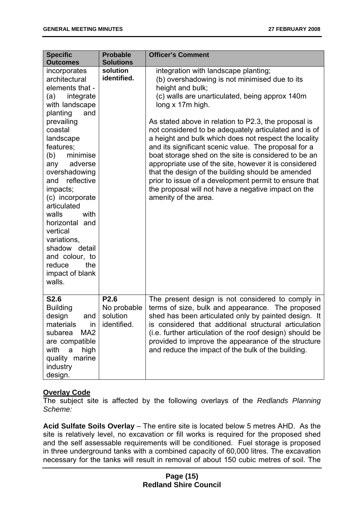| <b>Specific</b><br><b>Outcomes</b>                                                                                                                                                                                                                                                                                                                                                                                                   | <b>Probable</b><br><b>Solutions</b>                        | <b>Officer's Comment</b>                                                                                                                                                                                                                                                                                                                                                                                                                                                                                                                                                                                                                                                                                                        |
|--------------------------------------------------------------------------------------------------------------------------------------------------------------------------------------------------------------------------------------------------------------------------------------------------------------------------------------------------------------------------------------------------------------------------------------|------------------------------------------------------------|---------------------------------------------------------------------------------------------------------------------------------------------------------------------------------------------------------------------------------------------------------------------------------------------------------------------------------------------------------------------------------------------------------------------------------------------------------------------------------------------------------------------------------------------------------------------------------------------------------------------------------------------------------------------------------------------------------------------------------|
| incorporates<br>architectural<br>elements that -<br>integrate<br>(a)<br>with landscape<br>planting<br>and<br>prevailing<br>coastal<br>landscape<br>features;<br>(b)<br>minimise<br>adverse<br>any<br>overshadowing<br>reflective<br>and<br>impacts;<br>(c) incorporate<br>articulated<br>walls<br>with<br>horizontal and<br>vertical<br>variations,<br>shadow detail<br>and colour, to<br>the<br>reduce<br>impact of blank<br>walls. | solution<br>identified.                                    | integration with landscape planting;<br>(b) overshadowing is not minimised due to its<br>height and bulk;<br>(c) walls are unarticulated, being approx 140m<br>long x 17m high.<br>As stated above in relation to P2.3, the proposal is<br>not considered to be adequately articulated and is of<br>a height and bulk which does not respect the locality<br>and its significant scenic value. The proposal for a<br>boat storage shed on the site is considered to be an<br>appropriate use of the site, however it is considered<br>that the design of the building should be amended<br>prior to issue of a development permit to ensure that<br>the proposal will not have a negative impact on the<br>amenity of the area. |
| <b>S2.6</b><br><b>Building</b><br>design<br>and<br>materials<br>ın<br>MA <sub>2</sub><br>subarea<br>are compatible<br>with<br>a<br>high<br>quality marine<br>industry<br>design.                                                                                                                                                                                                                                                     | P <sub>2.6</sub><br>No probable<br>solution<br>identified. | The present design is not considered to comply in<br>terms of size, bulk and appearance. The proposed<br>shed has been articulated only by painted design. It<br>is considered that additional structural articulation<br>(i.e. further articulation of the roof design) should be<br>provided to improve the appearance of the structure<br>and reduce the impact of the bulk of the building.                                                                                                                                                                                                                                                                                                                                 |

#### **Overlay Code**

The subject site is affected by the following overlays of the *Redlands Planning Scheme:*

**Acid Sulfate Soils Overlay** – The entire site is located below 5 metres AHD. As the site is relatively level, no excavation or fill works is required for the proposed shed and the self assessable requirements will be conditioned. Fuel storage is proposed in three underground tanks with a combined capacity of 60,000 litres. The excavation necessary for the tanks will result in removal of about 150 cubic metres of soil. The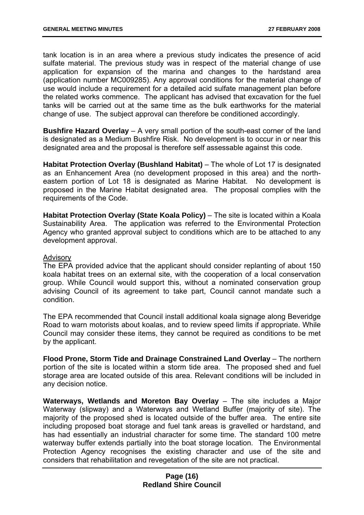tank location is in an area where a previous study indicates the presence of acid sulfate material. The previous study was in respect of the material change of use application for expansion of the marina and changes to the hardstand area (application number MC009285). Any approval conditions for the material change of use would include a requirement for a detailed acid sulfate management plan before the related works commence. The applicant has advised that excavation for the fuel tanks will be carried out at the same time as the bulk earthworks for the material change of use. The subject approval can therefore be conditioned accordingly.

**Bushfire Hazard Overlay** – A very small portion of the south-east corner of the land is designated as a Medium Bushfire Risk. No development is to occur in or near this designated area and the proposal is therefore self assessable against this code.

**Habitat Protection Overlay (Bushland Habitat)** – The whole of Lot 17 is designated as an Enhancement Area (no development proposed in this area) and the northeastern portion of Lot 18 is designated as Marine Habitat. No development is proposed in the Marine Habitat designated area. The proposal complies with the requirements of the Code.

**Habitat Protection Overlay (State Koala Policy)** – The site is located within a Koala Sustainability Area. The application was referred to the Environmental Protection Agency who granted approval subject to conditions which are to be attached to any development approval.

#### Advisory

The EPA provided advice that the applicant should consider replanting of about 150 koala habitat trees on an external site, with the cooperation of a local conservation group. While Council would support this, without a nominated conservation group advising Council of its agreement to take part, Council cannot mandate such a condition.

The EPA recommended that Council install additional koala signage along Beveridge Road to warn motorists about koalas, and to review speed limits if appropriate. While Council may consider these items, they cannot be required as conditions to be met by the applicant.

**Flood Prone, Storm Tide and Drainage Constrained Land Overlay** – The northern portion of the site is located within a storm tide area. The proposed shed and fuel storage area are located outside of this area. Relevant conditions will be included in any decision notice.

**Waterways, Wetlands and Moreton Bay Overlay** – The site includes a Major Waterway (slipway) and a Waterways and Wetland Buffer (majority of site). The majority of the proposed shed is located outside of the buffer area. The entire site including proposed boat storage and fuel tank areas is gravelled or hardstand, and has had essentially an industrial character for some time. The standard 100 metre waterway buffer extends partially into the boat storage location. The Environmental Protection Agency recognises the existing character and use of the site and considers that rehabilitation and revegetation of the site are not practical.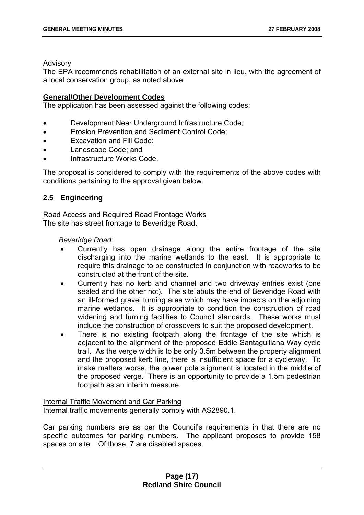#### Advisory

The EPA recommends rehabilitation of an external site in lieu, with the agreement of a local conservation group, as noted above.

#### **General/Other Development Codes**

The application has been assessed against the following codes:

- Development Near Underground Infrastructure Code;
- Erosion Prevention and Sediment Control Code;
- Excavation and Fill Code:
- Landscape Code; and
- Infrastructure Works Code.

The proposal is considered to comply with the requirements of the above codes with conditions pertaining to the approval given below.

#### **2.5 Engineering**

Road Access and Required Road Frontage Works The site has street frontage to Beveridge Road.

#### *Beveridge Road:*

- Currently has open drainage along the entire frontage of the site discharging into the marine wetlands to the east. It is appropriate to require this drainage to be constructed in conjunction with roadworks to be constructed at the front of the site.
- Currently has no kerb and channel and two driveway entries exist (one sealed and the other not). The site abuts the end of Beveridge Road with an ill-formed gravel turning area which may have impacts on the adjoining marine wetlands. It is appropriate to condition the construction of road widening and turning facilities to Council standards. These works must include the construction of crossovers to suit the proposed development.
- There is no existing footpath along the frontage of the site which is adjacent to the alignment of the proposed Eddie Santaguiliana Way cycle trail. As the verge width is to be only 3.5m between the property alignment and the proposed kerb line, there is insufficient space for a cycleway. To make matters worse, the power pole alignment is located in the middle of the proposed verge. There is an opportunity to provide a 1.5m pedestrian footpath as an interim measure.

#### Internal Traffic Movement and Car Parking Internal traffic movements generally comply with AS2890.1.

Car parking numbers are as per the Council's requirements in that there are no specific outcomes for parking numbers. The applicant proposes to provide 158 spaces on site. Of those, 7 are disabled spaces.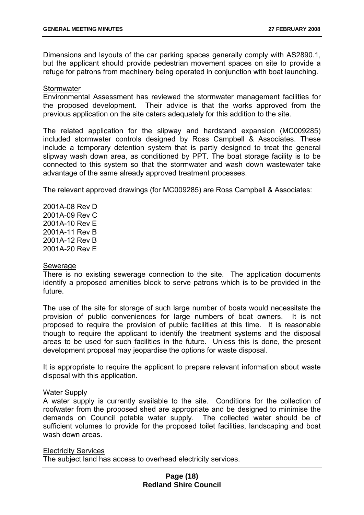Dimensions and layouts of the car parking spaces generally comply with AS2890.1, but the applicant should provide pedestrian movement spaces on site to provide a refuge for patrons from machinery being operated in conjunction with boat launching.

#### **Stormwater**

Environmental Assessment has reviewed the stormwater management facilities for the proposed development. Their advice is that the works approved from the previous application on the site caters adequately for this addition to the site.

The related application for the slipway and hardstand expansion (MC009285) included stormwater controls designed by Ross Campbell & Associates. These include a temporary detention system that is partly designed to treat the general slipway wash down area, as conditioned by PPT. The boat storage facility is to be connected to this system so that the stormwater and wash down wastewater take advantage of the same already approved treatment processes.

The relevant approved drawings (for MC009285) are Ross Campbell & Associates:

2001A-08 Rev D 2001A-09 Rev C 2001A-10 Rev E 2001A-11 Rev B 2001A-12 Rev B 2001A-20 Rev E

#### Sewerage

There is no existing sewerage connection to the site. The application documents identify a proposed amenities block to serve patrons which is to be provided in the future.

The use of the site for storage of such large number of boats would necessitate the provision of public conveniences for large numbers of boat owners. It is not proposed to require the provision of public facilities at this time. It is reasonable though to require the applicant to identify the treatment systems and the disposal areas to be used for such facilities in the future. Unless this is done, the present development proposal may jeopardise the options for waste disposal.

It is appropriate to require the applicant to prepare relevant information about waste disposal with this application.

#### Water Supply

A water supply is currently available to the site. Conditions for the collection of roofwater from the proposed shed are appropriate and be designed to minimise the demands on Council potable water supply. The collected water should be of sufficient volumes to provide for the proposed toilet facilities, landscaping and boat wash down areas.

#### Electricity Services

The subject land has access to overhead electricity services.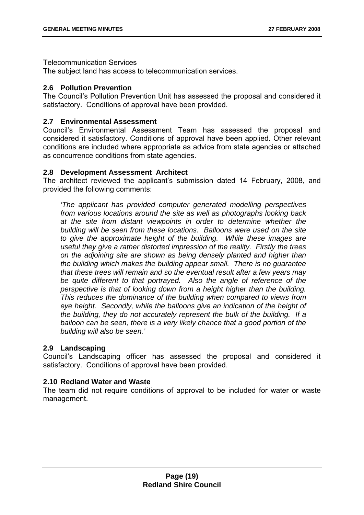#### Telecommunication Services

The subject land has access to telecommunication services.

#### **2.6 Pollution Prevention**

The Council's Pollution Prevention Unit has assessed the proposal and considered it satisfactory. Conditions of approval have been provided.

#### **2.7 Environmental Assessment**

Council's Environmental Assessment Team has assessed the proposal and considered it satisfactory. Conditions of approval have been applied. Other relevant conditions are included where appropriate as advice from state agencies or attached as concurrence conditions from state agencies.

#### **2.8 Development Assessment Architect**

The architect reviewed the applicant's submission dated 14 February, 2008, and provided the following comments:

*'The applicant has provided computer generated modelling perspectives from various locations around the site as well as photographs looking back at the site from distant viewpoints in order to determine whether the building will be seen from these locations. Balloons were used on the site to give the approximate height of the building. While these images are useful they give a rather distorted impression of the reality. Firstly the trees on the adjoining site are shown as being densely planted and higher than the building which makes the building appear small. There is no guarantee that these trees will remain and so the eventual result after a few years may be quite different to that portrayed. Also the angle of reference of the perspective is that of looking down from a height higher than the building. This reduces the dominance of the building when compared to views from*  eye height. Secondly, while the balloons give an indication of the height of *the building, they do not accurately represent the bulk of the building. If a balloon can be seen, there is a very likely chance that a good portion of the building will also be seen.'* 

#### **2.9 Landscaping**

Council's Landscaping officer has assessed the proposal and considered it satisfactory. Conditions of approval have been provided.

#### **2.10 Redland Water and Waste**

The team did not require conditions of approval to be included for water or waste management.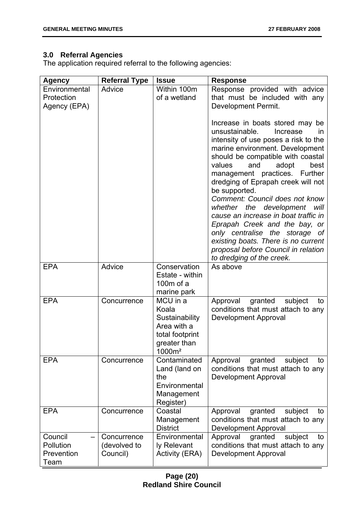#### **3.0 Referral Agencies**

The application required referral to the following agencies:

| <b>Agency</b>      | <b>Referral Type</b> | <b>Issue</b>                                                                                                               | <b>Response</b>                                                                                                                                                                                                                                                                                                                                                                                                                                                                                                                                                                                              |
|--------------------|----------------------|----------------------------------------------------------------------------------------------------------------------------|--------------------------------------------------------------------------------------------------------------------------------------------------------------------------------------------------------------------------------------------------------------------------------------------------------------------------------------------------------------------------------------------------------------------------------------------------------------------------------------------------------------------------------------------------------------------------------------------------------------|
| Environmental      | Advice               | Within 100m                                                                                                                | Response provided with advice                                                                                                                                                                                                                                                                                                                                                                                                                                                                                                                                                                                |
| Protection         |                      | of a wetland                                                                                                               | that must be included with any                                                                                                                                                                                                                                                                                                                                                                                                                                                                                                                                                                               |
| Agency (EPA)       |                      |                                                                                                                            | Development Permit.                                                                                                                                                                                                                                                                                                                                                                                                                                                                                                                                                                                          |
|                    |                      |                                                                                                                            | Increase in boats stored may be<br>unsustainable.<br>Increase<br><i>in</i><br>intensity of use poses a risk to the<br>marine environment. Development<br>should be compatible with coastal<br>values<br>adopt<br>and<br>best<br>management practices. Further<br>dredging of Eprapah creek will not<br>be supported.<br>Comment: Council does not know<br>whether the development will<br>cause an increase in boat traffic in<br>Eprapah Creek and the bay, or<br>only centralise the storage of<br>existing boats. There is no current<br>proposal before Council in relation<br>to dredging of the creek. |
| <b>EPA</b>         | Advice               | Conservation<br>Estate - within<br>$100m$ of a                                                                             | As above                                                                                                                                                                                                                                                                                                                                                                                                                                                                                                                                                                                                     |
| <b>EPA</b>         | Concurrence          | marine park<br>MCU in a<br>Koala<br>Sustainability<br>Area with a<br>total footprint<br>greater than<br>1000m <sup>2</sup> | Approval<br>granted<br>subject<br>to<br>conditions that must attach to any<br>Development Approval                                                                                                                                                                                                                                                                                                                                                                                                                                                                                                           |
| <b>EPA</b>         | Concurrence          | Contaminated<br>Land (land on<br>the<br>Environmental<br>Management<br>Register)                                           | granted<br>Approval<br>subject<br>to<br>conditions that must attach to any<br>Development Approval                                                                                                                                                                                                                                                                                                                                                                                                                                                                                                           |
| <b>EPA</b>         | Concurrence          | Coastal<br>Management<br><b>District</b>                                                                                   | Approval<br>granted<br>subject<br>to<br>conditions that must attach to any<br><b>Development Approval</b>                                                                                                                                                                                                                                                                                                                                                                                                                                                                                                    |
| Council            | Concurrence          | Environmental                                                                                                              | granted<br>Approval<br>subject<br>to                                                                                                                                                                                                                                                                                                                                                                                                                                                                                                                                                                         |
| Pollution          | (devolved to         | ly Relevant                                                                                                                | conditions that must attach to any                                                                                                                                                                                                                                                                                                                                                                                                                                                                                                                                                                           |
| Prevention<br>Team | Council)             | Activity (ERA)                                                                                                             | Development Approval                                                                                                                                                                                                                                                                                                                                                                                                                                                                                                                                                                                         |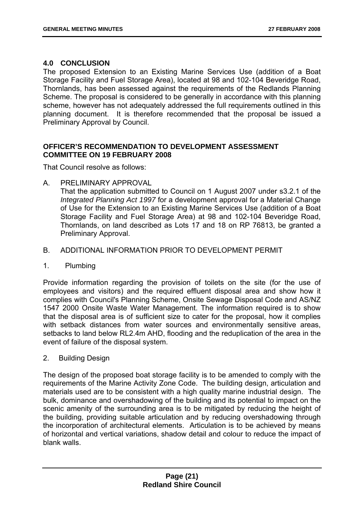#### **4.0 CONCLUSION**

The proposed Extension to an Existing Marine Services Use (addition of a Boat Storage Facility and Fuel Storage Area), located at 98 and 102-104 Beveridge Road, Thornlands, has been assessed against the requirements of the Redlands Planning Scheme. The proposal is considered to be generally in accordance with this planning scheme, however has not adequately addressed the full requirements outlined in this planning document. It is therefore recommended that the proposal be issued a Preliminary Approval by Council.

#### **OFFICER'S RECOMMENDATION TO DEVELOPMENT ASSESSMENT COMMITTEE ON 19 FEBRUARY 2008**

That Council resolve as follows:

A. PRELIMINARY APPROVAL

That the application submitted to Council on 1 August 2007 under s3.2.1 of the *Integrated Planning Act 1997* for a development approval for a Material Change of Use for the Extension to an Existing Marine Services Use (addition of a Boat Storage Facility and Fuel Storage Area) at 98 and 102-104 Beveridge Road, Thornlands, on land described as Lots 17 and 18 on RP 76813, be granted a Preliminary Approval.

#### B. ADDITIONAL INFORMATION PRIOR TO DEVELOPMENT PERMIT

1. Plumbing

Provide information regarding the provision of toilets on the site (for the use of employees and visitors) and the required effluent disposal area and show how it complies with Council's Planning Scheme, Onsite Sewage Disposal Code and AS/NZ 1547 2000 Onsite Waste Water Management. The information required is to show that the disposal area is of sufficient size to cater for the proposal, how it complies with setback distances from water sources and environmentally sensitive areas, setbacks to land below RL2.4m AHD, flooding and the reduplication of the area in the event of failure of the disposal system.

2. Building Design

The design of the proposed boat storage facility is to be amended to comply with the requirements of the Marine Activity Zone Code. The building design, articulation and materials used are to be consistent with a high quality marine industrial design. The bulk, dominance and overshadowing of the building and its potential to impact on the scenic amenity of the surrounding area is to be mitigated by reducing the height of the building, providing suitable articulation and by reducing overshadowing through the incorporation of architectural elements. Articulation is to be achieved by means of horizontal and vertical variations, shadow detail and colour to reduce the impact of blank walls.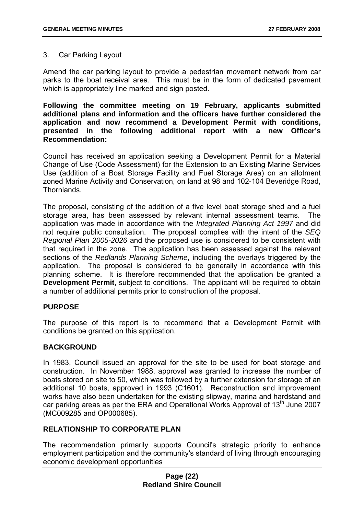#### 3. Car Parking Layout

Amend the car parking layout to provide a pedestrian movement network from car parks to the boat receival area. This must be in the form of dedicated pavement which is appropriately line marked and sign posted.

**Following the committee meeting on 19 February, applicants submitted additional plans and information and the officers have further considered the application and now recommend a Development Permit with conditions, presented in the following additional report with a new Officer's Recommendation:** 

Council has received an application seeking a Development Permit for a Material Change of Use (Code Assessment) for the Extension to an Existing Marine Services Use (addition of a Boat Storage Facility and Fuel Storage Area) on an allotment zoned Marine Activity and Conservation, on land at 98 and 102-104 Beveridge Road, Thornlands.

The proposal, consisting of the addition of a five level boat storage shed and a fuel storage area, has been assessed by relevant internal assessment teams. The application was made in accordance with the *Integrated Planning Act 1997* and did not require public consultation. The proposal complies with the intent of the *SEQ Regional Plan 2005-2026* and the proposed use is considered to be consistent with that required in the zone. The application has been assessed against the relevant sections of the *Redlands Planning Scheme*, including the overlays triggered by the application. The proposal is considered to be generally in accordance with this planning scheme. It is therefore recommended that the application be granted a **Development Permit**, subject to conditions. The applicant will be required to obtain a number of additional permits prior to construction of the proposal.

#### **PURPOSE**

The purpose of this report is to recommend that a Development Permit with conditions be granted on this application.

#### **BACKGROUND**

In 1983, Council issued an approval for the site to be used for boat storage and construction. In November 1988, approval was granted to increase the number of boats stored on site to 50, which was followed by a further extension for storage of an additional 10 boats, approved in 1993 (C1601). Reconstruction and improvement works have also been undertaken for the existing slipway, marina and hardstand and car parking areas as per the ERA and Operational Works Approval of  $13<sup>th</sup>$  June 2007 (MC009285 and OP000685).

#### **RELATIONSHIP TO CORPORATE PLAN**

The recommendation primarily supports Council's strategic priority to enhance employment participation and the community's standard of living through encouraging economic development opportunities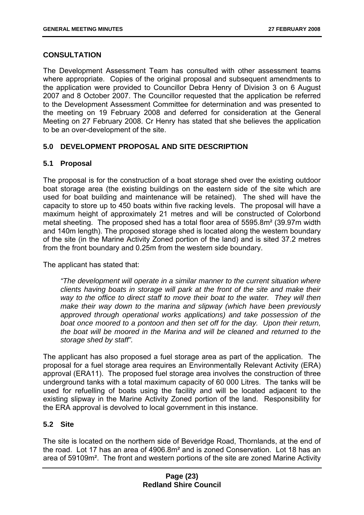#### **CONSULTATION**

The Development Assessment Team has consulted with other assessment teams where appropriate. Copies of the original proposal and subsequent amendments to the application were provided to Councillor Debra Henry of Division 3 on 6 August 2007 and 8 October 2007. The Councillor requested that the application be referred to the Development Assessment Committee for determination and was presented to the meeting on 19 February 2008 and deferred for consideration at the General Meeting on 27 February 2008. Cr Henry has stated that she believes the application to be an over-development of the site.

#### **5.0 DEVELOPMENT PROPOSAL AND SITE DESCRIPTION**

#### **5.1 Proposal**

The proposal is for the construction of a boat storage shed over the existing outdoor boat storage area (the existing buildings on the eastern side of the site which are used for boat building and maintenance will be retained). The shed will have the capacity to store up to 450 boats within five racking levels. The proposal will have a maximum height of approximately 21 metres and will be constructed of Colorbond metal sheeting. The proposed shed has a total floor area of 5595.8m² (39.97m width and 140m length). The proposed storage shed is located along the western boundary of the site (in the Marine Activity Zoned portion of the land) and is sited 37.2 metres from the front boundary and 0.25m from the western side boundary.

The applicant has stated that:

*"The development will operate in a similar manner to the current situation where clients having boats in storage will park at the front of the site and make their way to the office to direct staff to move their boat to the water. They will then make their way down to the marina and slipway (which have been previously approved through operational works applications) and take possession of the boat once moored to a pontoon and then set off for the day. Upon their return, the boat will be moored in the Marina and will be cleaned and returned to the storage shed by staff".* 

The applicant has also proposed a fuel storage area as part of the application. The proposal for a fuel storage area requires an Environmentally Relevant Activity (ERA) approval (ERA11). The proposed fuel storage area involves the construction of three underground tanks with a total maximum capacity of 60 000 Litres. The tanks will be used for refuelling of boats using the facility and will be located adjacent to the existing slipway in the Marine Activity Zoned portion of the land. Responsibility for the ERA approval is devolved to local government in this instance.

#### **5.2 Site**

The site is located on the northern side of Beveridge Road, Thornlands, at the end of the road. Lot 17 has an area of 4906.8m² and is zoned Conservation. Lot 18 has an area of 59109m². The front and western portions of the site are zoned Marine Activity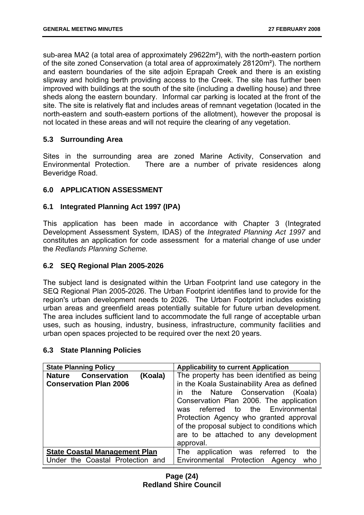sub-area MA2 (a total area of approximately 29622m²), with the north-eastern portion of the site zoned Conservation (a total area of approximately 28120m²). The northern and eastern boundaries of the site adjoin Eprapah Creek and there is an existing slipway and holding berth providing access to the Creek. The site has further been improved with buildings at the south of the site (including a dwelling house) and three sheds along the eastern boundary. Informal car parking is located at the front of the site. The site is relatively flat and includes areas of remnant vegetation (located in the north-eastern and south-eastern portions of the allotment), however the proposal is not located in these areas and will not require the clearing of any vegetation.

#### **5.3 Surrounding Area**

Sites in the surrounding area are zoned Marine Activity, Conservation and Environmental Protection. There are a number of private residences along Beveridge Road.

#### **6.0 APPLICATION ASSESSMENT**

#### **6.1 Integrated Planning Act 1997 (IPA)**

This application has been made in accordance with Chapter 3 (Integrated Development Assessment System, IDAS) of the *Integrated Planning Act 1997* and constitutes an application for code assessment for a material change of use under the *Redlands Planning Scheme.* 

#### **6.2 SEQ Regional Plan 2005-2026**

The subject land is designated within the Urban Footprint land use category in the SEQ Regional Plan 2005-2026. The Urban Footprint identifies land to provide for the region's urban development needs to 2026. The Urban Footprint includes existing urban areas and greenfield areas potentially suitable for future urban development. The area includes sufficient land to accommodate the full range of acceptable urban uses, such as housing, industry, business, infrastructure, community facilities and urban open spaces projected to be required over the next 20 years.

#### **6.3 State Planning Policies**

| <b>State Planning Policy</b>          | <b>Applicability to current Application</b> |  |
|---------------------------------------|---------------------------------------------|--|
| <b>Nature Conservation</b><br>(Koala) | The property has been identified as being   |  |
| <b>Conservation Plan 2006</b>         | in the Koala Sustainability Area as defined |  |
|                                       | in the Nature Conservation (Koala)          |  |
|                                       | Conservation Plan 2006. The application     |  |
|                                       | referred to the Environmental<br>was        |  |
|                                       | Protection Agency who granted approval      |  |
|                                       | of the proposal subject to conditions which |  |
|                                       | are to be attached to any development       |  |
|                                       | approval.                                   |  |
| <b>State Coastal Management Plan</b>  | The application was referred to<br>the      |  |
| Under the Coastal Protection and      | Environmental Protection Agency<br>who      |  |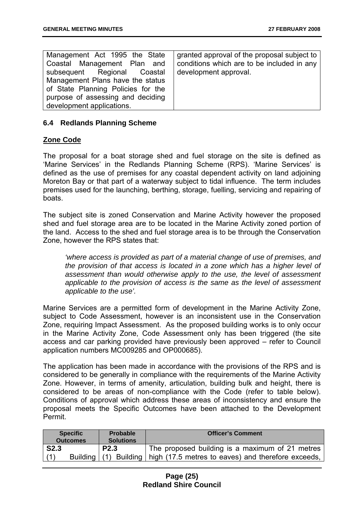| Management Act 1995 the State      | granted approval of the proposal subject to |
|------------------------------------|---------------------------------------------|
| Coastal Management Plan and        | conditions which are to be included in any  |
| subsequent Regional Coastal        | development approval.                       |
| Management Plans have the status   |                                             |
| of State Planning Policies for the |                                             |
| purpose of assessing and deciding  |                                             |
| development applications.          |                                             |

#### **6.4 Redlands Planning Scheme**

#### **Zone Code**

The proposal for a boat storage shed and fuel storage on the site is defined as 'Marine Services' in the Redlands Planning Scheme (RPS). 'Marine Services' is defined as the use of premises for any coastal dependent activity on land adjoining Moreton Bay or that part of a waterway subject to tidal influence. The term includes premises used for the launching, berthing, storage, fuelling, servicing and repairing of boats.

The subject site is zoned Conservation and Marine Activity however the proposed shed and fuel storage area are to be located in the Marine Activity zoned portion of the land. Access to the shed and fuel storage area is to be through the Conservation Zone, however the RPS states that:

*'where access is provided as part of a material change of use of premises, and the provision of that access is located in a zone which has a higher level of assessment than would otherwise apply to the use, the level of assessment applicable to the provision of access is the same as the level of assessment applicable to the use'.* 

Marine Services are a permitted form of development in the Marine Activity Zone, subject to Code Assessment, however is an inconsistent use in the Conservation Zone, requiring Impact Assessment. As the proposed building works is to only occur in the Marine Activity Zone, Code Assessment only has been triggered (the site access and car parking provided have previously been approved – refer to Council application numbers MC009285 and OP000685).

The application has been made in accordance with the provisions of the RPS and is considered to be generally in compliance with the requirements of the Marine Activity Zone. However, in terms of amenity, articulation, building bulk and height, there is considered to be areas of non-compliance with the Code (refer to table below). Conditions of approval which address these areas of inconsistency and ensure the proposal meets the Specific Outcomes have been attached to the Development Permit.

|             | <b>Specific</b><br><b>Outcomes</b> | Probable<br><b>Solutions</b> | <b>Officer's Comment</b>                                                   |
|-------------|------------------------------------|------------------------------|----------------------------------------------------------------------------|
| <b>S2.3</b> |                                    | <b>P2.3</b>                  | The proposed building is a maximum of 21 metres                            |
|             |                                    |                              | Building (1) Building   high (17.5 metres to eaves) and therefore exceeds, |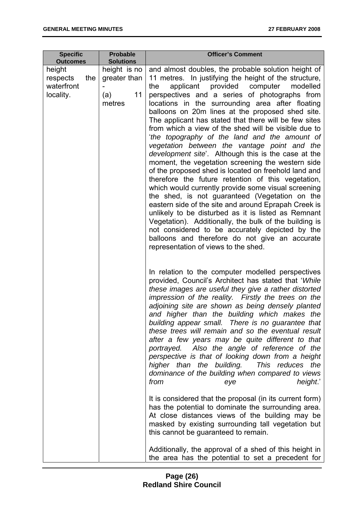| <b>Specific</b><br><b>Outcomes</b>                   | <b>Probable</b><br><b>Solutions</b>                 | <b>Officer's Comment</b>                                                                                                                                                                                                                                                                                                                                                                                                                                                                                                                                                                                                                                                                                                                                                                                                                                                                                                                                                                                                                                                                                                                                                                                         |  |
|------------------------------------------------------|-----------------------------------------------------|------------------------------------------------------------------------------------------------------------------------------------------------------------------------------------------------------------------------------------------------------------------------------------------------------------------------------------------------------------------------------------------------------------------------------------------------------------------------------------------------------------------------------------------------------------------------------------------------------------------------------------------------------------------------------------------------------------------------------------------------------------------------------------------------------------------------------------------------------------------------------------------------------------------------------------------------------------------------------------------------------------------------------------------------------------------------------------------------------------------------------------------------------------------------------------------------------------------|--|
| height<br>respects<br>the<br>waterfront<br>locality. | height is no<br>greater than<br>11<br>(a)<br>metres | and almost doubles, the probable solution height of<br>11 metres. In justifying the height of the structure,<br>provided<br>applicant<br>computer<br>modelled<br>the<br>perspectives and a series of photographs from<br>locations in the surrounding area after floating<br>balloons on 20m lines at the proposed shed site.<br>The applicant has stated that there will be few sites<br>from which a view of the shed will be visible due to<br>'the topography of the land and the amount of<br>vegetation between the vantage point and the<br><i>development site</i> '. Although this is the case at the<br>moment, the vegetation screening the western side<br>of the proposed shed is located on freehold land and<br>therefore the future retention of this vegetation,<br>which would currently provide some visual screening<br>the shed, is not guaranteed (Vegetation on the<br>eastern side of the site and around Eprapah Creek is<br>unlikely to be disturbed as it is listed as Remnant<br>Vegetation). Additionally, the bulk of the building is<br>not considered to be accurately depicted by the<br>balloons and therefore do not give an accurate<br>representation of views to the shed. |  |
|                                                      |                                                     | In relation to the computer modelled perspectives<br>provided, Council's Architect has stated that 'While<br>these images are useful they give a rather distorted<br>impression of the reality. Firstly the trees on the<br>adjoining site are shown as being densely planted<br>and higher than the building which makes the<br>building appear small. There is no guarantee that<br>these trees will remain and so the eventual result<br>after a few years may be quite different to that<br>portrayed. Also the angle of reference of the<br>perspective is that of looking down from a height<br>higher than the building. This reduces the<br>dominance of the building when compared to views<br>from<br>height'<br>eye<br>It is considered that the proposal (in its current form)<br>has the potential to dominate the surrounding area.<br>At close distances views of the building may be<br>masked by existing surrounding tall vegetation but<br>this cannot be guaranteed to remain.<br>Additionally, the approval of a shed of this height in                                                                                                                                                     |  |
|                                                      |                                                     | the area has the potential to set a precedent for                                                                                                                                                                                                                                                                                                                                                                                                                                                                                                                                                                                                                                                                                                                                                                                                                                                                                                                                                                                                                                                                                                                                                                |  |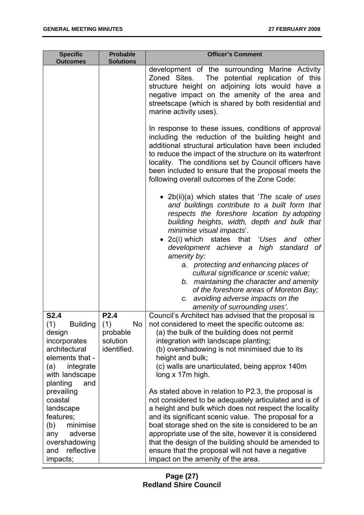| <b>Specific</b><br><b>Outcomes</b>                    | <b>Probable</b><br><b>Solutions</b> | <b>Officer's Comment</b>                                                                                                                                                                                                                                                                                                                                                                      |
|-------------------------------------------------------|-------------------------------------|-----------------------------------------------------------------------------------------------------------------------------------------------------------------------------------------------------------------------------------------------------------------------------------------------------------------------------------------------------------------------------------------------|
|                                                       |                                     | development of the surrounding Marine Activity<br>Zoned Sites. The potential replication of this<br>structure height on adjoining lots would have a<br>negative impact on the amenity of the area and<br>streetscape (which is shared by both residential and<br>marine activity uses).                                                                                                       |
|                                                       |                                     | In response to these issues, conditions of approval<br>including the reduction of the building height and<br>additional structural articulation have been included<br>to reduce the impact of the structure on its waterfront<br>locality. The conditions set by Council officers have<br>been included to ensure that the proposal meets the<br>following overall outcomes of the Zone Code: |
|                                                       |                                     | • 2b(ii)(a) which states that 'The scale of uses<br>and buildings contribute to a built form that<br>respects the foreshore location by adopting<br>building heights, width, depth and bulk that<br>minimise visual impacts'.<br>• 2c(i) which states that 'Uses and other                                                                                                                    |
|                                                       |                                     | development achieve a high standard of<br>amenity by:                                                                                                                                                                                                                                                                                                                                         |
|                                                       |                                     | a. protecting and enhancing places of<br>cultural significance or scenic value;<br>b. maintaining the character and amenity<br>of the foreshore areas of Moreton Bay;<br>c. avoiding adverse impacts on the<br>amenity of surrounding uses'.                                                                                                                                                  |
| <b>S2.4</b>                                           | P <sub>2.4</sub>                    | Council's Architect has advised that the proposal is                                                                                                                                                                                                                                                                                                                                          |
| (1)<br><b>Building</b><br>design                      | (1)<br>No<br>probable               | not considered to meet the specific outcome as:<br>(a) the bulk of the building does not permit                                                                                                                                                                                                                                                                                               |
| incorporates                                          | solution                            | integration with landscape planting;                                                                                                                                                                                                                                                                                                                                                          |
| architectural                                         | identified.                         | (b) overshadowing is not minimised due to its                                                                                                                                                                                                                                                                                                                                                 |
| elements that -<br>(a)<br>integrate<br>with landscape |                                     | height and bulk;<br>(c) walls are unarticulated, being approx 140m<br>long x 17m high.                                                                                                                                                                                                                                                                                                        |
| planting<br>and<br>prevailing                         |                                     | As stated above in relation to P2.3, the proposal is                                                                                                                                                                                                                                                                                                                                          |
| coastal                                               |                                     | not considered to be adequately articulated and is of                                                                                                                                                                                                                                                                                                                                         |
| landscape                                             |                                     | a height and bulk which does not respect the locality                                                                                                                                                                                                                                                                                                                                         |
| features;<br>(b)<br>minimise                          |                                     | and its significant scenic value. The proposal for a<br>boat storage shed on the site is considered to be an                                                                                                                                                                                                                                                                                  |
| adverse<br>any                                        |                                     | appropriate use of the site, however it is considered                                                                                                                                                                                                                                                                                                                                         |
| overshadowing<br>reflective<br>and                    |                                     | that the design of the building should be amended to<br>ensure that the proposal will not have a negative                                                                                                                                                                                                                                                                                     |
| impacts;                                              |                                     | impact on the amenity of the area.                                                                                                                                                                                                                                                                                                                                                            |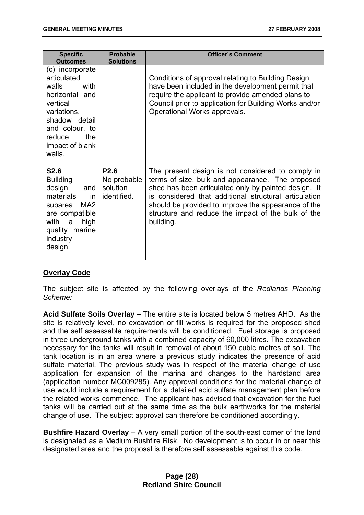| <b>Specific</b><br><b>Outcomes</b>                                                                                                                                                | <b>Probable</b><br><b>Solutions</b>                        | <b>Officer's Comment</b>                                                                                                                                                                                                                                                                                                                         |
|-----------------------------------------------------------------------------------------------------------------------------------------------------------------------------------|------------------------------------------------------------|--------------------------------------------------------------------------------------------------------------------------------------------------------------------------------------------------------------------------------------------------------------------------------------------------------------------------------------------------|
| (c) incorporate<br>articulated<br>with<br>walls<br>horizontal and<br>vertical<br>variations,<br>shadow detail<br>and colour, to<br>the<br>reduce<br>impact of blank<br>walls.     |                                                            | Conditions of approval relating to Building Design<br>have been included in the development permit that<br>require the applicant to provide amended plans to<br>Council prior to application for Building Works and/or<br>Operational Works approvals.                                                                                           |
| <b>S2.6</b><br><b>Building</b><br>design<br>and<br>materials<br>in.<br>MA <sub>2</sub><br>subarea<br>are compatible<br>with<br>high<br>a<br>quality marine<br>industry<br>design. | P <sub>2.6</sub><br>No probable<br>solution<br>identified. | The present design is not considered to comply in<br>terms of size, bulk and appearance. The proposed<br>shed has been articulated only by painted design. It<br>is considered that additional structural articulation<br>should be provided to improve the appearance of the<br>structure and reduce the impact of the bulk of the<br>building. |

#### **Overlay Code**

The subject site is affected by the following overlays of the *Redlands Planning Scheme:*

**Acid Sulfate Soils Overlay** – The entire site is located below 5 metres AHD. As the site is relatively level, no excavation or fill works is required for the proposed shed and the self assessable requirements will be conditioned. Fuel storage is proposed in three underground tanks with a combined capacity of 60,000 litres. The excavation necessary for the tanks will result in removal of about 150 cubic metres of soil. The tank location is in an area where a previous study indicates the presence of acid sulfate material. The previous study was in respect of the material change of use application for expansion of the marina and changes to the hardstand area (application number MC009285). Any approval conditions for the material change of use would include a requirement for a detailed acid sulfate management plan before the related works commence. The applicant has advised that excavation for the fuel tanks will be carried out at the same time as the bulk earthworks for the material change of use. The subject approval can therefore be conditioned accordingly.

**Bushfire Hazard Overlay** – A very small portion of the south-east corner of the land is designated as a Medium Bushfire Risk. No development is to occur in or near this designated area and the proposal is therefore self assessable against this code.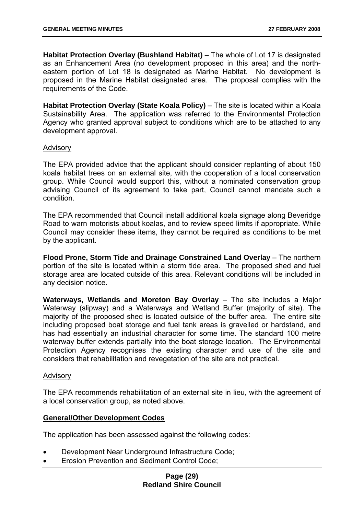**Habitat Protection Overlay (Bushland Habitat)** – The whole of Lot 17 is designated as an Enhancement Area (no development proposed in this area) and the northeastern portion of Lot 18 is designated as Marine Habitat. No development is proposed in the Marine Habitat designated area. The proposal complies with the requirements of the Code.

**Habitat Protection Overlay (State Koala Policy)** – The site is located within a Koala Sustainability Area. The application was referred to the Environmental Protection Agency who granted approval subject to conditions which are to be attached to any development approval.

#### Advisory

The EPA provided advice that the applicant should consider replanting of about 150 koala habitat trees on an external site, with the cooperation of a local conservation group. While Council would support this, without a nominated conservation group advising Council of its agreement to take part, Council cannot mandate such a condition.

The EPA recommended that Council install additional koala signage along Beveridge Road to warn motorists about koalas, and to review speed limits if appropriate. While Council may consider these items, they cannot be required as conditions to be met by the applicant.

**Flood Prone, Storm Tide and Drainage Constrained Land Overlay** – The northern portion of the site is located within a storm tide area. The proposed shed and fuel storage area are located outside of this area. Relevant conditions will be included in any decision notice.

**Waterways, Wetlands and Moreton Bay Overlay** – The site includes a Major Waterway (slipway) and a Waterways and Wetland Buffer (majority of site). The majority of the proposed shed is located outside of the buffer area. The entire site including proposed boat storage and fuel tank areas is gravelled or hardstand, and has had essentially an industrial character for some time. The standard 100 metre waterway buffer extends partially into the boat storage location. The Environmental Protection Agency recognises the existing character and use of the site and considers that rehabilitation and revegetation of the site are not practical.

#### Advisory

The EPA recommends rehabilitation of an external site in lieu, with the agreement of a local conservation group, as noted above.

#### **General/Other Development Codes**

The application has been assessed against the following codes:

- Development Near Underground Infrastructure Code;
- Erosion Prevention and Sediment Control Code;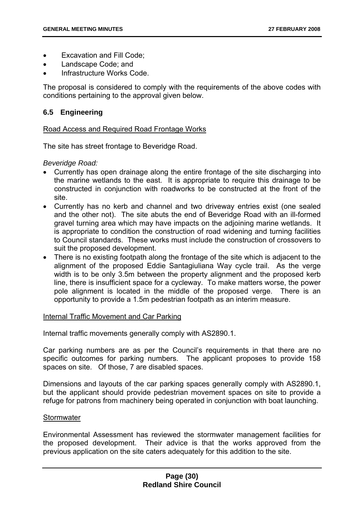- Excavation and Fill Code;
- Landscape Code; and
- Infrastructure Works Code.

The proposal is considered to comply with the requirements of the above codes with conditions pertaining to the approval given below.

#### **6.5 Engineering**

#### Road Access and Required Road Frontage Works

The site has street frontage to Beveridge Road.

*Beveridge Road:* 

- Currently has open drainage along the entire frontage of the site discharging into the marine wetlands to the east. It is appropriate to require this drainage to be constructed in conjunction with roadworks to be constructed at the front of the site.
- Currently has no kerb and channel and two driveway entries exist (one sealed and the other not). The site abuts the end of Beveridge Road with an ill-formed gravel turning area which may have impacts on the adjoining marine wetlands. It is appropriate to condition the construction of road widening and turning facilities to Council standards. These works must include the construction of crossovers to suit the proposed development.
- There is no existing footpath along the frontage of the site which is adjacent to the alignment of the proposed Eddie Santagiuliana Way cycle trail. As the verge width is to be only 3.5m between the property alignment and the proposed kerb line, there is insufficient space for a cycleway. To make matters worse, the power pole alignment is located in the middle of the proposed verge. There is an opportunity to provide a 1.5m pedestrian footpath as an interim measure.

#### Internal Traffic Movement and Car Parking

Internal traffic movements generally comply with AS2890.1.

Car parking numbers are as per the Council's requirements in that there are no specific outcomes for parking numbers. The applicant proposes to provide 158 spaces on site. Of those, 7 are disabled spaces.

Dimensions and layouts of the car parking spaces generally comply with AS2890.1, but the applicant should provide pedestrian movement spaces on site to provide a refuge for patrons from machinery being operated in conjunction with boat launching.

#### **Stormwater**

Environmental Assessment has reviewed the stormwater management facilities for the proposed development. Their advice is that the works approved from the previous application on the site caters adequately for this addition to the site.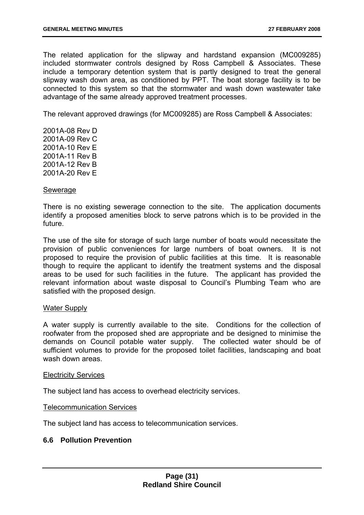The related application for the slipway and hardstand expansion (MC009285) included stormwater controls designed by Ross Campbell & Associates. These include a temporary detention system that is partly designed to treat the general slipway wash down area, as conditioned by PPT. The boat storage facility is to be connected to this system so that the stormwater and wash down wastewater take advantage of the same already approved treatment processes.

The relevant approved drawings (for MC009285) are Ross Campbell & Associates:

2001A-08 Rev D 2001A-09 Rev C 2001A-10 Rev E 2001A-11 Rev B 2001A-12 Rev B 2001A-20 Rev E

#### Sewerage

There is no existing sewerage connection to the site. The application documents identify a proposed amenities block to serve patrons which is to be provided in the future.

The use of the site for storage of such large number of boats would necessitate the provision of public conveniences for large numbers of boat owners. It is not proposed to require the provision of public facilities at this time. It is reasonable though to require the applicant to identify the treatment systems and the disposal areas to be used for such facilities in the future. The applicant has provided the relevant information about waste disposal to Council's Plumbing Team who are satisfied with the proposed design.

#### Water Supply

A water supply is currently available to the site. Conditions for the collection of roofwater from the proposed shed are appropriate and be designed to minimise the demands on Council potable water supply. The collected water should be of sufficient volumes to provide for the proposed toilet facilities, landscaping and boat wash down areas.

#### Electricity Services

The subject land has access to overhead electricity services.

#### Telecommunication Services

The subject land has access to telecommunication services.

#### **6.6 Pollution Prevention**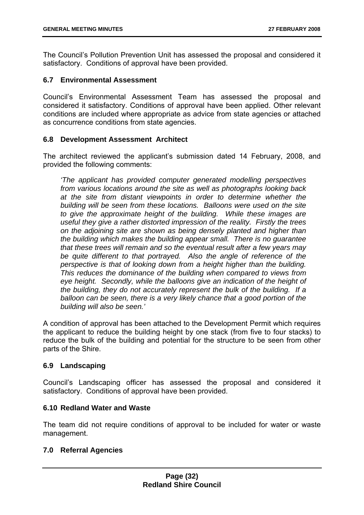The Council's Pollution Prevention Unit has assessed the proposal and considered it satisfactory. Conditions of approval have been provided.

#### **6.7 Environmental Assessment**

Council's Environmental Assessment Team has assessed the proposal and considered it satisfactory. Conditions of approval have been applied. Other relevant conditions are included where appropriate as advice from state agencies or attached as concurrence conditions from state agencies.

#### **6.8 Development Assessment Architect**

The architect reviewed the applicant's submission dated 14 February, 2008, and provided the following comments:

*'The applicant has provided computer generated modelling perspectives from various locations around the site as well as photographs looking back at the site from distant viewpoints in order to determine whether the building will be seen from these locations. Balloons were used on the site to give the approximate height of the building. While these images are useful they give a rather distorted impression of the reality. Firstly the trees on the adjoining site are shown as being densely planted and higher than the building which makes the building appear small. There is no guarantee that these trees will remain and so the eventual result after a few years may be quite different to that portrayed. Also the angle of reference of the perspective is that of looking down from a height higher than the building. This reduces the dominance of the building when compared to views from*  eye height. Secondly, while the balloons give an indication of the height of *the building, they do not accurately represent the bulk of the building. If a balloon can be seen, there is a very likely chance that a good portion of the building will also be seen.'* 

A condition of approval has been attached to the Development Permit which requires the applicant to reduce the building height by one stack (from five to four stacks) to reduce the bulk of the building and potential for the structure to be seen from other parts of the Shire.

#### **6.9 Landscaping**

Council's Landscaping officer has assessed the proposal and considered it satisfactory. Conditions of approval have been provided.

#### **6.10 Redland Water and Waste**

The team did not require conditions of approval to be included for water or waste management.

#### **7.0 Referral Agencies**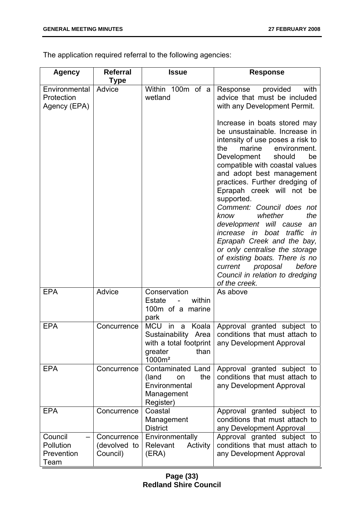The application required referral to the following agencies:

| <b>Agency</b>                               | <b>Referral</b>                         | <b>Issue</b>                                                                                                                  | <b>Response</b>                                                                                                                                                                                                                                                                                                                                                                                                                                                                                                                                                                                                                        |
|---------------------------------------------|-----------------------------------------|-------------------------------------------------------------------------------------------------------------------------------|----------------------------------------------------------------------------------------------------------------------------------------------------------------------------------------------------------------------------------------------------------------------------------------------------------------------------------------------------------------------------------------------------------------------------------------------------------------------------------------------------------------------------------------------------------------------------------------------------------------------------------------|
| Environmental<br>Protection<br>Agency (EPA) | Type<br>Advice                          | Within 100m of a<br>wetland                                                                                                   | Response<br>provided<br>with<br>advice that must be included<br>with any Development Permit.                                                                                                                                                                                                                                                                                                                                                                                                                                                                                                                                           |
|                                             |                                         |                                                                                                                               | Increase in boats stored may<br>be unsustainable. Increase in<br>intensity of use poses a risk to<br>marine<br>environment.<br>the<br>Development<br>should<br>be<br>compatible with coastal values<br>and adopt best management<br>practices. Further dredging of<br>Eprapah creek will not be<br>supported.<br>Comment: Council does not<br>the<br>know<br>whether<br>development will cause<br>an<br>boat<br>traffic<br>increase<br>in<br>in<br>Eprapah Creek and the bay,<br>or only centralise the storage<br>of existing boats. There is no<br>before<br>current<br>proposal<br>Council in relation to dredging<br>of the creek. |
| <b>EPA</b>                                  | Advice                                  | Conservation<br><b>Estate</b><br>within<br>$\qquad \qquad \blacksquare$<br>100m of a marine<br>park                           | As above                                                                                                                                                                                                                                                                                                                                                                                                                                                                                                                                                                                                                               |
| <b>EPA</b>                                  | Concurrence                             | <b>MCU</b><br>Koala<br>in<br>- a<br>Sustainability<br>Area<br>with a total footprint<br>than<br>greater<br>1000m <sup>2</sup> | Approval granted subject to<br>conditions that must attach to<br>any Development Approval                                                                                                                                                                                                                                                                                                                                                                                                                                                                                                                                              |
| <b>EPA</b>                                  | Concurrence                             | Contaminated Land<br>the<br>(land<br>on<br>Environmental<br>Management<br>Register)                                           | Approval granted subject to<br>conditions that must attach to<br>any Development Approval                                                                                                                                                                                                                                                                                                                                                                                                                                                                                                                                              |
| <b>EPA</b>                                  | Concurrence                             | Coastal<br>Management<br><b>District</b>                                                                                      | Approval granted subject to<br>conditions that must attach to<br>any Development Approval                                                                                                                                                                                                                                                                                                                                                                                                                                                                                                                                              |
| Council<br>Pollution<br>Prevention<br>Team  | Concurrence<br>(devolved to<br>Council) | Environmentally<br>Relevant<br>Activity<br>(ERA)                                                                              | Approval granted subject to<br>conditions that must attach to<br>any Development Approval                                                                                                                                                                                                                                                                                                                                                                                                                                                                                                                                              |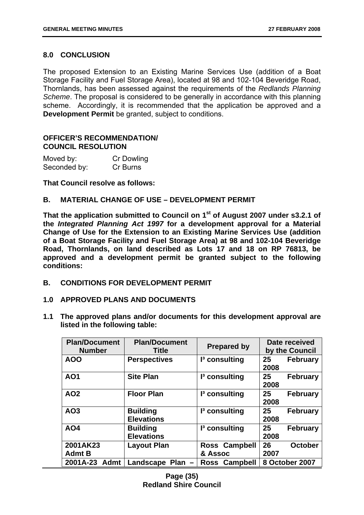#### **8.0 CONCLUSION**

The proposed Extension to an Existing Marine Services Use (addition of a Boat Storage Facility and Fuel Storage Area), located at 98 and 102-104 Beveridge Road, Thornlands, has been assessed against the requirements of the *Redlands Planning Scheme*. The proposal is considered to be generally in accordance with this planning scheme. Accordingly, it is recommended that the application be approved and a **Development Permit** be granted, subject to conditions.

#### **OFFICER'S RECOMMENDATION/ COUNCIL RESOLUTION**

| Moved by:    | <b>Cr Dowling</b> |
|--------------|-------------------|
| Seconded by: | Cr Burns          |

**That Council resolve as follows:** 

#### **B. MATERIAL CHANGE OF USE – DEVELOPMENT PERMIT**

That the application submitted to Council on 1<sup>st</sup> of August 2007 under s3.2.1 of **the** *Integrated Planning Act 1997* **for a development approval for a Material Change of Use for the Extension to an Existing Marine Services Use (addition of a Boat Storage Facility and Fuel Storage Area) at 98 and 102-104 Beveridge Road, Thornlands, on land described as Lots 17 and 18 on RP 76813, be approved and a development permit be granted subject to the following conditions:** 

- **B. CONDITIONS FOR DEVELOPMENT PERMIT**
- **1.0 APPROVED PLANS AND DOCUMENTS**
- **1.1 The approved plans and/or documents for this development approval are listed in the following table:**

| <b>Plan/Document</b><br><b>Number</b> | <b>Plan/Document</b><br><b>Title</b> | <b>Prepared by</b>       | Date received<br>by the Council |
|---------------------------------------|--------------------------------------|--------------------------|---------------------------------|
| <b>AOO</b>                            | <b>Perspectives</b>                  | $I3$ consulting          | 25<br><b>February</b><br>2008   |
| <b>AO1</b>                            | <b>Site Plan</b>                     | $I3$ consulting          | 25<br><b>February</b><br>2008   |
| <b>AO2</b>                            | <b>Floor Plan</b>                    | $I3$ consulting          | 25<br><b>February</b><br>2008   |
| AO3                                   | <b>Building</b><br><b>Elevations</b> | $I3$ consulting          | 25<br><b>February</b><br>2008   |
| AO4                                   | <b>Building</b><br><b>Elevations</b> | $I3$ consulting          | 25<br><b>February</b><br>2008   |
| 2001AK23<br><b>Admt B</b>             | <b>Layout Plan</b>                   | Ross Campbell<br>& Assoc | 26<br><b>October</b><br>2007    |
| 2001A-23<br>Admt                      | Landscape<br><b>Plan</b>             | Ross Campbell            | 8 October 2007                  |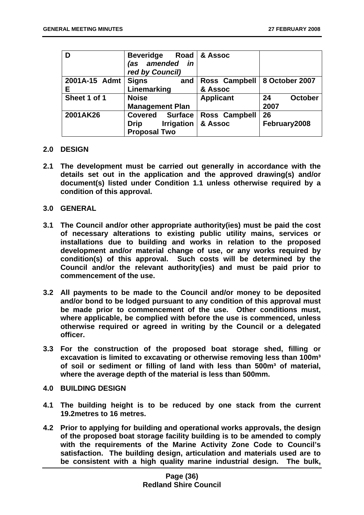| D             | <b>Beveridge</b><br>amended<br>in<br>(as<br>red by Council) | Road   & Assoc                 |                      |
|---------------|-------------------------------------------------------------|--------------------------------|----------------------|
| 2001A-15 Admt | <b>Signs</b><br>and                                         | Ross Campbell   8 October 2007 |                      |
| Ε             | Linemarking                                                 | & Assoc                        |                      |
| Sheet 1 of 1  | <b>Noise</b>                                                | <b>Applicant</b>               | <b>October</b><br>24 |
|               | <b>Management Plan</b>                                      |                                | 2007                 |
| 2001AK26      | <b>Covered</b><br><b>Surface</b>                            | Ross Campbell                  | 26                   |
|               | <b>Irrigation</b><br><b>Drip</b>                            | & Assoc                        | February2008         |
|               | <b>Proposal Two</b>                                         |                                |                      |

#### **2.0 DESIGN**

- **2.1 The development must be carried out generally in accordance with the details set out in the application and the approved drawing(s) and/or document(s) listed under Condition 1.1 unless otherwise required by a condition of this approval.**
- **3.0 GENERAL**
- **3.1 The Council and/or other appropriate authority(ies) must be paid the cost of necessary alterations to existing public utility mains, services or installations due to building and works in relation to the proposed development and/or material change of use, or any works required by condition(s) of this approval. Such costs will be determined by the Council and/or the relevant authority(ies) and must be paid prior to commencement of the use.**
- **3.2 All payments to be made to the Council and/or money to be deposited and/or bond to be lodged pursuant to any condition of this approval must be made prior to commencement of the use. Other conditions must, where applicable, be complied with before the use is commenced, unless otherwise required or agreed in writing by the Council or a delegated officer.**
- **3.3 For the construction of the proposed boat storage shed, filling or excavation is limited to excavating or otherwise removing less than 100m³**  of soil or sediment or filling of land with less than 500m<sup>3</sup> of material, **where the average depth of the material is less than 500mm.**
- **4.0 BUILDING DESIGN**
- **4.1 The building height is to be reduced by one stack from the current 19.2metres to 16 metres.**
- **4.2 Prior to applying for building and operational works approvals, the design of the proposed boat storage facility building is to be amended to comply with the requirements of the Marine Activity Zone Code to Council's satisfaction. The building design, articulation and materials used are to be consistent with a high quality marine industrial design. The bulk,**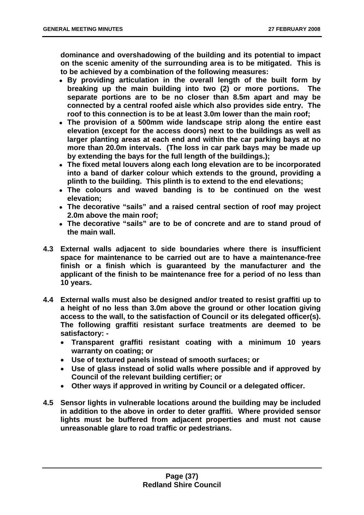**dominance and overshadowing of the building and its potential to impact on the scenic amenity of the surrounding area is to be mitigated. This is to be achieved by a combination of the following measures:** 

- **By providing articulation in the overall length of the built form by breaking up the main building into two (2) or more portions. The separate portions are to be no closer than 8.5m apart and may be connected by a central roofed aisle which also provides side entry. The roof to this connection is to be at least 3.0m lower than the main roof;**
- **The provision of a 500mm wide landscape strip along the entire east elevation (except for the access doors) next to the buildings as well as larger planting areas at each end and within the car parking bays at no more than 20.0m intervals. (The loss in car park bays may be made up by extending the bays for the full length of the buildings.);**
- **The fixed metal louvers along each long elevation are to be incorporated into a band of darker colour which extends to the ground, providing a plinth to the building. This plinth is to extend to the end elevations;**
- **The colours and waved banding is to be continued on the west elevation;**
- **The decorative "sails" and a raised central section of roof may project 2.0m above the main roof;**
- **The decorative "sails" are to be of concrete and are to stand proud of the main wall.**
- **4.3 External walls adjacent to side boundaries where there is insufficient space for maintenance to be carried out are to have a maintenance-free finish or a finish which is guaranteed by the manufacturer and the applicant of the finish to be maintenance free for a period of no less than 10 years.**
- **4.4 External walls must also be designed and/or treated to resist graffiti up to a height of no less than 3.0m above the ground or other location giving access to the wall, to the satisfaction of Council or its delegated officer(s). The following graffiti resistant surface treatments are deemed to be satisfactory: -** 
	- **Transparent graffiti resistant coating with a minimum 10 years warranty on coating; or**
	- **Use of textured panels instead of smooth surfaces; or**
	- **Use of glass instead of solid walls where possible and if approved by Council of the relevant building certifier; or**
	- **Other ways if approved in writing by Council or a delegated officer.**
- **4.5 Sensor lights in vulnerable locations around the building may be included in addition to the above in order to deter graffiti. Where provided sensor lights must be buffered from adjacent properties and must not cause unreasonable glare to road traffic or pedestrians.**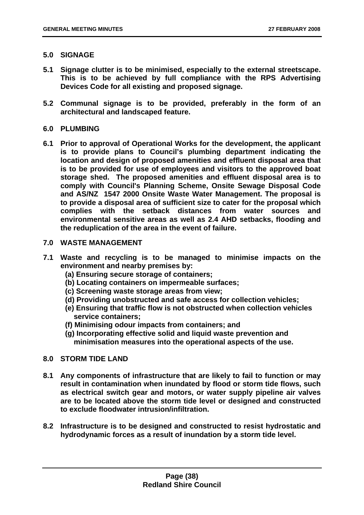## **5.0 SIGNAGE**

- **5.1 Signage clutter is to be minimised, especially to the external streetscape. This is to be achieved by full compliance with the RPS Advertising Devices Code for all existing and proposed signage.**
- **5.2 Communal signage is to be provided, preferably in the form of an architectural and landscaped feature.**

### **6.0 PLUMBING**

**6.1 Prior to approval of Operational Works for the development, the applicant is to provide plans to Council's plumbing department indicating the location and design of proposed amenities and effluent disposal area that is to be provided for use of employees and visitors to the approved boat storage shed. The proposed amenities and effluent disposal area is to comply with Council's Planning Scheme, Onsite Sewage Disposal Code and AS/NZ 1547 2000 Onsite Waste Water Management. The proposal is to provide a disposal area of sufficient size to cater for the proposal which complies with the setback distances from water sources and environmental sensitive areas as well as 2.4 AHD setbacks, flooding and the reduplication of the area in the event of failure.** 

### **7.0 WASTE MANAGEMENT**

- **7.1 Waste and recycling is to be managed to minimise impacts on the environment and nearby premises by:** 
	- **(a) Ensuring secure storage of containers;**
	- **(b) Locating containers on impermeable surfaces;**
	- **(c) Screening waste storage areas from view;**
	- **(d) Providing unobstructed and safe access for collection vehicles;**
	- **(e) Ensuring that traffic flow is not obstructed when collection vehicles service containers;**
	- **(f) Minimising odour impacts from containers; and**
	- **(g) Incorporating effective solid and liquid waste prevention and minimisation measures into the operational aspects of the use.**

# **8.0 STORM TIDE LAND**

- **8.1 Any components of infrastructure that are likely to fail to function or may result in contamination when inundated by flood or storm tide flows, such as electrical switch gear and motors, or water supply pipeline air valves are to be located above the storm tide level or designed and constructed to exclude floodwater intrusion/infiltration.**
- **8.2 Infrastructure is to be designed and constructed to resist hydrostatic and hydrodynamic forces as a result of inundation by a storm tide level.**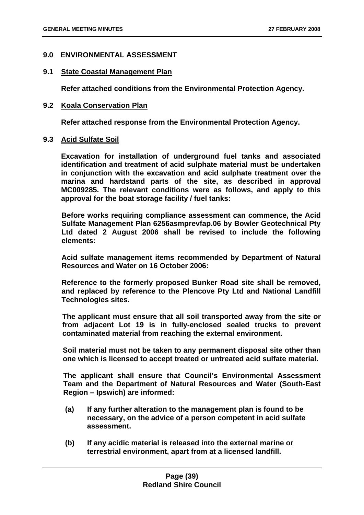### **9.0 ENVIRONMENTAL ASSESSMENT**

#### **9.1 State Coastal Management Plan**

 **Refer attached conditions from the Environmental Protection Agency.** 

#### **9.2 Koala Conservation Plan**

 **Refer attached response from the Environmental Protection Agency.** 

#### **9.3 Acid Sulfate Soil**

 **Excavation for installation of underground fuel tanks and associated identification and treatment of acid sulphate material must be undertaken in conjunction with the excavation and acid sulphate treatment over the marina and hardstand parts of the site, as described in approval MC009285. The relevant conditions were as follows, and apply to this approval for the boat storage facility / fuel tanks:** 

 **Before works requiring compliance assessment can commence, the Acid Sulfate Management Plan 6256asmprevfap.06 by Bowler Geotechnical Pty Ltd dated 2 August 2006 shall be revised to include the following elements:** 

 **Acid sulfate management items recommended by Department of Natural Resources and Water on 16 October 2006:** 

 **Reference to the formerly proposed Bunker Road site shall be removed, and replaced by reference to the Plencove Pty Ltd and National Landfill Technologies sites.** 

 **The applicant must ensure that all soil transported away from the site or from adjacent Lot 19 is in fully-enclosed sealed trucks to prevent contaminated material from reaching the external environment.** 

 **Soil material must not be taken to any permanent disposal site other than one which is licensed to accept treated or untreated acid sulfate material.** 

 **The applicant shall ensure that Council's Environmental Assessment Team and the Department of Natural Resources and Water (South-East Region – Ipswich) are informed:** 

- **(a) If any further alteration to the management plan is found to be necessary, on the advice of a person competent in acid sulfate assessment.**
- **(b) If any acidic material is released into the external marine or terrestrial environment, apart from at a licensed landfill.**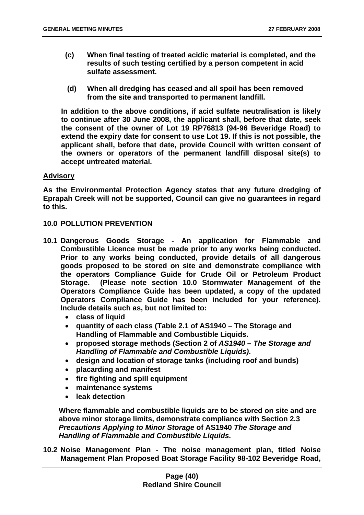- **(c) When final testing of treated acidic material is completed, and the results of such testing certified by a person competent in acid sulfate assessment.**
- **(d) When all dredging has ceased and all spoil has been removed from the site and transported to permanent landfill.**

 **In addition to the above conditions, if acid sulfate neutralisation is likely to continue after 30 June 2008, the applicant shall, before that date, seek the consent of the owner of Lot 19 RP76813 (94-96 Beveridge Road) to extend the expiry date for consent to use Lot 19. If this is not possible, the applicant shall, before that date, provide Council with written consent of the owners or operators of the permanent landfill disposal site(s) to accept untreated material.** 

### **Advisory**

**As the Environmental Protection Agency states that any future dredging of Eprapah Creek will not be supported, Council can give no guarantees in regard to this.** 

#### **10.0 POLLUTION PREVENTION**

- **10.1 Dangerous Goods Storage An application for Flammable and Combustible Licence must be made prior to any works being conducted. Prior to any works being conducted, provide details of all dangerous goods proposed to be stored on site and demonstrate compliance with the operators Compliance Guide for Crude Oil or Petroleum Product Storage. (Please note section 10.0 Stormwater Management of the Operators Compliance Guide has been updated, a copy of the updated Operators Compliance Guide has been included for your reference). Include details such as, but not limited to:** 
	- **class of liquid**
	- **quantity of each class (Table 2.1 of AS1940 The Storage and Handling of Flammable and Combustible Liquids.**
	- **proposed storage methods (Section 2 of** *AS1940 The Storage and Handling of Flammable and Combustible Liquids)***.**
	- **design and location of storage tanks (including roof and bunds)**
	- **placarding and manifest**
	- **fire fighting and spill equipment**
	- **maintenance systems**
	- **leak detection**

**Where flammable and combustible liquids are to be stored on site and are above minor storage limits, demonstrate compliance with Section 2.3**  *Precautions Applying to Minor Storage* **of AS1940** *The Storage and Handling of Flammable and Combustible Liquids.* 

**10.2 Noise Management Plan - The noise management plan, titled Noise Management Plan Proposed Boat Storage Facility 98-102 Beveridge Road,**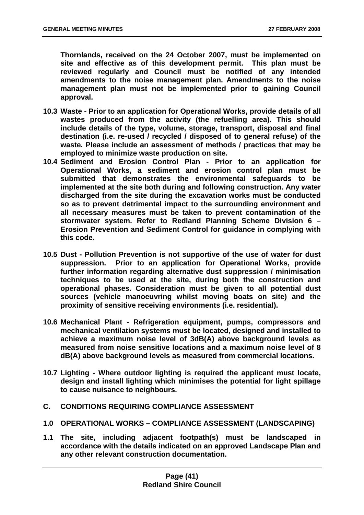**Thornlands, received on the 24 October 2007, must be implemented on site and effective as of this development permit. This plan must be reviewed regularly and Council must be notified of any intended amendments to the noise management plan. Amendments to the noise management plan must not be implemented prior to gaining Council approval.** 

- **10.3 Waste Prior to an application for Operational Works, provide details of all wastes produced from the activity (the refuelling area). This should include details of the type, volume, storage, transport, disposal and final destination (i.e. re-used / recycled / disposed of to general refuse) of the waste. Please include an assessment of methods / practices that may be employed to minimize waste production on site.**
- **10.4 Sediment and Erosion Control Plan Prior to an application for Operational Works, a sediment and erosion control plan must be submitted that demonstrates the environmental safeguards to be implemented at the site both during and following construction. Any water discharged from the site during the excavation works must be conducted so as to prevent detrimental impact to the surrounding environment and all necessary measures must be taken to prevent contamination of the stormwater system. Refer to Redland Planning Scheme Division 6 – Erosion Prevention and Sediment Control for guidance in complying with this code.**
- **10.5 Dust Pollution Prevention is not supportive of the use of water for dust suppression. Prior to an application for Operational Works, provide further information regarding alternative dust suppression / minimisation techniques to be used at the site, during both the construction and operational phases. Consideration must be given to all potential dust sources (vehicle manoeuvring whilst moving boats on site) and the proximity of sensitive receiving environments (i.e. residential).**
- **10.6 Mechanical Plant Refrigeration equipment, pumps, compressors and mechanical ventilation systems must be located, designed and installed to achieve a maximum noise level of 3dB(A) above background levels as measured from noise sensitive locations and a maximum noise level of 8 dB(A) above background levels as measured from commercial locations.**
- **10.7 Lighting Where outdoor lighting is required the applicant must locate, design and install lighting which minimises the potential for light spillage to cause nuisance to neighbours.**
- **C. CONDITIONS REQUIRING COMPLIANCE ASSESSMENT**
- **1.0 OPERATIONAL WORKS COMPLIANCE ASSESSMENT (LANDSCAPING)**
- **1.1 The site, including adjacent footpath(s) must be landscaped in accordance with the details indicated on an approved Landscape Plan and any other relevant construction documentation.**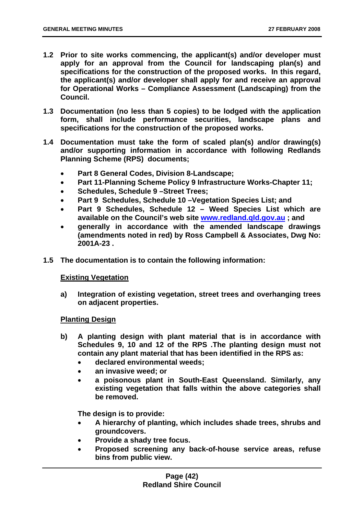- **1.2 Prior to site works commencing, the applicant(s) and/or developer must apply for an approval from the Council for landscaping plan(s) and specifications for the construction of the proposed works. In this regard, the applicant(s) and/or developer shall apply for and receive an approval for Operational Works – Compliance Assessment (Landscaping) from the Council.**
- **1.3 Documentation (no less than 5 copies) to be lodged with the application form, shall include performance securities, landscape plans and specifications for the construction of the proposed works.**
- **1.4 Documentation must take the form of scaled plan(s) and/or drawing(s) and/or supporting information in accordance with following Redlands Planning Scheme (RPS) documents;** 
	- **Part 8 General Codes, Division 8-Landscape;**
	- **Part 11-Planning Scheme Policy 9 Infrastructure Works-Chapter 11;**
	- **Schedules, Schedule 9 –Street Trees;**
	- **Part 9 Schedules, Schedule 10 –Vegetation Species List; and**
	- **Part 9 Schedules, Schedule 12 Weed Species List which are available on the Council's web site www.redland.qld.gov.au ; and**
	- **generally in accordance with the amended landscape drawings (amendments noted in red) by Ross Campbell & Associates, Dwg No: 2001A-23 .**
- **1.5 The documentation is to contain the following information:**

### **Existing Vegetation**

**a) Integration of existing vegetation, street trees and overhanging trees on adjacent properties.** 

#### **Planting Design**

- **b) A planting design with plant material that is in accordance with Schedules 9, 10 and 12 of the RPS .The planting design must not contain any plant material that has been identified in the RPS as:** 
	- **declared environmental weeds;**
	- **an invasive weed; or**
	- **a poisonous plant in South-East Queensland. Similarly, any existing vegetation that falls within the above categories shall be removed.**

**The design is to provide:** 

- **A hierarchy of planting, which includes shade trees, shrubs and groundcovers.**
- **Provide a shady tree focus.**
- **Proposed screening any back-of-house service areas, refuse bins from public view.**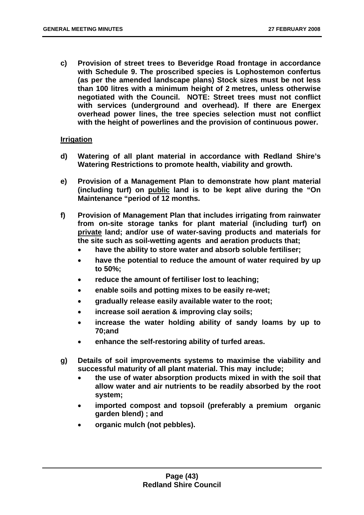**c) Provision of street trees to Beveridge Road frontage in accordance with Schedule 9. The proscribed species is Lophostemon confertus (as per the amended landscape plans) Stock sizes must be not less than 100 litres with a minimum height of 2 metres, unless otherwise negotiated with the Council. NOTE: Street trees must not conflict with services (underground and overhead). If there are Energex overhead power lines, the tree species selection must not conflict with the height of powerlines and the provision of continuous power.** 

### **Irrigation**

- **d) Watering of all plant material in accordance with Redland Shire's Watering Restrictions to promote health, viability and growth.**
- **e) Provision of a Management Plan to demonstrate how plant material (including turf) on public land is to be kept alive during the "On Maintenance "period of 12 months.**
- **f) Provision of Management Plan that includes irrigating from rainwater from on-site storage tanks for plant material (including turf) on private land; and/or use of water-saving products and materials for the site such as soil-wetting agents and aeration products that;** 
	- **have the ability to store water and absorb soluble fertiliser;**
	- **have the potential to reduce the amount of water required by up to 50%;**
	- **reduce the amount of fertiliser lost to leaching;**
	- **enable soils and potting mixes to be easily re-wet;**
	- **gradually release easily available water to the root;**
	- **increase soil aeration & improving clay soils;**
	- **increase the water holding ability of sandy loams by up to 70;and**
	- **enhance the self-restoring ability of turfed areas.**
- **g) Details of soil improvements systems to maximise the viability and successful maturity of all plant material. This may include;** 
	- **the use of water absorption products mixed in with the soil that allow water and air nutrients to be readily absorbed by the root system;**
	- **imported compost and topsoil (preferably a premium organic garden blend) ; and**
	- **organic mulch (not pebbles).**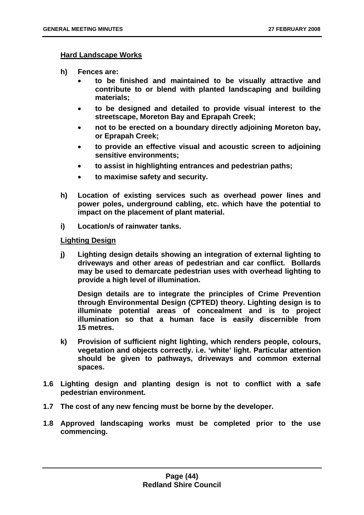#### **Hard Landscape Works**

- **h) Fences are:** 
	- **to be finished and maintained to be visually attractive and contribute to or blend with planted landscaping and building materials;**
	- **to be designed and detailed to provide visual interest to the streetscape, Moreton Bay and Eprapah Creek;**
	- **not to be erected on a boundary directly adjoining Moreton bay, or Eprapah Creek;**
	- **to provide an effective visual and acoustic screen to adjoining sensitive environments;**
	- **to assist in highlighting entrances and pedestrian paths;**
	- **to maximise safety and security.**
- **h) Location of existing services such as overhead power lines and power poles, underground cabling, etc. which have the potential to impact on the placement of plant material.**
- **i) Location/s of rainwater tanks.**

#### **Lighting Design**

**j) Lighting design details showing an integration of external lighting to driveways and other areas of pedestrian and car conflict. Bollards may be used to demarcate pedestrian uses with overhead lighting to provide a high level of illumination.** 

**Design details are to integrate the principles of Crime Prevention through Environmental Design (CPTED) theory. Lighting design is to illuminate potential areas of concealment and is to project illumination so that a human face is easily discernible from 15 metres.** 

- **k) Provision of sufficient night lighting, which renders people, colours, vegetation and objects correctly. i.e. 'white' light. Particular attention should be given to pathways, driveways and common external spaces.**
- **1.6 Lighting design and planting design is not to conflict with a safe pedestrian environment.**
- **1.7 The cost of any new fencing must be borne by the developer.**
- **1.8 Approved landscaping works must be completed prior to the use commencing.**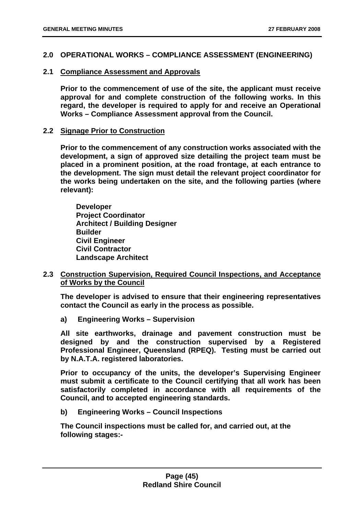### **2.0 OPERATIONAL WORKS – COMPLIANCE ASSESSMENT (ENGINEERING)**

### **2.1 Compliance Assessment and Approvals**

**Prior to the commencement of use of the site, the applicant must receive approval for and complete construction of the following works. In this regard, the developer is required to apply for and receive an Operational Works – Compliance Assessment approval from the Council.** 

### **2.2 Signage Prior to Construction**

**Prior to the commencement of any construction works associated with the development, a sign of approved size detailing the project team must be placed in a prominent position, at the road frontage, at each entrance to the development. The sign must detail the relevant project coordinator for the works being undertaken on the site, and the following parties (where relevant):** 

 **Developer Project Coordinator Architect / Building Designer Builder Civil Engineer Civil Contractor Landscape Architect** 

### **2.3 Construction Supervision, Required Council Inspections, and Acceptance of Works by the Council**

**The developer is advised to ensure that their engineering representatives contact the Council as early in the process as possible.** 

**a) Engineering Works – Supervision** 

**All site earthworks, drainage and pavement construction must be designed by and the construction supervised by a Registered Professional Engineer, Queensland (RPEQ). Testing must be carried out by N.A.T.A. registered laboratories.** 

**Prior to occupancy of the units, the developer's Supervising Engineer must submit a certificate to the Council certifying that all work has been satisfactorily completed in accordance with all requirements of the Council, and to accepted engineering standards.** 

**b) Engineering Works – Council Inspections** 

**The Council inspections must be called for, and carried out, at the following stages:-**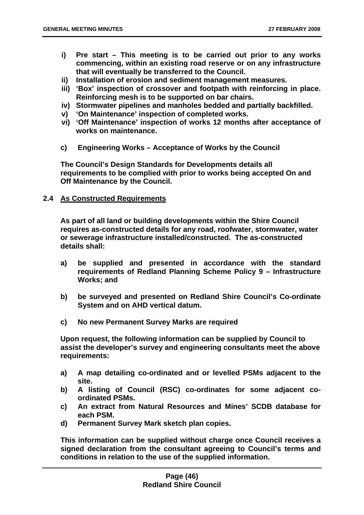- **i) Pre start This meeting is to be carried out prior to any works commencing, within an existing road reserve or on any infrastructure that will eventually be transferred to the Council.**
- **ii) Installation of erosion and sediment management measures.**
- **iii) 'Box' inspection of crossover and footpath with reinforcing in place. Reinforcing mesh is to be supported on bar chairs.**
- **iv) Stormwater pipelines and manholes bedded and partially backfilled.**
- **v) 'On Maintenance' inspection of completed works.**
- **vi) 'Off Maintenance' inspection of works 12 months after acceptance of works on maintenance.**
- **c) Engineering Works Acceptance of Works by the Council**

**The Council's Design Standards for Developments details all requirements to be complied with prior to works being accepted On and Off Maintenance by the Council.** 

### **2.4 As Constructed Requirements**

**As part of all land or building developments within the Shire Council requires as-constructed details for any road, roofwater, stormwater, water or sewerage infrastructure installed/constructed. The as-constructed details shall:** 

- **a) be supplied and presented in accordance with the standard requirements of Redland Planning Scheme Policy 9 – Infrastructure Works; and**
- **b) be surveyed and presented on Redland Shire Council's Co-ordinate System and on AHD vertical datum.**
- **c) No new Permanent Survey Marks are required**

**Upon request, the following information can be supplied by Council to assist the developer's survey and engineering consultants meet the above requirements:** 

- **a) A map detailing co-ordinated and or levelled PSMs adjacent to the site.**
- **b) A listing of Council (RSC) co-ordinates for some adjacent coordinated PSMs.**
- **c) An extract from Natural Resources and Mines' SCDB database for each PSM.**
- **d) Permanent Survey Mark sketch plan copies.**

**This information can be supplied without charge once Council receives a signed declaration from the consultant agreeing to Council's terms and conditions in relation to the use of the supplied information.**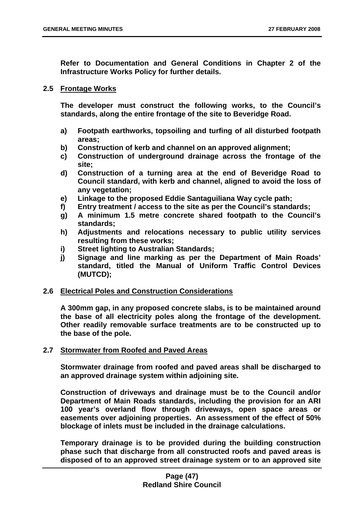**Refer to Documentation and General Conditions in Chapter 2 of the Infrastructure Works Policy for further details.** 

### **2.5 Frontage Works**

**The developer must construct the following works, to the Council's standards, along the entire frontage of the site to Beveridge Road.** 

- **a) Footpath earthworks, topsoiling and turfing of all disturbed footpath areas;**
- **b) Construction of kerb and channel on an approved alignment;**
- **c) Construction of underground drainage across the frontage of the site;**
- **d) Construction of a turning area at the end of Beveridge Road to Council standard, with kerb and channel, aligned to avoid the loss of any vegetation;**
- **e) Linkage to the proposed Eddie Santaguiliana Way cycle path;**
- **f) Entry treatment / access to the site as per the Council's standards;**
- **g) A minimum 1.5 metre concrete shared footpath to the Council's standards;**
- **h) Adjustments and relocations necessary to public utility services resulting from these works;**
- **i) Street lighting to Australian Standards;**
- **j) Signage and line marking as per the Department of Main Roads' standard, titled the Manual of Uniform Traffic Control Devices (MUTCD);**

### **2.6 Electrical Poles and Construction Considerations**

**A 300mm gap, in any proposed concrete slabs, is to be maintained around the base of all electricity poles along the frontage of the development. Other readily removable surface treatments are to be constructed up to the base of the pole.** 

### **2.7 Stormwater from Roofed and Paved Areas**

**Stormwater drainage from roofed and paved areas shall be discharged to an approved drainage system within adjoining site.** 

**Construction of driveways and drainage must be to the Council and/or Department of Main Roads standards, including the provision for an ARI 100 year's overland flow through driveways, open space areas or easements over adjoining properties. An assessment of the effect of 50% blockage of inlets must be included in the drainage calculations.** 

**Temporary drainage is to be provided during the building construction phase such that discharge from all constructed roofs and paved areas is disposed of to an approved street drainage system or to an approved site**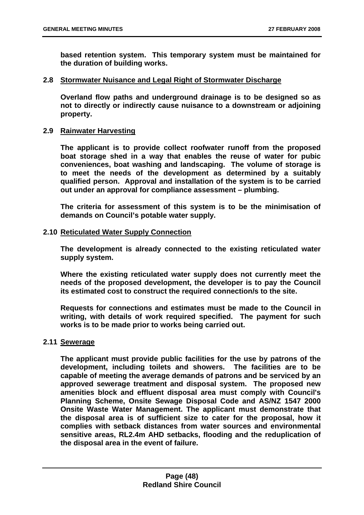**based retention system. This temporary system must be maintained for the duration of building works.** 

#### **2.8 Stormwater Nuisance and Legal Right of Stormwater Discharge**

**Overland flow paths and underground drainage is to be designed so as not to directly or indirectly cause nuisance to a downstream or adjoining property.** 

#### **2.9 Rainwater Harvesting**

**The applicant is to provide collect roofwater runoff from the proposed boat storage shed in a way that enables the reuse of water for pubic conveniences, boat washing and landscaping. The volume of storage is to meet the needs of the development as determined by a suitably qualified person. Approval and installation of the system is to be carried out under an approval for compliance assessment – plumbing.** 

**The criteria for assessment of this system is to be the minimisation of demands on Council's potable water supply.** 

#### **2.10 Reticulated Water Supply Connection**

**The development is already connected to the existing reticulated water supply system.** 

**Where the existing reticulated water supply does not currently meet the needs of the proposed development, the developer is to pay the Council its estimated cost to construct the required connection/s to the site.** 

**Requests for connections and estimates must be made to the Council in writing, with details of work required specified. The payment for such works is to be made prior to works being carried out.** 

### **2.11 Sewerage**

**The applicant must provide public facilities for the use by patrons of the development, including toilets and showers. The facilities are to be capable of meeting the average demands of patrons and be serviced by an approved sewerage treatment and disposal system. The proposed new amenities block and effluent disposal area must comply with Council's Planning Scheme, Onsite Sewage Disposal Code and AS/NZ 1547 2000 Onsite Waste Water Management. The applicant must demonstrate that the disposal area is of sufficient size to cater for the proposal, how it complies with setback distances from water sources and environmental sensitive areas, RL2.4m AHD setbacks, flooding and the reduplication of the disposal area in the event of failure.**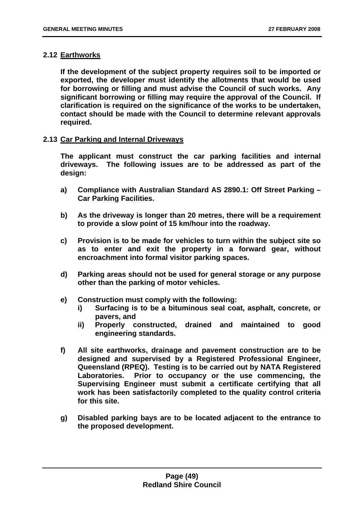### **2.12 Earthworks**

**If the development of the subject property requires soil to be imported or exported, the developer must identify the allotments that would be used for borrowing or filling and must advise the Council of such works. Any significant borrowing or filling may require the approval of the Council. If clarification is required on the significance of the works to be undertaken, contact should be made with the Council to determine relevant approvals required.** 

### **2.13 Car Parking and Internal Driveways**

**The applicant must construct the car parking facilities and internal driveways. The following issues are to be addressed as part of the design:** 

- **a) Compliance with Australian Standard AS 2890.1: Off Street Parking Car Parking Facilities.**
- **b) As the driveway is longer than 20 metres, there will be a requirement to provide a slow point of 15 km/hour into the roadway.**
- **c) Provision is to be made for vehicles to turn within the subject site so as to enter and exit the property in a forward gear, without encroachment into formal visitor parking spaces.**
- **d) Parking areas should not be used for general storage or any purpose other than the parking of motor vehicles.**
- **e) Construction must comply with the following:** 
	- **i) Surfacing is to be a bituminous seal coat, asphalt, concrete, or pavers, and**
	- **ii) Properly constructed, drained and maintained to good engineering standards.**
- **f) All site earthworks, drainage and pavement construction are to be designed and supervised by a Registered Professional Engineer, Queensland (RPEQ). Testing is to be carried out by NATA Registered Laboratories. Prior to occupancy or the use commencing, the Supervising Engineer must submit a certificate certifying that all work has been satisfactorily completed to the quality control criteria for this site.**
- **g) Disabled parking bays are to be located adjacent to the entrance to the proposed development.**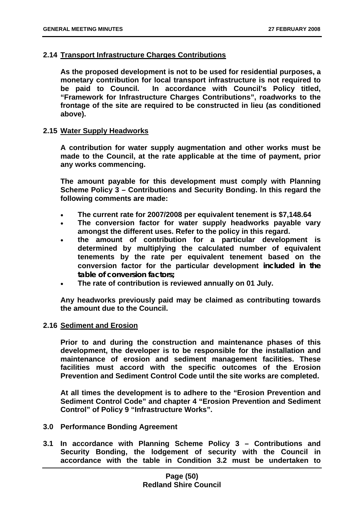### **2.14 Transport Infrastructure Charges Contributions**

**As the proposed development is not to be used for residential purposes, a monetary contribution for local transport infrastructure is not required to be paid to Council. In accordance with Council's Policy titled, "Framework for Infrastructure Charges Contributions", roadworks to the frontage of the site are required to be constructed in lieu (as conditioned above).** 

#### **2.15 Water Supply Headworks**

**A contribution for water supply augmentation and other works must be made to the Council, at the rate applicable at the time of payment, prior any works commencing.** 

**The amount payable for this development must comply with Planning Scheme Policy 3 – Contributions and Security Bonding. In this regard the following comments are made:** 

- **The current rate for 2007/2008 per equivalent tenement is \$7,148.64**
- **The conversion factor for water supply headworks payable vary amongst the different uses. Refer to the policy in this regard.**
- **the amount of contribution for a particular development is determined by multiplying the calculated number of equivalent tenements by the rate per equivalent tenement based on the conversion factor for the particular development included in the table of conversion factors;**
- **The rate of contribution is reviewed annually on 01 July.**

**Any headworks previously paid may be claimed as contributing towards the amount due to the Council.** 

### **2.16 Sediment and Erosion**

**Prior to and during the construction and maintenance phases of this development, the developer is to be responsible for the installation and maintenance of erosion and sediment management facilities. These facilities must accord with the specific outcomes of the Erosion Prevention and Sediment Control Code until the site works are completed.** 

**At all times the development is to adhere to the "Erosion Prevention and Sediment Control Code" and chapter 4 "Erosion Prevention and Sediment Control" of Policy 9 "Infrastructure Works".** 

- **3.0 Performance Bonding Agreement**
- **3.1 In accordance with Planning Scheme Policy 3 Contributions and Security Bonding, the lodgement of security with the Council in accordance with the table in Condition 3.2 must be undertaken to**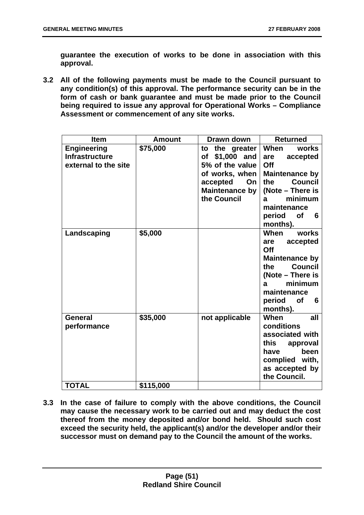**guarantee the execution of works to be done in association with this approval.** 

**3.2 All of the following payments must be made to the Council pursuant to any condition(s) of this approval. The performance security can be in the form of cash or bank guarantee and must be made prior to the Council being required to issue any approval for Operational Works – Compliance Assessment or commencement of any site works.** 

| <b>Item</b>                                                         | <b>Amount</b> | Drawn down                                                                                                                            | <b>Returned</b>                                                                                                                                                                      |
|---------------------------------------------------------------------|---------------|---------------------------------------------------------------------------------------------------------------------------------------|--------------------------------------------------------------------------------------------------------------------------------------------------------------------------------------|
| <b>Engineering</b><br><b>Infrastructure</b><br>external to the site | \$75,000      | the greater<br>to<br>\$1,000 and<br>of<br>5% of the value<br>of works, when<br>On<br>accepted<br><b>Maintenance by</b><br>the Council | <b>When</b><br>works<br>accepted<br>are<br>Off<br>Maintenance by<br><b>Council</b><br>the<br>(Note – There is<br>minimum<br>a<br>maintenance<br>period<br><b>of</b><br>6<br>months). |
| Landscaping                                                         | \$5,000       |                                                                                                                                       | works<br>When<br>accepted<br>are<br>Off<br><b>Maintenance by</b><br><b>Council</b><br>the<br>(Note – There is<br>minimum<br>a<br>maintenance<br>period of<br>6<br>months).           |
| General<br>performance                                              | \$35,000      | not applicable                                                                                                                        | <b>When</b><br>all<br>conditions<br>associated with<br>this<br>approval<br>been<br>have<br>complied with,<br>as accepted by<br>the Council.                                          |
| <b>TOTAL</b>                                                        | \$115,000     |                                                                                                                                       |                                                                                                                                                                                      |

**3.3 In the case of failure to comply with the above conditions, the Council may cause the necessary work to be carried out and may deduct the cost thereof from the money deposited and/or bond held. Should such cost exceed the security held, the applicant(s) and/or the developer and/or their successor must on demand pay to the Council the amount of the works.**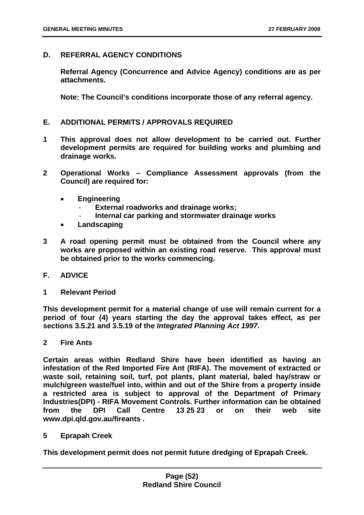### **D. REFERRAL AGENCY CONDITIONS**

**Referral Agency (Concurrence and Advice Agency) conditions are as per attachments.** 

**Note: The Council's conditions incorporate those of any referral agency.** 

### **E. ADDITIONAL PERMITS / APPROVALS REQUIRED**

- **1 This approval does not allow development to be carried out. Further development permits are required for building works and plumbing and drainage works.**
- **2 Operational Works Compliance Assessment approvals (from the Council) are required for:** 
	- **Engineering** 
		- **External roadworks and drainage works;**
		- **Internal car parking and stormwater drainage works**
	- **Landscaping**
- **3 A road opening permit must be obtained from the Council where any works are proposed within an existing road reserve. This approval must be obtained prior to the works commencing.**
- **F. ADVICE**
- **1 Relevant Period**

**This development permit for a material change of use will remain current for a period of four (4) years starting the day the approval takes effect, as per sections 3.5.21 and 3.5.19 of the** *Integrated Planning Act 1997***.** 

**2 Fire Ants** 

**Certain areas within Redland Shire have been identified as having an infestation of the Red Imported Fire Ant (RIFA). The movement of extracted or waste soil, retaining soil, turf, pot plants, plant material, baled hay/straw or mulch/green waste/fuel into, within and out of the Shire from a property inside a restricted area is subject to approval of the Department of Primary Industries(DPI) - RIFA Movement Controls. Further information can be obtained from the DPI Call Centre 13 25 23 or on their web site www.dpi.qld.gov.au/fireants .** 

**5 Eprapah Creek** 

**This development permit does not permit future dredging of Eprapah Creek.**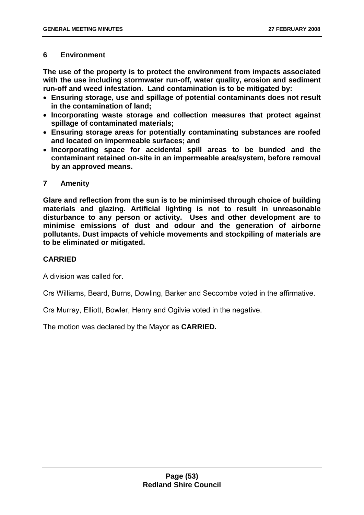# **6 Environment**

**The use of the property is to protect the environment from impacts associated with the use including stormwater run-off, water quality, erosion and sediment run-off and weed infestation. Land contamination is to be mitigated by:** 

- **Ensuring storage, use and spillage of potential contaminants does not result in the contamination of land;**
- **Incorporating waste storage and collection measures that protect against spillage of contaminated materials;**
- **Ensuring storage areas for potentially contaminating substances are roofed and located on impermeable surfaces; and**
- **Incorporating space for accidental spill areas to be bunded and the contaminant retained on-site in an impermeable area/system, before removal by an approved means.**

# **7 Amenity**

**Glare and reflection from the sun is to be minimised through choice of building materials and glazing. Artificial lighting is not to result in unreasonable disturbance to any person or activity. Uses and other development are to minimise emissions of dust and odour and the generation of airborne pollutants. Dust impacts of vehicle movements and stockpiling of materials are to be eliminated or mitigated.** 

# **CARRIED**

A division was called for.

Crs Williams, Beard, Burns, Dowling, Barker and Seccombe voted in the affirmative.

Crs Murray, Elliott, Bowler, Henry and Ogilvie voted in the negative.

The motion was declared by the Mayor as **CARRIED.**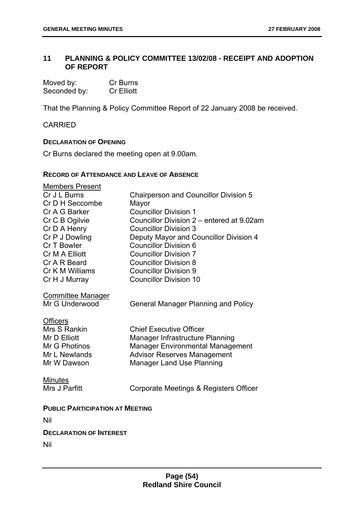# **11 PLANNING & POLICY COMMITTEE 13/02/08 - RECEIPT AND ADOPTION OF REPORT**

| Moved by:    | Cr Burns          |
|--------------|-------------------|
| Seconded by: | <b>Cr Elliott</b> |

That the Planning & Policy Committee Report of 22 January 2008 be received.

CARRIED

### **DECLARATION OF OPENING**

Cr Burns declared the meeting open at 9.00am.

### **RECORD OF ATTENDANCE AND LEAVE OF ABSENCE**

| Members Present                            |                                              |
|--------------------------------------------|----------------------------------------------|
| Cr J L Burns                               | <b>Chairperson and Councillor Division 5</b> |
| Cr D H Seccombe                            | Mayor                                        |
| Cr A G Barker                              | <b>Councillor Division 1</b>                 |
| Cr C B Ogilvie                             | Councillor Division 2 – entered at 9.02am    |
| Cr D A Henry                               | <b>Councillor Division 3</b>                 |
| Cr P J Dowling                             | Deputy Mayor and Councillor Division 4       |
| Cr T Bowler                                | <b>Councillor Division 6</b>                 |
| Cr M A Elliott                             | <b>Councillor Division 7</b>                 |
| Cr A R Beard                               | <b>Councillor Division 8</b>                 |
| Cr K M Williams                            | <b>Councillor Division 9</b>                 |
| Cr H J Murray                              | <b>Councillor Division 10</b>                |
|                                            |                                              |
| <b>Committee Manager</b><br>Mr G Underwood | <b>General Manager Planning and Policy</b>   |
|                                            |                                              |
| <b>Officers</b>                            |                                              |
| Mrs S Rankin                               | <b>Chief Executive Officer</b>               |
| Mr D Elliott                               | Manager Infrastructure Planning              |
| Mr G Photinos                              | <b>Manager Environmental Management</b>      |
| Mr L Newlands                              | <b>Advisor Reserves Management</b>           |
| Mr W Dawson                                | <b>Manager Land Use Planning</b>             |
|                                            |                                              |
| <b>Minutes</b>                             |                                              |
| Mrs J Parfitt                              | Corporate Meetings & Registers Officer       |
|                                            |                                              |
| <b>PUBLIC PARTICIPATION AT MEETING</b>     |                                              |
| Nil                                        |                                              |
| <b>DECLARATION OF INTEREST</b>             |                                              |
| Nil                                        |                                              |
|                                            |                                              |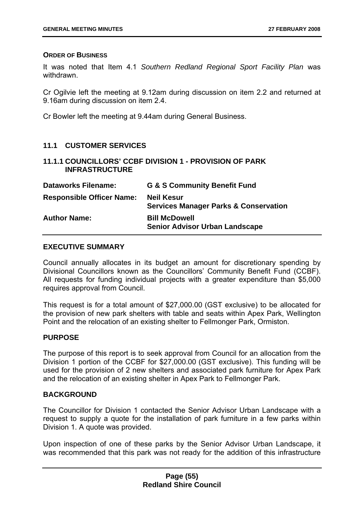### **ORDER OF BUSINESS**

It was noted that Item 4.1 *Southern Redland Regional Sport Facility Plan* was withdrawn.

Cr Ogilvie left the meeting at 9.12am during discussion on item 2.2 and returned at 9.16am during discussion on item 2.4.

Cr Bowler left the meeting at 9.44am during General Business.

# **11.1 CUSTOMER SERVICES**

**11.1.1 COUNCILLORS' CCBF DIVISION 1 - PROVISION OF PARK INFRASTRUCTURE** 

| <b>Dataworks Filename:</b>       | <b>G &amp; S Community Benefit Fund</b>                               |
|----------------------------------|-----------------------------------------------------------------------|
| <b>Responsible Officer Name:</b> | <b>Neil Kesur</b><br><b>Services Manager Parks &amp; Conservation</b> |
| <b>Author Name:</b>              | <b>Bill McDowell</b><br><b>Senior Advisor Urban Landscape</b>         |

### **EXECUTIVE SUMMARY**

Council annually allocates in its budget an amount for discretionary spending by Divisional Councillors known as the Councillors' Community Benefit Fund (CCBF). All requests for funding individual projects with a greater expenditure than \$5,000 requires approval from Council.

This request is for a total amount of \$27,000.00 (GST exclusive) to be allocated for the provision of new park shelters with table and seats within Apex Park, Wellington Point and the relocation of an existing shelter to Fellmonger Park, Ormiston.

# **PURPOSE**

The purpose of this report is to seek approval from Council for an allocation from the Division 1 portion of the CCBF for \$27,000.00 (GST exclusive). This funding will be used for the provision of 2 new shelters and associated park furniture for Apex Park and the relocation of an existing shelter in Apex Park to Fellmonger Park.

# **BACKGROUND**

The Councillor for Division 1 contacted the Senior Advisor Urban Landscape with a request to supply a quote for the installation of park furniture in a few parks within Division 1. A quote was provided.

Upon inspection of one of these parks by the Senior Advisor Urban Landscape, it was recommended that this park was not ready for the addition of this infrastructure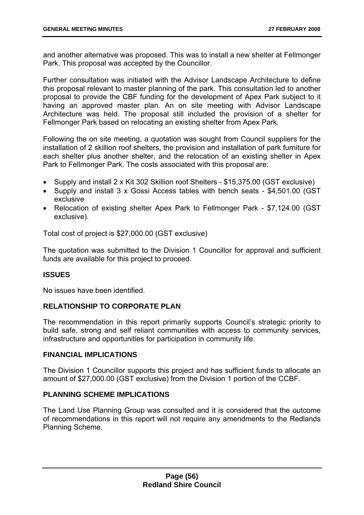and another alternative was proposed. This was to install a new shelter at Fellmonger Park. This proposal was accepted by the Councillor.

Further consultation was initiated with the Advisor Landscape Architecture to define this proposal relevant to master planning of the park. This consultation led to another proposal to provide the CBF funding for the development of Apex Park subject to it having an approved master plan. An on site meeting with Advisor Landscape Architecture was held. The proposal still included the provision of a shelter for Fellmonger Park based on relocating an existing shelter from Apex Park.

Following the on site meeting, a quotation was sought from Council suppliers for the installation of 2 skillion roof shelters, the provision and installation of park furniture for each shelter plus another shelter, and the relocation of an existing shelter in Apex Park to Fellmonger Park. The costs associated with this proposal are:

- Supply and install 2 x Kit 302 Skillion roof Shelters \$15,375.00 (GST exclusive)
- Supply and install 3 x Gossi Access tables with bench seats \$4,501.00 (GST exclusive
- Relocation of existing shelter Apex Park to Fellmonger Park \$7,124.00 (GST exclusive).

Total cost of project is \$27,000.00 (GST exclusive)

The quotation was submitted to the Division 1 Councillor for approval and sufficient funds are available for this project to proceed.

# **ISSUES**

No issues have been identified.

# **RELATIONSHIP TO CORPORATE PLAN**

The recommendation in this report primarily supports Council's strategic priority to build safe, strong and self reliant communities with access to community services, infrastructure and opportunities for participation in community life.

### **FINANCIAL IMPLICATIONS**

The Division 1 Councillor supports this project and has sufficient funds to allocate an amount of \$27,000.00 (GST exclusive) from the Division 1 portion of the CCBF.

# **PLANNING SCHEME IMPLICATIONS**

The Land Use Planning Group was consulted and it is considered that the outcome of recommendations in this report will not require any amendments to the Redlands Planning Scheme.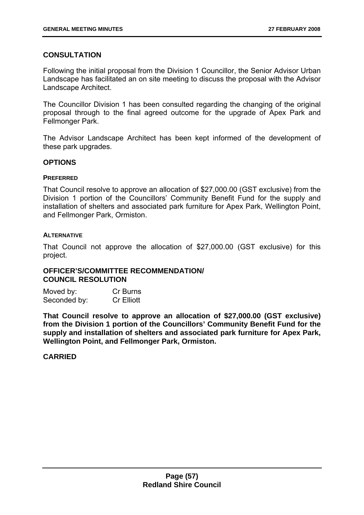## **CONSULTATION**

Following the initial proposal from the Division 1 Councillor, the Senior Advisor Urban Landscape has facilitated an on site meeting to discuss the proposal with the Advisor Landscape Architect.

The Councillor Division 1 has been consulted regarding the changing of the original proposal through to the final agreed outcome for the upgrade of Apex Park and Fellmonger Park.

The Advisor Landscape Architect has been kept informed of the development of these park upgrades.

### **OPTIONS**

#### **PREFERRED**

That Council resolve to approve an allocation of \$27,000.00 (GST exclusive) from the Division 1 portion of the Councillors' Community Benefit Fund for the supply and installation of shelters and associated park furniture for Apex Park, Wellington Point, and Fellmonger Park, Ormiston.

#### **ALTERNATIVE**

That Council not approve the allocation of \$27,000.00 (GST exclusive) for this project.

### **OFFICER'S/COMMITTEE RECOMMENDATION/ COUNCIL RESOLUTION**

| Moved by:    | Cr Burns          |
|--------------|-------------------|
| Seconded by: | <b>Cr Elliott</b> |

**That Council resolve to approve an allocation of \$27,000.00 (GST exclusive) from the Division 1 portion of the Councillors' Community Benefit Fund for the supply and installation of shelters and associated park furniture for Apex Park, Wellington Point, and Fellmonger Park, Ormiston.** 

### **CARRIED**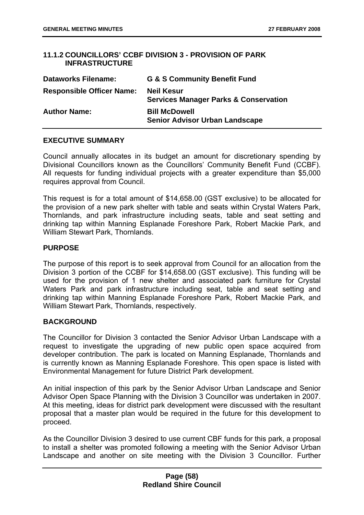# **11.1.2 COUNCILLORS' CCBF DIVISION 3 - PROVISION OF PARK INFRASTRUCTURE**

| <b>Dataworks Filename:</b>       | <b>G &amp; S Community Benefit Fund</b>                               |
|----------------------------------|-----------------------------------------------------------------------|
| <b>Responsible Officer Name:</b> | <b>Neil Kesur</b><br><b>Services Manager Parks &amp; Conservation</b> |
| <b>Author Name:</b>              | <b>Bill McDowell</b><br><b>Senior Advisor Urban Landscape</b>         |

### **EXECUTIVE SUMMARY**

Council annually allocates in its budget an amount for discretionary spending by Divisional Councillors known as the Councillors' Community Benefit Fund (CCBF). All requests for funding individual projects with a greater expenditure than \$5,000 requires approval from Council.

This request is for a total amount of \$14,658.00 (GST exclusive) to be allocated for the provision of a new park shelter with table and seats within Crystal Waters Park, Thornlands, and park infrastructure including seats, table and seat setting and drinking tap within Manning Esplanade Foreshore Park, Robert Mackie Park, and William Stewart Park, Thornlands.

### **PURPOSE**

The purpose of this report is to seek approval from Council for an allocation from the Division 3 portion of the CCBF for \$14,658.00 (GST exclusive). This funding will be used for the provision of 1 new shelter and associated park furniture for Crystal Waters Park and park infrastructure including seat, table and seat setting and drinking tap within Manning Esplanade Foreshore Park, Robert Mackie Park, and William Stewart Park, Thornlands, respectively.

# **BACKGROUND**

The Councillor for Division 3 contacted the Senior Advisor Urban Landscape with a request to investigate the upgrading of new public open space acquired from developer contribution. The park is located on Manning Esplanade, Thornlands and is currently known as Manning Esplanade Foreshore. This open space is listed with Environmental Management for future District Park development.

An initial inspection of this park by the Senior Advisor Urban Landscape and Senior Advisor Open Space Planning with the Division 3 Councillor was undertaken in 2007. At this meeting, ideas for district park development were discussed with the resultant proposal that a master plan would be required in the future for this development to proceed.

As the Councillor Division 3 desired to use current CBF funds for this park, a proposal to install a shelter was promoted following a meeting with the Senior Advisor Urban Landscape and another on site meeting with the Division 3 Councillor. Further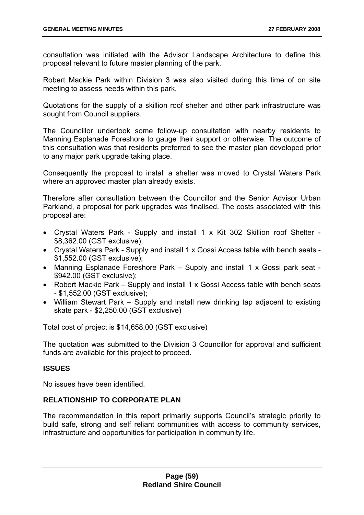consultation was initiated with the Advisor Landscape Architecture to define this proposal relevant to future master planning of the park.

Robert Mackie Park within Division 3 was also visited during this time of on site meeting to assess needs within this park.

Quotations for the supply of a skillion roof shelter and other park infrastructure was sought from Council suppliers.

The Councillor undertook some follow-up consultation with nearby residents to Manning Esplanade Foreshore to gauge their support or otherwise. The outcome of this consultation was that residents preferred to see the master plan developed prior to any major park upgrade taking place.

Consequently the proposal to install a shelter was moved to Crystal Waters Park where an approved master plan already exists.

Therefore after consultation between the Councillor and the Senior Advisor Urban Parkland, a proposal for park upgrades was finalised. The costs associated with this proposal are:

- Crystal Waters Park Supply and install 1 x Kit 302 Skillion roof Shelter \$8,362.00 (GST exclusive);
- Crystal Waters Park Supply and install 1 x Gossi Access table with bench seats \$1,552.00 (GST exclusive);
- Manning Esplanade Foreshore Park Supply and install 1 x Gossi park seat \$942.00 (GST exclusive);
- Robert Mackie Park Supply and install 1 x Gossi Access table with bench seats - \$1,552.00 (GST exclusive);
- William Stewart Park Supply and install new drinking tap adjacent to existing skate park - \$2,250.00 (GST exclusive)

Total cost of project is \$14,658.00 (GST exclusive)

The quotation was submitted to the Division 3 Councillor for approval and sufficient funds are available for this project to proceed.

# **ISSUES**

No issues have been identified.

### **RELATIONSHIP TO CORPORATE PLAN**

The recommendation in this report primarily supports Council's strategic priority to build safe, strong and self reliant communities with access to community services, infrastructure and opportunities for participation in community life.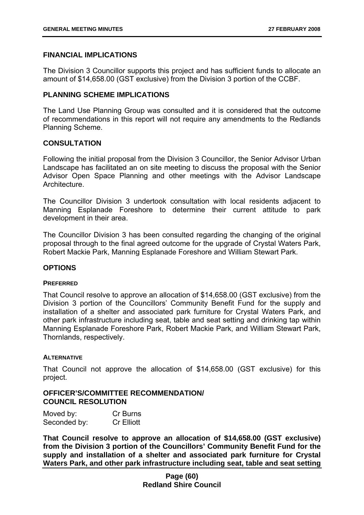## **FINANCIAL IMPLICATIONS**

The Division 3 Councillor supports this project and has sufficient funds to allocate an amount of \$14,658.00 (GST exclusive) from the Division 3 portion of the CCBF.

### **PLANNING SCHEME IMPLICATIONS**

The Land Use Planning Group was consulted and it is considered that the outcome of recommendations in this report will not require any amendments to the Redlands Planning Scheme.

# **CONSULTATION**

Following the initial proposal from the Division 3 Councillor, the Senior Advisor Urban Landscape has facilitated an on site meeting to discuss the proposal with the Senior Advisor Open Space Planning and other meetings with the Advisor Landscape Architecture.

The Councillor Division 3 undertook consultation with local residents adjacent to Manning Esplanade Foreshore to determine their current attitude to park development in their area.

The Councillor Division 3 has been consulted regarding the changing of the original proposal through to the final agreed outcome for the upgrade of Crystal Waters Park, Robert Mackie Park, Manning Esplanade Foreshore and William Stewart Park.

### **OPTIONS**

### **PREFERRED**

That Council resolve to approve an allocation of \$14,658.00 (GST exclusive) from the Division 3 portion of the Councillors' Community Benefit Fund for the supply and installation of a shelter and associated park furniture for Crystal Waters Park, and other park infrastructure including seat, table and seat setting and drinking tap within Manning Esplanade Foreshore Park, Robert Mackie Park, and William Stewart Park, Thornlands, respectively.

### **ALTERNATIVE**

That Council not approve the allocation of \$14,658.00 (GST exclusive) for this project.

### **OFFICER'S/COMMITTEE RECOMMENDATION/ COUNCIL RESOLUTION**

| Moved by:    | Cr Burns          |
|--------------|-------------------|
| Seconded by: | <b>Cr Elliott</b> |

**That Council resolve to approve an allocation of \$14,658.00 (GST exclusive) from the Division 3 portion of the Councillors' Community Benefit Fund for the supply and installation of a shelter and associated park furniture for Crystal Waters Park, and other park infrastructure including seat, table and seat setting**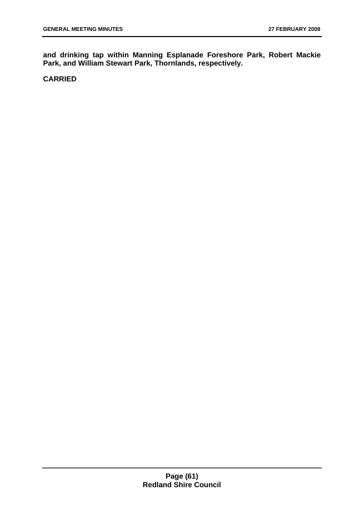**and drinking tap within Manning Esplanade Foreshore Park, Robert Mackie Park, and William Stewart Park, Thornlands, respectively.** 

# **CARRIED**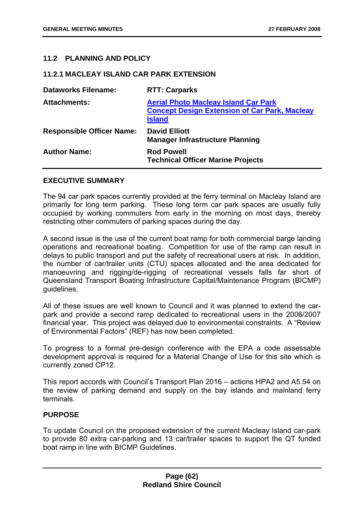## **11.2 PLANNING AND POLICY**

#### **11.2.1 MACLEAY ISLAND CAR PARK EXTENSION**

| <b>Dataworks Filename:</b>       | <b>RTT: Carparks</b>                                                                                                 |
|----------------------------------|----------------------------------------------------------------------------------------------------------------------|
| <b>Attachments:</b>              | <b>Aerial Photo Macleay Island Car Park</b><br><b>Concept Design Extension of Car Park, Macleay</b><br><b>Island</b> |
| <b>Responsible Officer Name:</b> | <b>David Elliott</b><br><b>Manager Infrastructure Planning</b>                                                       |
| <b>Author Name:</b>              | <b>Rod Powell</b><br><b>Technical Officer Marine Projects</b>                                                        |

#### **EXECUTIVE SUMMARY**

The 94 car park spaces currently provided at the ferry terminal on Macleay Island are primarily for long term parking. These long term car park spaces are usually fully occupied by working commuters from early in the morning on most days, thereby restricting other commuters of parking spaces during the day.

A second issue is the use of the current boat ramp for both commercial barge landing operations and recreational boating. Competition for use of the ramp can result in delays to public transport and put the safety of recreational users at risk. In addition, the number of car/trailer units (CTU) spaces allocated and the area dedicated for manoeuvring and rigging/de-rigging of recreational vessels falls far short of Queensland Transport Boating Infrastructure Capital/Maintenance Program (BICMP) guidelines.

All of these issues are well known to Council and it was planned to extend the carpark and provide a second ramp dedicated to recreational users in the 2006/2007 financial year. This project was delayed due to environmental constraints. A "Review of Environmental Factors" (REF) has now been completed.

To progress to a formal pre-design conference with the EPA a code assessable development approval is required for a Material Change of Use for this site which is currently zoned CP12.

This report accords with Council's Transport Plan 2016 – actions HPA2 and A5.54 on the review of parking demand and supply on the bay islands and mainland ferry terminals.

### **PURPOSE**

To update Council on the proposed extension of the current Macleay Island car-park to provide 80 extra car-parking and 13 car/trailer spaces to support the QT funded boat ramp in line with BICMP Guidelines.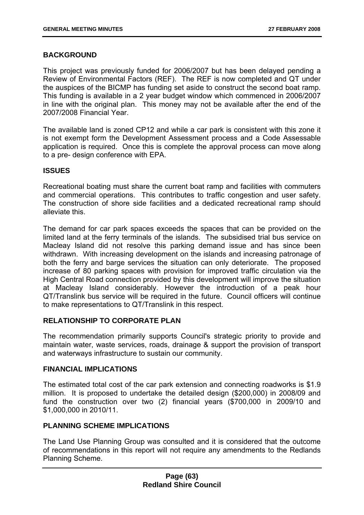# **BACKGROUND**

This project was previously funded for 2006/2007 but has been delayed pending a Review of Environmental Factors (REF). The REF is now completed and QT under the auspices of the BICMP has funding set aside to construct the second boat ramp. This funding is available in a 2 year budget window which commenced in 2006/2007 in line with the original plan. This money may not be available after the end of the 2007/2008 Financial Year.

The available land is zoned CP12 and while a car park is consistent with this zone it is not exempt form the Development Assessment process and a Code Assessable application is required. Once this is complete the approval process can move along to a pre- design conference with EPA.

# **ISSUES**

Recreational boating must share the current boat ramp and facilities with commuters and commercial operations. This contributes to traffic congestion and user safety. The construction of shore side facilities and a dedicated recreational ramp should alleviate this.

The demand for car park spaces exceeds the spaces that can be provided on the limited land at the ferry terminals of the islands. The subsidised trial bus service on Macleay Island did not resolve this parking demand issue and has since been withdrawn. With increasing development on the islands and increasing patronage of both the ferry and barge services the situation can only deteriorate. The proposed increase of 80 parking spaces with provision for improved traffic circulation via the High Central Road connection provided by this development will improve the situation at Macleay Island considerably. However the introduction of a peak hour QT/Translink bus service will be required in the future. Council officers will continue to make representations to QT/Translink in this respect.

### **RELATIONSHIP TO CORPORATE PLAN**

The recommendation primarily supports Council's strategic priority to provide and maintain water, waste services, roads, drainage & support the provision of transport and waterways infrastructure to sustain our community.

### **FINANCIAL IMPLICATIONS**

The estimated total cost of the car park extension and connecting roadworks is \$1.9 million. It is proposed to undertake the detailed design (\$200,000) in 2008/09 and fund the construction over two (2) financial years (\$700,000 in 2009/10 and \$1,000,000 in 2010/11.

# **PLANNING SCHEME IMPLICATIONS**

The Land Use Planning Group was consulted and it is considered that the outcome of recommendations in this report will not require any amendments to the Redlands Planning Scheme.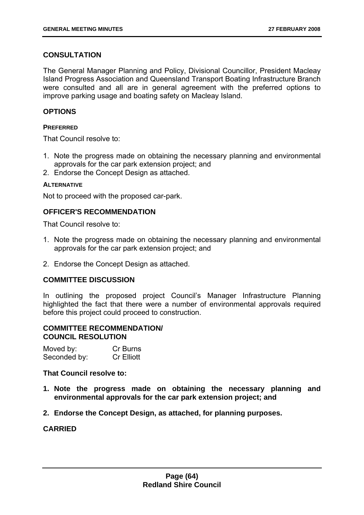# **CONSULTATION**

The General Manager Planning and Policy, Divisional Councillor, President Macleay Island Progress Association and Queensland Transport Boating Infrastructure Branch were consulted and all are in general agreement with the preferred options to improve parking usage and boating safety on Macleay Island.

## **OPTIONS**

### **PREFERRED**

That Council resolve to:

- 1. Note the progress made on obtaining the necessary planning and environmental approvals for the car park extension project; and
- 2. Endorse the Concept Design as attached.

### **ALTERNATIVE**

Not to proceed with the proposed car-park.

### **OFFICER'S RECOMMENDATION**

That Council resolve to:

- 1. Note the progress made on obtaining the necessary planning and environmental approvals for the car park extension project; and
- 2. Endorse the Concept Design as attached.

### **COMMITTEE DISCUSSION**

In outlining the proposed project Council's Manager Infrastructure Planning highlighted the fact that there were a number of environmental approvals required before this project could proceed to construction.

## **COMMITTEE RECOMMENDATION/ COUNCIL RESOLUTION**

| Moved by:    | Cr Burns          |
|--------------|-------------------|
| Seconded by: | <b>Cr Elliott</b> |

**That Council resolve to:** 

- **1. Note the progress made on obtaining the necessary planning and environmental approvals for the car park extension project; and**
- **2. Endorse the Concept Design, as attached, for planning purposes.**

### **CARRIED**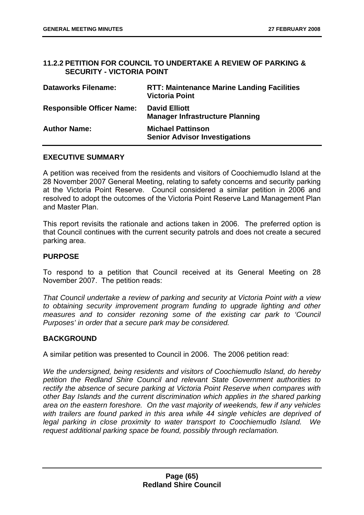### **11.2.2 PETITION FOR COUNCIL TO UNDERTAKE A REVIEW OF PARKING & SECURITY - VICTORIA POINT**

| <b>Dataworks Filename:</b>       | <b>RTT: Maintenance Marine Landing Facilities</b><br><b>Victoria Point</b> |
|----------------------------------|----------------------------------------------------------------------------|
| <b>Responsible Officer Name:</b> | <b>David Elliott</b><br><b>Manager Infrastructure Planning</b>             |
| <b>Author Name:</b>              | <b>Michael Pattinson</b><br><b>Senior Advisor Investigations</b>           |

# **EXECUTIVE SUMMARY**

A petition was received from the residents and visitors of Coochiemudlo Island at the 28 November 2007 General Meeting, relating to safety concerns and security parking at the Victoria Point Reserve. Council considered a similar petition in 2006 and resolved to adopt the outcomes of the Victoria Point Reserve Land Management Plan and Master Plan.

This report revisits the rationale and actions taken in 2006. The preferred option is that Council continues with the current security patrols and does not create a secured parking area.

### **PURPOSE**

To respond to a petition that Council received at its General Meeting on 28 November 2007. The petition reads:

*That Council undertake a review of parking and security at Victoria Point with a view to obtaining security improvement program funding to upgrade lighting and other measures and to consider rezoning some of the existing car park to 'Council Purposes' in order that a secure park may be considered.* 

### **BACKGROUND**

A similar petition was presented to Council in 2006. The 2006 petition read:

*We the undersigned, being residents and visitors of Coochiemudlo Island, do hereby petition the Redland Shire Council and relevant State Government authorities to rectify the absence of secure parking at Victoria Point Reserve when compares with other Bay Islands and the current discrimination which applies in the shared parking area on the eastern foreshore. On the vast majority of weekends, few if any vehicles*  with trailers are found parked in this area while 44 single vehicles are deprived of *legal parking in close proximity to water transport to Coochiemudlo Island. We request additional parking space be found, possibly through reclamation.*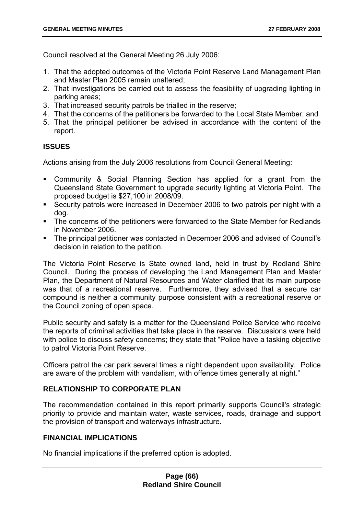Council resolved at the General Meeting 26 July 2006:

- 1. That the adopted outcomes of the Victoria Point Reserve Land Management Plan and Master Plan 2005 remain unaltered;
- 2. That investigations be carried out to assess the feasibility of upgrading lighting in parking areas;
- 3. That increased security patrols be trialled in the reserve;
- 4. That the concerns of the petitioners be forwarded to the Local State Member; and
- 5. That the principal petitioner be advised in accordance with the content of the report.

# **ISSUES**

Actions arising from the July 2006 resolutions from Council General Meeting:

- Community & Social Planning Section has applied for a grant from the Queensland State Government to upgrade security lighting at Victoria Point. The proposed budget is \$27,100 in 2008/09.
- Security patrols were increased in December 2006 to two patrols per night with a dog.
- The concerns of the petitioners were forwarded to the State Member for Redlands in November 2006.
- The principal petitioner was contacted in December 2006 and advised of Council's decision in relation to the petition.

The Victoria Point Reserve is State owned land, held in trust by Redland Shire Council. During the process of developing the Land Management Plan and Master Plan, the Department of Natural Resources and Water clarified that its main purpose was that of a recreational reserve. Furthermore, they advised that a secure car compound is neither a community purpose consistent with a recreational reserve or the Council zoning of open space.

Public security and safety is a matter for the Queensland Police Service who receive the reports of criminal activities that take place in the reserve. Discussions were held with police to discuss safety concerns; they state that "Police have a tasking objective to patrol Victoria Point Reserve.

Officers patrol the car park several times a night dependent upon availability. Police are aware of the problem with vandalism, with offence times generally at night."

# **RELATIONSHIP TO CORPORATE PLAN**

The recommendation contained in this report primarily supports Council's strategic priority to provide and maintain water, waste services, roads, drainage and support the provision of transport and waterways infrastructure.

# **FINANCIAL IMPLICATIONS**

No financial implications if the preferred option is adopted.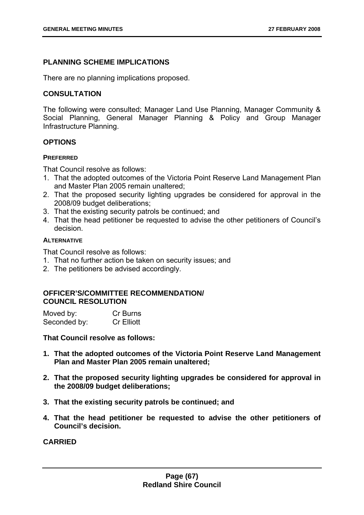## **PLANNING SCHEME IMPLICATIONS**

There are no planning implications proposed.

### **CONSULTATION**

The following were consulted; Manager Land Use Planning, Manager Community & Social Planning, General Manager Planning & Policy and Group Manager Infrastructure Planning.

### **OPTIONS**

#### **PREFERRED**

That Council resolve as follows:

- 1. That the adopted outcomes of the Victoria Point Reserve Land Management Plan and Master Plan 2005 remain unaltered;
- 2. That the proposed security lighting upgrades be considered for approval in the 2008/09 budget deliberations;
- 3. That the existing security patrols be continued; and
- 4. That the head petitioner be requested to advise the other petitioners of Council's decision.

#### **ALTERNATIVE**

That Council resolve as follows:

- 1. That no further action be taken on security issues; and
- 2. The petitioners be advised accordingly.

### **OFFICER'S/COMMITTEE RECOMMENDATION/ COUNCIL RESOLUTION**

| Moved by:    | Cr Burns          |
|--------------|-------------------|
| Seconded by: | <b>Cr Elliott</b> |

**That Council resolve as follows:** 

- **1. That the adopted outcomes of the Victoria Point Reserve Land Management Plan and Master Plan 2005 remain unaltered;**
- **2. That the proposed security lighting upgrades be considered for approval in the 2008/09 budget deliberations;**
- **3. That the existing security patrols be continued; and**
- **4. That the head petitioner be requested to advise the other petitioners of Council's decision.**

**CARRIED**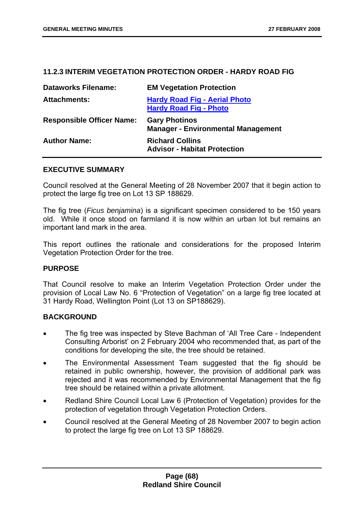### **11.2.3 INTERIM VEGETATION PROTECTION ORDER - HARDY ROAD FIG**

| <b>Dataworks Filename:</b>       | <b>EM Vegetation Protection</b>                                       |
|----------------------------------|-----------------------------------------------------------------------|
| <b>Attachments:</b>              | <b>Hardy Road Fig - Aerial Photo</b><br><b>Hardy Road Fig - Photo</b> |
| <b>Responsible Officer Name:</b> | <b>Gary Photinos</b><br><b>Manager - Environmental Management</b>     |
| <b>Author Name:</b>              | <b>Richard Collins</b><br><b>Advisor - Habitat Protection</b>         |

#### **EXECUTIVE SUMMARY**

Council resolved at the General Meeting of 28 November 2007 that it begin action to protect the large fig tree on Lot 13 SP 188629.

The fig tree (*Ficus benjamina*) is a significant specimen considered to be 150 years old. While it once stood on farmland it is now within an urban lot but remains an important land mark in the area.

This report outlines the rationale and considerations for the proposed Interim Vegetation Protection Order for the tree.

### **PURPOSE**

That Council resolve to make an Interim Vegetation Protection Order under the provision of Local Law No. 6 "Protection of Vegetation" on a large fig tree located at 31 Hardy Road, Wellington Point (Lot 13 on SP188629).

### **BACKGROUND**

- The fig tree was inspected by Steve Bachman of 'All Tree Care Independent Consulting Arborist' on 2 February 2004 who recommended that, as part of the conditions for developing the site, the tree should be retained.
- The Environmental Assessment Team suggested that the fig should be retained in public ownership, however, the provision of additional park was rejected and it was recommended by Environmental Management that the fig tree should be retained within a private allotment.
- Redland Shire Council Local Law 6 (Protection of Vegetation) provides for the protection of vegetation through Vegetation Protection Orders.
- Council resolved at the General Meeting of 28 November 2007 to begin action to protect the large fig tree on Lot 13 SP 188629.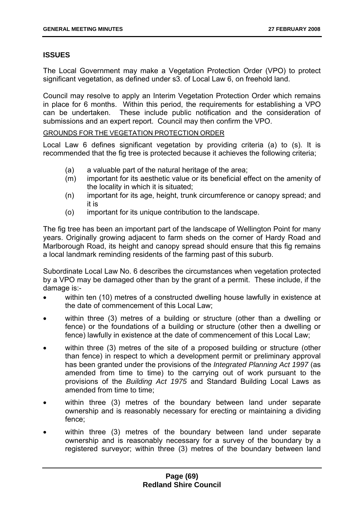# **ISSUES**

The Local Government may make a Vegetation Protection Order (VPO) to protect significant vegetation, as defined under s3. of Local Law 6, on freehold land.

Council may resolve to apply an Interim Vegetation Protection Order which remains in place for 6 months. Within this period, the requirements for establishing a VPO can be undertaken. These include public notification and the consideration of submissions and an expert report. Council may then confirm the VPO.

GROUNDS FOR THE VEGETATION PROTECTION ORDER

Local Law 6 defines significant vegetation by providing criteria (a) to (s). It is recommended that the fig tree is protected because it achieves the following criteria;

- (a) a valuable part of the natural heritage of the area;
- (m) important for its aesthetic value or its beneficial effect on the amenity of the locality in which it is situated;
- (n) important for its age, height, trunk circumference or canopy spread; and it is
- (o) important for its unique contribution to the landscape.

The fig tree has been an important part of the landscape of Wellington Point for many years. Originally growing adjacent to farm sheds on the corner of Hardy Road and Marlborough Road, its height and canopy spread should ensure that this fig remains a local landmark reminding residents of the farming past of this suburb.

Subordinate Local Law No. 6 describes the circumstances when vegetation protected by a VPO may be damaged other than by the grant of a permit. These include, if the damage is:-

- within ten (10) metres of a constructed dwelling house lawfully in existence at the date of commencement of this Local Law;
- within three (3) metres of a building or structure (other than a dwelling or fence) or the foundations of a building or structure (other then a dwelling or fence) lawfully in existence at the date of commencement of this Local Law;
- within three (3) metres of the site of a proposed building or structure (other than fence) in respect to which a development permit or preliminary approval has been granted under the provisions of the *Integrated Planning Act 1997* (as amended from time to time) to the carrying out of work pursuant to the provisions of the *Building Act 1975* and Standard Building Local Laws as amended from time to time:
- within three (3) metres of the boundary between land under separate ownership and is reasonably necessary for erecting or maintaining a dividing fence;
- within three (3) metres of the boundary between land under separate ownership and is reasonably necessary for a survey of the boundary by a registered surveyor; within three (3) metres of the boundary between land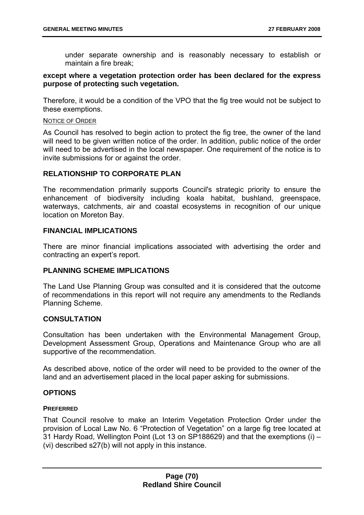under separate ownership and is reasonably necessary to establish or maintain a fire break;

### **except where a vegetation protection order has been declared for the express purpose of protecting such vegetation.**

Therefore, it would be a condition of the VPO that the fig tree would not be subject to these exemptions.

#### NOTICE OF ORDER

As Council has resolved to begin action to protect the fig tree, the owner of the land will need to be given written notice of the order. In addition, public notice of the order will need to be advertised in the local newspaper. One requirement of the notice is to invite submissions for or against the order.

### **RELATIONSHIP TO CORPORATE PLAN**

The recommendation primarily supports Council's strategic priority to ensure the enhancement of biodiversity including koala habitat, bushland, greenspace, waterways, catchments, air and coastal ecosystems in recognition of our unique location on Moreton Bay.

### **FINANCIAL IMPLICATIONS**

There are minor financial implications associated with advertising the order and contracting an expert's report.

# **PLANNING SCHEME IMPLICATIONS**

The Land Use Planning Group was consulted and it is considered that the outcome of recommendations in this report will not require any amendments to the Redlands Planning Scheme.

### **CONSULTATION**

Consultation has been undertaken with the Environmental Management Group, Development Assessment Group, Operations and Maintenance Group who are all supportive of the recommendation.

As described above, notice of the order will need to be provided to the owner of the land and an advertisement placed in the local paper asking for submissions.

### **OPTIONS**

### **PREFERRED**

That Council resolve to make an Interim Vegetation Protection Order under the provision of Local Law No. 6 "Protection of Vegetation" on a large fig tree located at 31 Hardy Road, Wellington Point (Lot 13 on SP188629) and that the exemptions (i) – (vi) described s27(b) will not apply in this instance.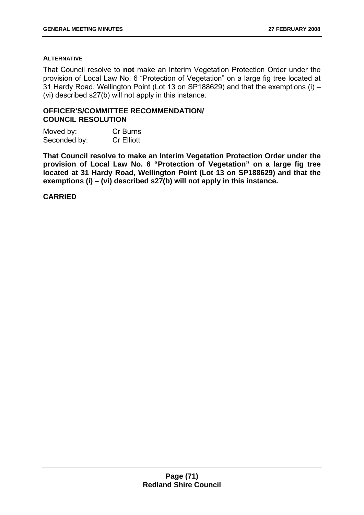#### **ALTERNATIVE**

That Council resolve to **not** make an Interim Vegetation Protection Order under the provision of Local Law No. 6 "Protection of Vegetation" on a large fig tree located at 31 Hardy Road, Wellington Point (Lot 13 on SP188629) and that the exemptions (i) – (vi) described s27(b) will not apply in this instance.

### **OFFICER'S/COMMITTEE RECOMMENDATION/ COUNCIL RESOLUTION**

| Moved by:    | Cr Burns          |
|--------------|-------------------|
| Seconded by: | <b>Cr Elliott</b> |

**That Council resolve to make an Interim Vegetation Protection Order under the provision of Local Law No. 6 "Protection of Vegetation" on a large fig tree located at 31 Hardy Road, Wellington Point (Lot 13 on SP188629) and that the exemptions (i) – (vi) described s27(b) will not apply in this instance.** 

### **CARRIED**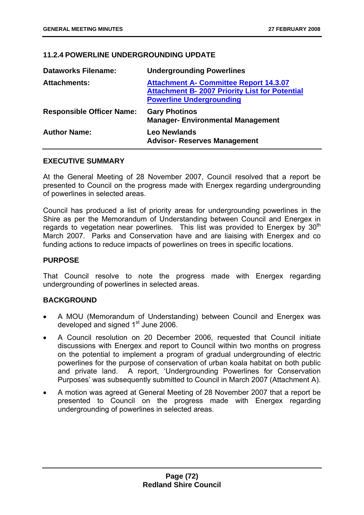# **11.2.4 POWERLINE UNDERGROUNDING UPDATE**

| <b>Dataworks Filename:</b>       | <b>Undergrounding Powerlines</b>                                                                                                          |
|----------------------------------|-------------------------------------------------------------------------------------------------------------------------------------------|
| <b>Attachments:</b>              | <b>Attachment A- Committee Report 14.3.07</b><br><b>Attachment B- 2007 Priority List for Potential</b><br><b>Powerline Undergrounding</b> |
| <b>Responsible Officer Name:</b> | <b>Gary Photinos</b><br><b>Manager-Environmental Management</b>                                                                           |
| <b>Author Name:</b>              | <b>Leo Newlands</b><br><b>Advisor- Reserves Management</b>                                                                                |

## **EXECUTIVE SUMMARY**

At the General Meeting of 28 November 2007, Council resolved that a report be presented to Council on the progress made with Energex regarding undergrounding of powerlines in selected areas.

Council has produced a list of priority areas for undergrounding powerlines in the Shire as per the Memorandum of Understanding between Council and Energex in regards to vegetation near powerlines. This list was provided to Energex by  $30<sup>th</sup>$ March 2007. Parks and Conservation have and are liaising with Energex and co funding actions to reduce impacts of powerlines on trees in specific locations.

## **PURPOSE**

That Council resolve to note the progress made with Energex regarding undergrounding of powerlines in selected areas.

# **BACKGROUND**

- A MOU (Memorandum of Understanding) between Council and Energex was developed and signed 1<sup>st</sup> June 2006.
- A Council resolution on 20 December 2006, requested that Council initiate discussions with Energex and report to Council within two months on progress on the potential to implement a program of gradual undergrounding of electric powerlines for the purpose of conservation of urban koala habitat on both public and private land. A report, 'Undergrounding Powerlines for Conservation Purposes' was subsequently submitted to Council in March 2007 (Attachment A).
- A motion was agreed at General Meeting of 28 November 2007 that a report be presented to Council on the progress made with Energex regarding undergrounding of powerlines in selected areas.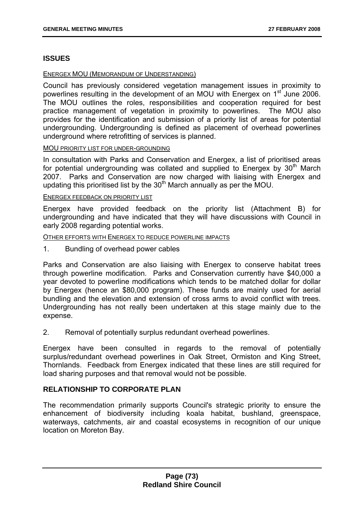## **ISSUES**

#### ENERGEX MOU (MEMORANDUM OF UNDERSTANDING)

Council has previously considered vegetation management issues in proximity to powerlines resulting in the development of an MOU with Energex on 1<sup>st</sup> June 2006. The MOU outlines the roles, responsibilities and cooperation required for best practice management of vegetation in proximity to powerlines. The MOU also provides for the identification and submission of a priority list of areas for potential undergrounding. Undergrounding is defined as placement of overhead powerlines underground where retrofitting of services is planned.

#### MOU PRIORITY LIST FOR UNDER-GROUNDING

In consultation with Parks and Conservation and Energex, a list of prioritised areas for potential undergrounding was collated and supplied to Energex by 30<sup>th</sup> March 2007. Parks and Conservation are now charged with liaising with Energex and updating this prioritised list by the  $30<sup>th</sup>$  March annually as per the MOU.

#### ENERGEX FEEDBACK ON PRIORITY LIST

Energex have provided feedback on the priority list (Attachment B) for undergrounding and have indicated that they will have discussions with Council in early 2008 regarding potential works.

#### OTHER EFFORTS WITH ENERGEX TO REDUCE POWERLINE IMPACTS

1. Bundling of overhead power cables

Parks and Conservation are also liaising with Energex to conserve habitat trees through powerline modification. Parks and Conservation currently have \$40,000 a year devoted to powerline modifications which tends to be matched dollar for dollar by Energex (hence an \$80,000 program). These funds are mainly used for aerial bundling and the elevation and extension of cross arms to avoid conflict with trees. Undergrounding has not really been undertaken at this stage mainly due to the expense.

2. Removal of potentially surplus redundant overhead powerlines.

Energex have been consulted in regards to the removal of potentially surplus/redundant overhead powerlines in Oak Street, Ormiston and King Street, Thornlands. Feedback from Energex indicated that these lines are still required for load sharing purposes and that removal would not be possible.

### **RELATIONSHIP TO CORPORATE PLAN**

The recommendation primarily supports Council's strategic priority to ensure the enhancement of biodiversity including koala habitat, bushland, greenspace, waterways, catchments, air and coastal ecosystems in recognition of our unique location on Moreton Bay.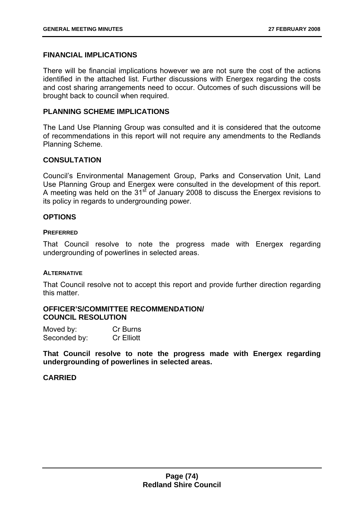### **FINANCIAL IMPLICATIONS**

There will be financial implications however we are not sure the cost of the actions identified in the attached list. Further discussions with Energex regarding the costs and cost sharing arrangements need to occur. Outcomes of such discussions will be brought back to council when required.

## **PLANNING SCHEME IMPLICATIONS**

The Land Use Planning Group was consulted and it is considered that the outcome of recommendations in this report will not require any amendments to the Redlands Planning Scheme.

## **CONSULTATION**

Council's Environmental Management Group, Parks and Conservation Unit, Land Use Planning Group and Energex were consulted in the development of this report. A meeting was held on the  $31<sup>st</sup>$  of January 2008 to discuss the Energex revisions to its policy in regards to undergrounding power.

## **OPTIONS**

#### **PREFERRED**

That Council resolve to note the progress made with Energex regarding undergrounding of powerlines in selected areas.

#### **ALTERNATIVE**

That Council resolve not to accept this report and provide further direction regarding this matter.

### **OFFICER'S/COMMITTEE RECOMMENDATION/ COUNCIL RESOLUTION**

| Moved by:    | Cr Burns          |
|--------------|-------------------|
| Seconded by: | <b>Cr Elliott</b> |

**That Council resolve to note the progress made with Energex regarding undergrounding of powerlines in selected areas.**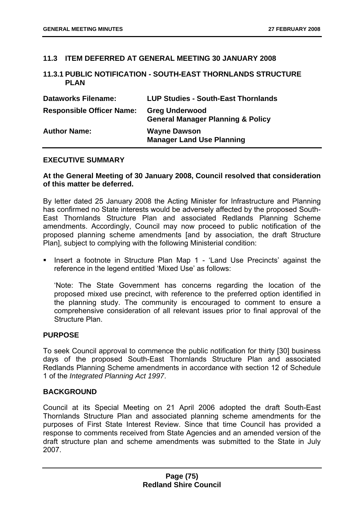## **11.3 ITEM DEFERRED AT GENERAL MEETING 30 JANUARY 2008**

### **11.3.1 PUBLIC NOTIFICATION - SOUTH-EAST THORNLANDS STRUCTURE PLAN**

| <b>Dataworks Filename:</b>       | <b>LUP Studies - South-East Thornlands</b>                            |
|----------------------------------|-----------------------------------------------------------------------|
| <b>Responsible Officer Name:</b> | <b>Greg Underwood</b><br><b>General Manager Planning &amp; Policy</b> |
| <b>Author Name:</b>              | <b>Wayne Dawson</b><br><b>Manager Land Use Planning</b>               |

#### **EXECUTIVE SUMMARY**

### **At the General Meeting of 30 January 2008, Council resolved that consideration of this matter be deferred.**

By letter dated 25 January 2008 the Acting Minister for Infrastructure and Planning has confirmed no State interests would be adversely affected by the proposed South-East Thornlands Structure Plan and associated Redlands Planning Scheme amendments. Accordingly, Council may now proceed to public notification of the proposed planning scheme amendments [and by association, the draft Structure Plan], subject to complying with the following Ministerial condition:

 Insert a footnote in Structure Plan Map 1 - 'Land Use Precincts' against the reference in the legend entitled 'Mixed Use' as follows:

'Note: The State Government has concerns regarding the location of the proposed mixed use precinct, with reference to the preferred option identified in the planning study. The community is encouraged to comment to ensure a comprehensive consideration of all relevant issues prior to final approval of the Structure Plan.

### **PURPOSE**

To seek Council approval to commence the public notification for thirty [30] business days of the proposed South-East Thornlands Structure Plan and associated Redlands Planning Scheme amendments in accordance with section 12 of Schedule 1 of the *Integrated Planning Act 1997*.

### **BACKGROUND**

Council at its Special Meeting on 21 April 2006 adopted the draft South-East Thornlands Structure Plan and associated planning scheme amendments for the purposes of First State Interest Review. Since that time Council has provided a response to comments received from State Agencies and an amended version of the draft structure plan and scheme amendments was submitted to the State in July 2007.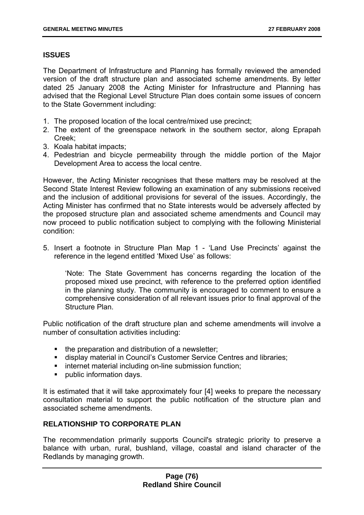# **ISSUES**

The Department of Infrastructure and Planning has formally reviewed the amended version of the draft structure plan and associated scheme amendments. By letter dated 25 January 2008 the Acting Minister for Infrastructure and Planning has advised that the Regional Level Structure Plan does contain some issues of concern to the State Government including:

- 1. The proposed location of the local centre/mixed use precinct;
- 2. The extent of the greenspace network in the southern sector, along Eprapah Creek;
- 3. Koala habitat impacts;
- 4. Pedestrian and bicycle permeability through the middle portion of the Major Development Area to access the local centre.

However, the Acting Minister recognises that these matters may be resolved at the Second State Interest Review following an examination of any submissions received and the inclusion of additional provisions for several of the issues. Accordingly, the Acting Minister has confirmed that no State interests would be adversely affected by the proposed structure plan and associated scheme amendments and Council may now proceed to public notification subject to complying with the following Ministerial condition:

5. Insert a footnote in Structure Plan Map 1 - 'Land Use Precincts' against the reference in the legend entitled 'Mixed Use' as follows:

'Note: The State Government has concerns regarding the location of the proposed mixed use precinct, with reference to the preferred option identified in the planning study. The community is encouraged to comment to ensure a comprehensive consideration of all relevant issues prior to final approval of the Structure Plan.

Public notification of the draft structure plan and scheme amendments will involve a number of consultation activities including:

- the preparation and distribution of a newsletter;
- display material in Council's Customer Service Centres and libraries;
- **i** internet material including on-line submission function;
- **•** public information days.

It is estimated that it will take approximately four [4] weeks to prepare the necessary consultation material to support the public notification of the structure plan and associated scheme amendments.

# **RELATIONSHIP TO CORPORATE PLAN**

The recommendation primarily supports Council's strategic priority to preserve a balance with urban, rural, bushland, village, coastal and island character of the Redlands by managing growth.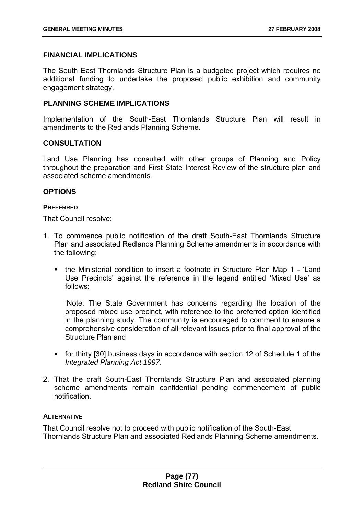## **FINANCIAL IMPLICATIONS**

The South East Thornlands Structure Plan is a budgeted project which requires no additional funding to undertake the proposed public exhibition and community engagement strategy.

## **PLANNING SCHEME IMPLICATIONS**

Implementation of the South-East Thornlands Structure Plan will result in amendments to the Redlands Planning Scheme.

## **CONSULTATION**

Land Use Planning has consulted with other groups of Planning and Policy throughout the preparation and First State Interest Review of the structure plan and associated scheme amendments.

### **OPTIONS**

### **PREFERRED**

That Council resolve:

- 1. To commence public notification of the draft South-East Thornlands Structure Plan and associated Redlands Planning Scheme amendments in accordance with the following:
	- the Ministerial condition to insert a footnote in Structure Plan Map 1 'Land Use Precincts' against the reference in the legend entitled 'Mixed Use' as follows:

'Note: The State Government has concerns regarding the location of the proposed mixed use precinct, with reference to the preferred option identified in the planning study. The community is encouraged to comment to ensure a comprehensive consideration of all relevant issues prior to final approval of the Structure Plan and

- for thirty [30] business days in accordance with section 12 of Schedule 1 of the *Integrated Planning Act 1997*.
- 2. That the draft South-East Thornlands Structure Plan and associated planning scheme amendments remain confidential pending commencement of public notification.

### **ALTERNATIVE**

That Council resolve not to proceed with public notification of the South-East Thornlands Structure Plan and associated Redlands Planning Scheme amendments.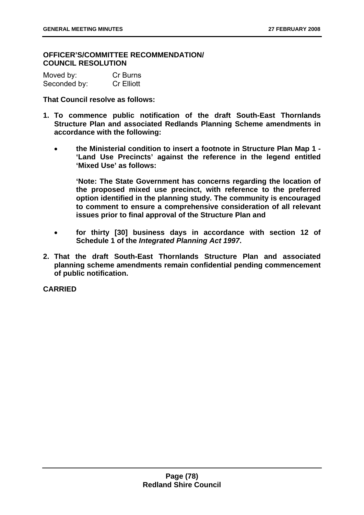### **OFFICER'S/COMMITTEE RECOMMENDATION/ COUNCIL RESOLUTION**

| Moved by:    | Cr Burns          |
|--------------|-------------------|
| Seconded by: | <b>Cr Elliott</b> |

**That Council resolve as follows:** 

- **1. To commence public notification of the draft South-East Thornlands Structure Plan and associated Redlands Planning Scheme amendments in accordance with the following:** 
	- **the Ministerial condition to insert a footnote in Structure Plan Map 1 'Land Use Precincts' against the reference in the legend entitled 'Mixed Use' as follows:**

**'Note: The State Government has concerns regarding the location of the proposed mixed use precinct, with reference to the preferred option identified in the planning study. The community is encouraged to comment to ensure a comprehensive consideration of all relevant issues prior to final approval of the Structure Plan and** 

- **for thirty [30] business days in accordance with section 12 of Schedule 1 of the** *Integrated Planning Act 1997***.**
- **2. That the draft South-East Thornlands Structure Plan and associated planning scheme amendments remain confidential pending commencement of public notification.**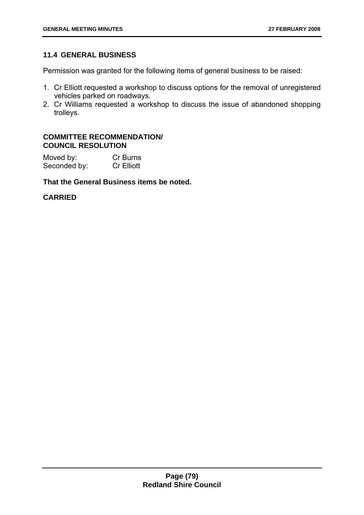# **11.4 GENERAL BUSINESS**

Permission was granted for the following items of general business to be raised:

- 1. Cr Elliott requested a workshop to discuss options for the removal of unregistered vehicles parked on roadways.
- 2. Cr Williams requested a workshop to discuss the issue of abandoned shopping trolleys.

## **COMMITTEE RECOMMENDATION/ COUNCIL RESOLUTION**

| Moved by:    | Cr Burns          |
|--------------|-------------------|
| Seconded by: | <b>Cr Elliott</b> |

# **That the General Business items be noted.**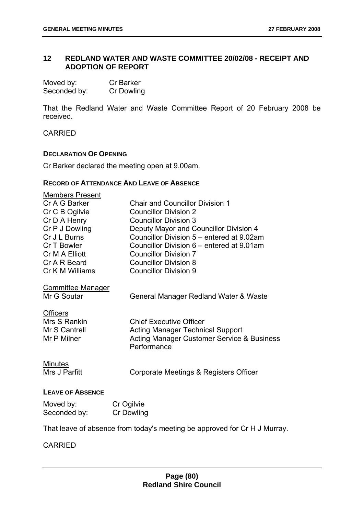# **12 REDLAND WATER AND WASTE COMMITTEE 20/02/08 - RECEIPT AND ADOPTION OF REPORT**

| Moved by:    | <b>Cr Barker</b> |
|--------------|------------------|
| Seconded by: | Cr Dowling       |

That the Redland Water and Waste Committee Report of 20 February 2008 be received.

CARRIED

#### **DECLARATION OF OPENING**

Cr Barker declared the meeting open at 9.00am.

### **RECORD OF ATTENDANCE AND LEAVE OF ABSENCE**

| <b>Members Present</b>   |                                                       |
|--------------------------|-------------------------------------------------------|
| Cr A G Barker            | <b>Chair and Councillor Division 1</b>                |
| Cr C B Ogilvie           | <b>Councillor Division 2</b>                          |
| Cr D A Henry             | <b>Councillor Division 3</b>                          |
| Cr P J Dowling           | Deputy Mayor and Councillor Division 4                |
| Cr J L Burns             | Councillor Division 5 – entered at 9.02am             |
| Cr T Bowler              | Councillor Division 6 - entered at 9.01am             |
| Cr M A Elliott           | <b>Councillor Division 7</b>                          |
| Cr A R Beard             | <b>Councillor Division 8</b>                          |
| Cr K M Williams          | <b>Councillor Division 9</b>                          |
| <b>Committee Manager</b> |                                                       |
| Mr G Soutar              | General Manager Redland Water & Waste                 |
|                          |                                                       |
| <b>Officers</b>          |                                                       |
| Mrs S Rankin             | <b>Chief Executive Officer</b>                        |
| Mr S Cantrell            | <b>Acting Manager Technical Support</b>               |
| Mr P Milner              | <b>Acting Manager Customer Service &amp; Business</b> |
|                          | Performance                                           |
| <b>Minutes</b>           |                                                       |
| Mrs J Parfitt            | Corporate Meetings & Registers Officer                |
|                          |                                                       |
| <b>LEAVE OF ABSENCE</b>  |                                                       |
| $M$ oved by:             | Cr Ogilvio                                            |

| Moved by:    | Cr Ogilvie |
|--------------|------------|
| Seconded by: | Cr Dowling |

That leave of absence from today's meeting be approved for Cr H J Murray.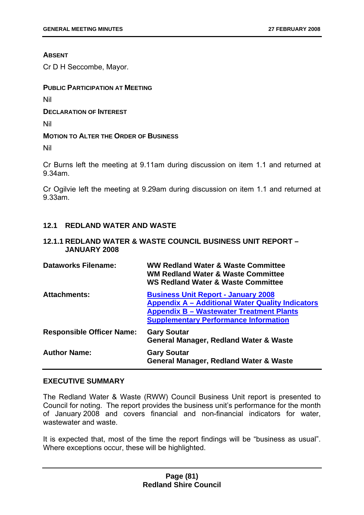### **ABSENT**

Cr D H Seccombe, Mayor.

## **PUBLIC PARTICIPATION AT MEETING**

Nil

**DECLARATION OF INTEREST**

Nil

## **MOTION TO ALTER THE ORDER OF BUSINESS**

Nil

Cr Burns left the meeting at 9.11am during discussion on item 1.1 and returned at 9.34am.

Cr Ogilvie left the meeting at 9.29am during discussion on item 1.1 and returned at 9.33am.

# **12.1 REDLAND WATER AND WASTE**

# **12.1.1 REDLAND WATER & WASTE COUNCIL BUSINESS UNIT REPORT – JANUARY 2008**

| <b>Dataworks Filename:</b>       | <b>WW Redland Water &amp; Waste Committee</b><br><b>WM Redland Water &amp; Waste Committee</b><br><b>WS Redland Water &amp; Waste Committee</b>                                                          |
|----------------------------------|----------------------------------------------------------------------------------------------------------------------------------------------------------------------------------------------------------|
| <b>Attachments:</b>              | <b>Business Unit Report - January 2008</b><br><b>Appendix A – Additional Water Quality Indicators</b><br><b>Appendix B - Wastewater Treatment Plants</b><br><b>Supplementary Performance Information</b> |
| <b>Responsible Officer Name:</b> | <b>Gary Soutar</b><br><b>General Manager, Redland Water &amp; Waste</b>                                                                                                                                  |
| <b>Author Name:</b>              | <b>Gary Soutar</b><br><b>General Manager, Redland Water &amp; Waste</b>                                                                                                                                  |

### **EXECUTIVE SUMMARY**

The Redland Water & Waste (RWW) Council Business Unit report is presented to Council for noting. The report provides the business unit's performance for the month of January 2008 and covers financial and non-financial indicators for water, wastewater and waste.

It is expected that, most of the time the report findings will be "business as usual". Where exceptions occur, these will be highlighted.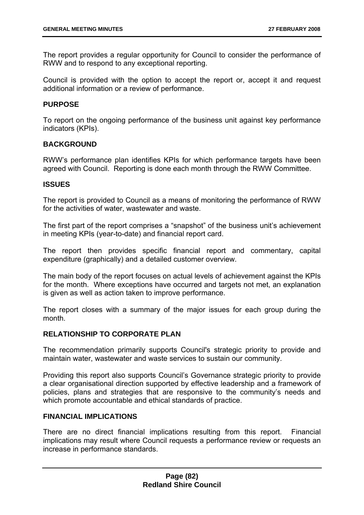The report provides a regular opportunity for Council to consider the performance of RWW and to respond to any exceptional reporting.

Council is provided with the option to accept the report or, accept it and request additional information or a review of performance.

### **PURPOSE**

To report on the ongoing performance of the business unit against key performance indicators (KPIs).

## **BACKGROUND**

RWW's performance plan identifies KPIs for which performance targets have been agreed with Council. Reporting is done each month through the RWW Committee.

### **ISSUES**

The report is provided to Council as a means of monitoring the performance of RWW for the activities of water, wastewater and waste.

The first part of the report comprises a "snapshot" of the business unit's achievement in meeting KPIs (year-to-date) and financial report card.

The report then provides specific financial report and commentary, capital expenditure (graphically) and a detailed customer overview.

The main body of the report focuses on actual levels of achievement against the KPIs for the month. Where exceptions have occurred and targets not met, an explanation is given as well as action taken to improve performance.

The report closes with a summary of the major issues for each group during the month.

# **RELATIONSHIP TO CORPORATE PLAN**

The recommendation primarily supports Council's strategic priority to provide and maintain water, wastewater and waste services to sustain our community.

Providing this report also supports Council's Governance strategic priority to provide a clear organisational direction supported by effective leadership and a framework of policies, plans and strategies that are responsive to the community's needs and which promote accountable and ethical standards of practice.

### **FINANCIAL IMPLICATIONS**

There are no direct financial implications resulting from this report. Financial implications may result where Council requests a performance review or requests an increase in performance standards.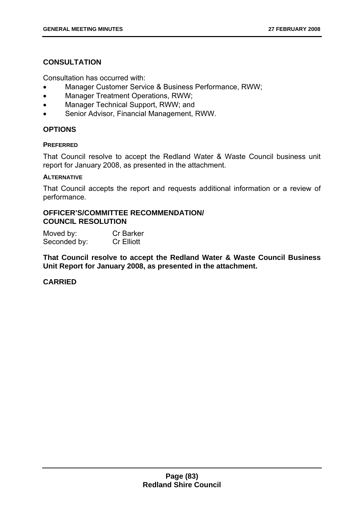# **CONSULTATION**

Consultation has occurred with:

- Manager Customer Service & Business Performance, RWW;
- Manager Treatment Operations, RWW;
- Manager Technical Support, RWW; and
- Senior Advisor, Financial Management, RWW.

# **OPTIONS**

### **PREFERRED**

That Council resolve to accept the Redland Water & Waste Council business unit report for January 2008, as presented in the attachment.

#### **ALTERNATIVE**

That Council accepts the report and requests additional information or a review of performance.

# **OFFICER'S/COMMITTEE RECOMMENDATION/ COUNCIL RESOLUTION**

| Moved by:    | <b>Cr Barker</b>  |
|--------------|-------------------|
| Seconded by: | <b>Cr Elliott</b> |

**That Council resolve to accept the Redland Water & Waste Council Business Unit Report for January 2008, as presented in the attachment.**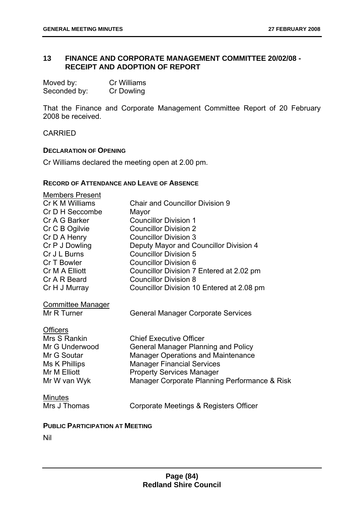# **13 FINANCE AND CORPORATE MANAGEMENT COMMITTEE 20/02/08 - RECEIPT AND ADOPTION OF REPORT**

| Moved by:    | Cr Williams       |
|--------------|-------------------|
| Seconded by: | <b>Cr Dowling</b> |

That the Finance and Corporate Management Committee Report of 20 February 2008 be received.

CARRIED

### **DECLARATION OF OPENING**

Cr Williams declared the meeting open at 2.00 pm.

#### **RECORD OF ATTENDANCE AND LEAVE OF ABSENCE**

| <b>Members Present</b><br>Cr K M Williams | <b>Chair and Councillor Division 9</b>                                  |
|-------------------------------------------|-------------------------------------------------------------------------|
| Cr D H Seccombe                           | Mayor                                                                   |
| Cr A G Barker                             | <b>Councillor Division 1</b>                                            |
| Cr C B Ogilvie                            | <b>Councillor Division 2</b>                                            |
| Cr D A Henry                              | <b>Councillor Division 3</b>                                            |
| Cr P J Dowling                            | Deputy Mayor and Councillor Division 4                                  |
| Cr J L Burns                              | <b>Councillor Division 5</b>                                            |
| Cr T Bowler                               | <b>Councillor Division 6</b>                                            |
| Cr M A Elliott                            | Councillor Division 7 Entered at 2.02 pm                                |
| Cr A R Beard                              | <b>Councillor Division 8</b>                                            |
| Cr H J Murray                             | Councillor Division 10 Entered at 2.08 pm                               |
| <b>Committee Manager</b><br>Mr R Turner   | <b>General Manager Corporate Services</b>                               |
| <b>Officers</b>                           |                                                                         |
| Mrs S Rankin                              | <b>Chief Executive Officer</b>                                          |
| Mr G Underwood                            | <b>General Manager Planning and Policy</b>                              |
| Mr G Soutar<br>Ms K Phillips              | Manager Operations and Maintenance<br><b>Manager Financial Services</b> |
| Mr M Elliott                              | <b>Property Services Manager</b>                                        |
| Mr W van Wyk                              | Manager Corporate Planning Performance & Risk                           |
|                                           |                                                                         |
| <b>Minutes</b>                            |                                                                         |
| Mrs J Thomas                              | Corporate Meetings & Registers Officer                                  |
|                                           |                                                                         |

## **PUBLIC PARTICIPATION AT MEETING**

Nil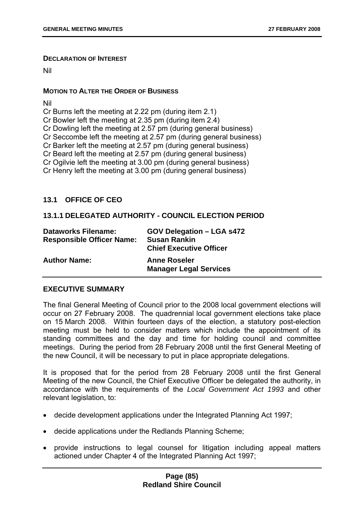#### **DECLARATION OF INTEREST**

Nil

### **MOTION TO ALTER THE ORDER OF BUSINESS**

Nil

Cr Burns left the meeting at 2.22 pm (during item 2.1)

Cr Bowler left the meeting at 2.35 pm (during item 2.4)

Cr Dowling left the meeting at 2.57 pm (during general business)

Cr Seccombe left the meeting at 2.57 pm (during general business)

Cr Barker left the meeting at 2.57 pm (during general business)

Cr Beard left the meeting at 2.57 pm (during general business)

Cr Ogilvie left the meeting at 3.00 pm (during general business)

Cr Henry left the meeting at 3.00 pm (during general business)

# **13.1 OFFICE OF CEO**

# **13.1.1 DELEGATED AUTHORITY - COUNCIL ELECTION PERIOD**

| <b>Dataworks Filename:</b><br><b>Responsible Officer Name:</b> | <b>GOV Delegation – LGA s472</b><br><b>Susan Rankin</b><br><b>Chief Executive Officer</b> |
|----------------------------------------------------------------|-------------------------------------------------------------------------------------------|
| <b>Author Name:</b>                                            | <b>Anne Roseler</b><br><b>Manager Legal Services</b>                                      |

# **EXECUTIVE SUMMARY**

The final General Meeting of Council prior to the 2008 local government elections will occur on 27 February 2008. The quadrennial local government elections take place on 15 March 2008. Within fourteen days of the election, a statutory post-election meeting must be held to consider matters which include the appointment of its standing committees and the day and time for holding council and committee meetings. During the period from 28 February 2008 until the first General Meeting of the new Council, it will be necessary to put in place appropriate delegations.

It is proposed that for the period from 28 February 2008 until the first General Meeting of the new Council, the Chief Executive Officer be delegated the authority, in accordance with the requirements of the *Local Government Act 1993* and other relevant legislation, to:

- decide development applications under the Integrated Planning Act 1997;
- decide applications under the Redlands Planning Scheme;
- provide instructions to legal counsel for litigation including appeal matters actioned under Chapter 4 of the Integrated Planning Act 1997;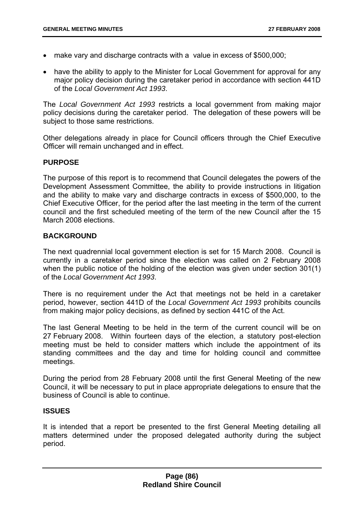- make vary and discharge contracts with a value in excess of \$500,000;
- have the ability to apply to the Minister for Local Government for approval for any major policy decision during the caretaker period in accordance with section 441D of the *Local Government Act 1993*.

The *Local Government Act 1993* restricts a local government from making major policy decisions during the caretaker period. The delegation of these powers will be subject to those same restrictions.

Other delegations already in place for Council officers through the Chief Executive Officer will remain unchanged and in effect.

## **PURPOSE**

The purpose of this report is to recommend that Council delegates the powers of the Development Assessment Committee, the ability to provide instructions in litigation and the ability to make vary and discharge contracts in excess of \$500,000, to the Chief Executive Officer, for the period after the last meeting in the term of the current council and the first scheduled meeting of the term of the new Council after the 15 March 2008 elections.

## **BACKGROUND**

The next quadrennial local government election is set for 15 March 2008. Council is currently in a caretaker period since the election was called on 2 February 2008 when the public notice of the holding of the election was given under section 301(1) of the *Local Government Act 1993*.

There is no requirement under the Act that meetings not be held in a caretaker period, however, section 441D of the *Local Government Act 1993* prohibits councils from making major policy decisions, as defined by section 441C of the Act.

The last General Meeting to be held in the term of the current council will be on 27 February 2008. Within fourteen days of the election, a statutory post-election meeting must be held to consider matters which include the appointment of its standing committees and the day and time for holding council and committee meetings.

During the period from 28 February 2008 until the first General Meeting of the new Council, it will be necessary to put in place appropriate delegations to ensure that the business of Council is able to continue.

### **ISSUES**

It is intended that a report be presented to the first General Meeting detailing all matters determined under the proposed delegated authority during the subject period.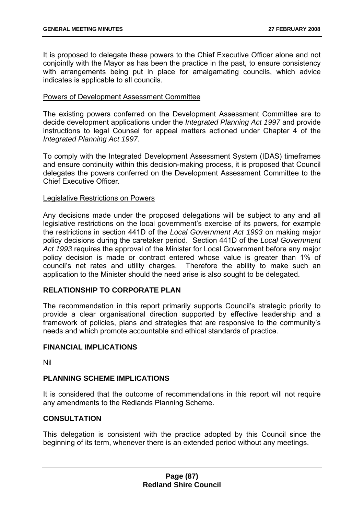It is proposed to delegate these powers to the Chief Executive Officer alone and not conjointly with the Mayor as has been the practice in the past, to ensure consistency with arrangements being put in place for amalgamating councils, which advice indicates is applicable to all councils.

### Powers of Development Assessment Committee

The existing powers conferred on the Development Assessment Committee are to decide development applications under the *Integrated Planning Act 1997* and provide instructions to legal Counsel for appeal matters actioned under Chapter 4 of the *Integrated Planning Act 1997*.

To comply with the Integrated Development Assessment System (IDAS) timeframes and ensure continuity within this decision-making process, it is proposed that Council delegates the powers conferred on the Development Assessment Committee to the Chief Executive Officer.

### Legislative Restrictions on Powers

Any decisions made under the proposed delegations will be subject to any and all legislative restrictions on the local government's exercise of its powers, for example the restrictions in section 441D of the *Local Government Act 1993* on making major policy decisions during the caretaker period. Section 441D of the *Local Government Act 1993* requires the approval of the Minister for Local Government before any major policy decision is made or contract entered whose value is greater than 1% of council's net rates and utility charges. Therefore the ability to make such an application to the Minister should the need arise is also sought to be delegated.

# **RELATIONSHIP TO CORPORATE PLAN**

The recommendation in this report primarily supports Council's strategic priority to provide a clear organisational direction supported by effective leadership and a framework of policies, plans and strategies that are responsive to the community's needs and which promote accountable and ethical standards of practice.

### **FINANCIAL IMPLICATIONS**

Nil

# **PLANNING SCHEME IMPLICATIONS**

It is considered that the outcome of recommendations in this report will not require any amendments to the Redlands Planning Scheme.

# **CONSULTATION**

This delegation is consistent with the practice adopted by this Council since the beginning of its term, whenever there is an extended period without any meetings.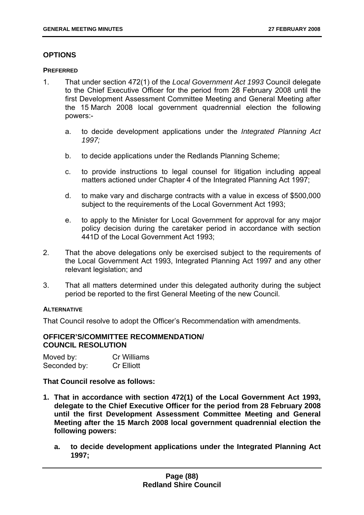# **OPTIONS**

#### **PREFERRED**

- 1. That under section 472(1) of the *Local Government Act 1993* Council delegate to the Chief Executive Officer for the period from 28 February 2008 until the first Development Assessment Committee Meeting and General Meeting after the 15 March 2008 local government quadrennial election the following powers:
	- a. to decide development applications under the *Integrated Planning Act 1997;*
	- b. to decide applications under the Redlands Planning Scheme;
	- c. to provide instructions to legal counsel for litigation including appeal matters actioned under Chapter 4 of the Integrated Planning Act 1997;
	- d. to make vary and discharge contracts with a value in excess of \$500,000 subject to the requirements of the Local Government Act 1993;
	- e. to apply to the Minister for Local Government for approval for any major policy decision during the caretaker period in accordance with section 441D of the Local Government Act 1993;
- 2. That the above delegations only be exercised subject to the requirements of the Local Government Act 1993, Integrated Planning Act 1997 and any other relevant legislation; and
- 3. That all matters determined under this delegated authority during the subject period be reported to the first General Meeting of the new Council.

### **ALTERNATIVE**

That Council resolve to adopt the Officer's Recommendation with amendments.

#### **OFFICER'S/COMMITTEE RECOMMENDATION/ COUNCIL RESOLUTION**

| Moved by:    | <b>Cr Williams</b> |
|--------------|--------------------|
| Seconded by: | <b>Cr Elliott</b>  |

**That Council resolve as follows:** 

- **1. That in accordance with section 472(1) of the Local Government Act 1993, delegate to the Chief Executive Officer for the period from 28 February 2008 until the first Development Assessment Committee Meeting and General Meeting after the 15 March 2008 local government quadrennial election the following powers:** 
	- **a. to decide development applications under the Integrated Planning Act 1997;**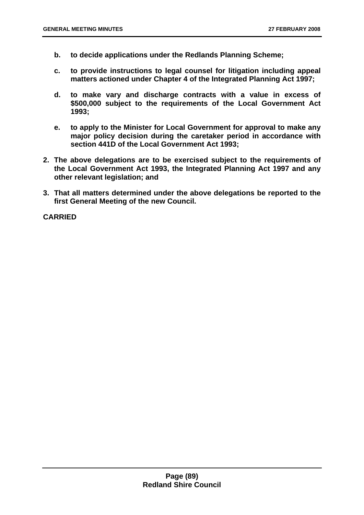- **b. to decide applications under the Redlands Planning Scheme;**
- **c. to provide instructions to legal counsel for litigation including appeal matters actioned under Chapter 4 of the Integrated Planning Act 1997;**
- **d. to make vary and discharge contracts with a value in excess of \$500,000 subject to the requirements of the Local Government Act 1993;**
- **e. to apply to the Minister for Local Government for approval to make any major policy decision during the caretaker period in accordance with section 441D of the Local Government Act 1993;**
- **2. The above delegations are to be exercised subject to the requirements of the Local Government Act 1993, the Integrated Planning Act 1997 and any other relevant legislation; and**
- **3. That all matters determined under the above delegations be reported to the first General Meeting of the new Council.**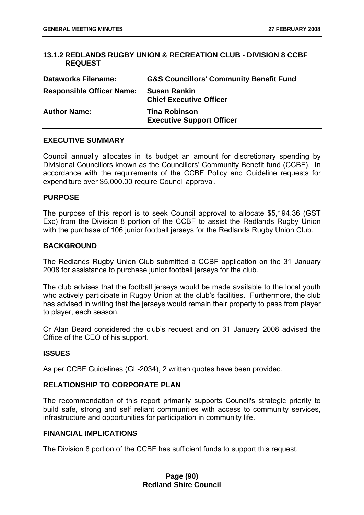## **13.1.2 REDLANDS RUGBY UNION & RECREATION CLUB - DIVISION 8 CCBF REQUEST**

| <b>Dataworks Filename:</b>       | <b>G&amp;S Councillors' Community Benefit Fund</b>       |
|----------------------------------|----------------------------------------------------------|
| <b>Responsible Officer Name:</b> | <b>Susan Rankin</b><br><b>Chief Executive Officer</b>    |
| <b>Author Name:</b>              | <b>Tina Robinson</b><br><b>Executive Support Officer</b> |

## **EXECUTIVE SUMMARY**

Council annually allocates in its budget an amount for discretionary spending by Divisional Councillors known as the Councillors' Community Benefit fund (CCBF). In accordance with the requirements of the CCBF Policy and Guideline requests for expenditure over \$5,000.00 require Council approval.

### **PURPOSE**

The purpose of this report is to seek Council approval to allocate \$5,194.36 (GST Exc) from the Division 8 portion of the CCBF to assist the Redlands Rugby Union with the purchase of 106 junior football jerseys for the Redlands Rugby Union Club.

## **BACKGROUND**

The Redlands Rugby Union Club submitted a CCBF application on the 31 January 2008 for assistance to purchase junior football jerseys for the club.

The club advises that the football jerseys would be made available to the local youth who actively participate in Rugby Union at the club's facilities. Furthermore, the club has advised in writing that the jerseys would remain their property to pass from player to player, each season.

Cr Alan Beard considered the club's request and on 31 January 2008 advised the Office of the CEO of his support.

# **ISSUES**

As per CCBF Guidelines (GL-2034), 2 written quotes have been provided.

# **RELATIONSHIP TO CORPORATE PLAN**

The recommendation of this report primarily supports Council's strategic priority to build safe, strong and self reliant communities with access to community services, infrastructure and opportunities for participation in community life.

### **FINANCIAL IMPLICATIONS**

The Division 8 portion of the CCBF has sufficient funds to support this request.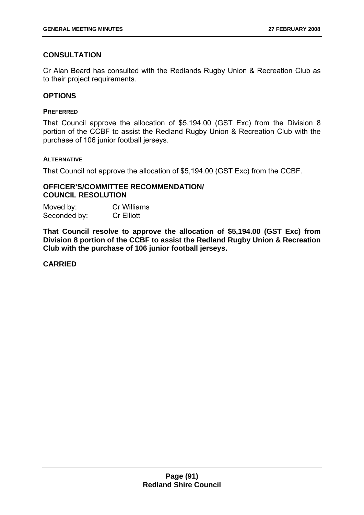# **CONSULTATION**

Cr Alan Beard has consulted with the Redlands Rugby Union & Recreation Club as to their project requirements.

## **OPTIONS**

#### **PREFERRED**

That Council approve the allocation of \$5,194.00 (GST Exc) from the Division 8 portion of the CCBF to assist the Redland Rugby Union & Recreation Club with the purchase of 106 junior football jerseys.

### **ALTERNATIVE**

That Council not approve the allocation of \$5,194.00 (GST Exc) from the CCBF.

### **OFFICER'S/COMMITTEE RECOMMENDATION/ COUNCIL RESOLUTION**

Moved by: Cr Williams Seconded by: Cr Elliott

**That Council resolve to approve the allocation of \$5,194.00 (GST Exc) from Division 8 portion of the CCBF to assist the Redland Rugby Union & Recreation Club with the purchase of 106 junior football jerseys.**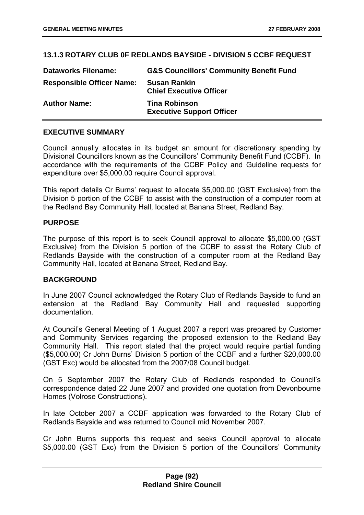# **13.1.3 ROTARY CLUB 0F REDLANDS BAYSIDE - DIVISION 5 CCBF REQUEST**

| <b>Dataworks Filename:</b>       | <b>G&amp;S Councillors' Community Benefit Fund</b>       |
|----------------------------------|----------------------------------------------------------|
| <b>Responsible Officer Name:</b> | <b>Susan Rankin</b><br><b>Chief Executive Officer</b>    |
| <b>Author Name:</b>              | <b>Tina Robinson</b><br><b>Executive Support Officer</b> |

### **EXECUTIVE SUMMARY**

Council annually allocates in its budget an amount for discretionary spending by Divisional Councillors known as the Councillors' Community Benefit Fund (CCBF). In accordance with the requirements of the CCBF Policy and Guideline requests for expenditure over \$5,000.00 require Council approval.

This report details Cr Burns' request to allocate \$5,000.00 (GST Exclusive) from the Division 5 portion of the CCBF to assist with the construction of a computer room at the Redland Bay Community Hall, located at Banana Street, Redland Bay.

### **PURPOSE**

The purpose of this report is to seek Council approval to allocate \$5,000.00 (GST Exclusive) from the Division 5 portion of the CCBF to assist the Rotary Club of Redlands Bayside with the construction of a computer room at the Redland Bay Community Hall, located at Banana Street, Redland Bay.

### **BACKGROUND**

In June 2007 Council acknowledged the Rotary Club of Redlands Bayside to fund an extension at the Redland Bay Community Hall and requested supporting documentation.

At Council's General Meeting of 1 August 2007 a report was prepared by Customer and Community Services regarding the proposed extension to the Redland Bay Community Hall. This report stated that the project would require partial funding (\$5,000.00) Cr John Burns' Division 5 portion of the CCBF and a further \$20,000.00 (GST Exc) would be allocated from the 2007/08 Council budget.

On 5 September 2007 the Rotary Club of Redlands responded to Council's correspondence dated 22 June 2007 and provided one quotation from Devonbourne Homes (Volrose Constructions).

In late October 2007 a CCBF application was forwarded to the Rotary Club of Redlands Bayside and was returned to Council mid November 2007.

Cr John Burns supports this request and seeks Council approval to allocate \$5,000.00 (GST Exc) from the Division 5 portion of the Councillors' Community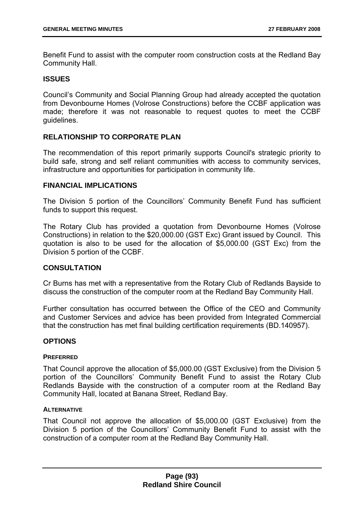Benefit Fund to assist with the computer room construction costs at the Redland Bay Community Hall.

## **ISSUES**

Council's Community and Social Planning Group had already accepted the quotation from Devonbourne Homes (Volrose Constructions) before the CCBF application was made; therefore it was not reasonable to request quotes to meet the CCBF guidelines.

# **RELATIONSHIP TO CORPORATE PLAN**

The recommendation of this report primarily supports Council's strategic priority to build safe, strong and self reliant communities with access to community services, infrastructure and opportunities for participation in community life.

#### **FINANCIAL IMPLICATIONS**

The Division 5 portion of the Councillors' Community Benefit Fund has sufficient funds to support this request.

The Rotary Club has provided a quotation from Devonbourne Homes (Volrose Constructions) in relation to the \$20,000.00 (GST Exc) Grant issued by Council. This quotation is also to be used for the allocation of \$5,000.00 (GST Exc) from the Division 5 portion of the CCBF.

## **CONSULTATION**

Cr Burns has met with a representative from the Rotary Club of Redlands Bayside to discuss the construction of the computer room at the Redland Bay Community Hall.

Further consultation has occurred between the Office of the CEO and Community and Customer Services and advice has been provided from Integrated Commercial that the construction has met final building certification requirements (BD.140957).

### **OPTIONS**

### **PREFERRED**

That Council approve the allocation of \$5,000.00 (GST Exclusive) from the Division 5 portion of the Councillors' Community Benefit Fund to assist the Rotary Club Redlands Bayside with the construction of a computer room at the Redland Bay Community Hall, located at Banana Street, Redland Bay.

### **ALTERNATIVE**

That Council not approve the allocation of \$5,000.00 (GST Exclusive) from the Division 5 portion of the Councillors' Community Benefit Fund to assist with the construction of a computer room at the Redland Bay Community Hall.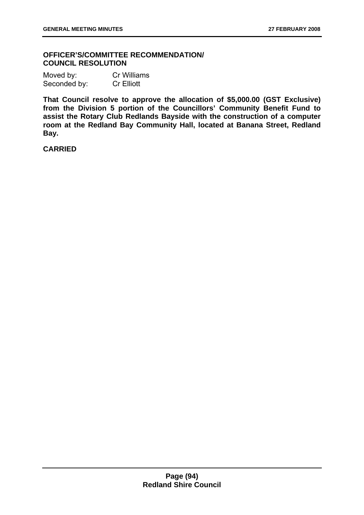## **OFFICER'S/COMMITTEE RECOMMENDATION/ COUNCIL RESOLUTION**

| Moved by:    | <b>Cr Williams</b> |
|--------------|--------------------|
| Seconded by: | <b>Cr Elliott</b>  |

**That Council resolve to approve the allocation of \$5,000.00 (GST Exclusive) from the Division 5 portion of the Councillors' Community Benefit Fund to assist the Rotary Club Redlands Bayside with the construction of a computer room at the Redland Bay Community Hall, located at Banana Street, Redland Bay.**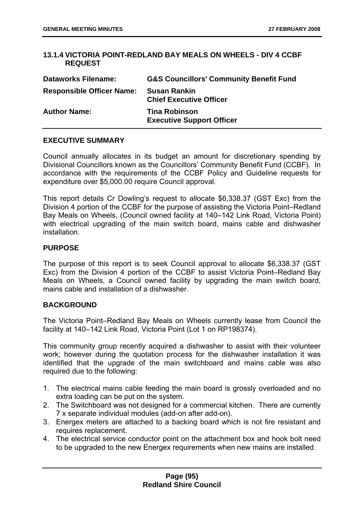## **13.1.4 VICTORIA POINT-REDLAND BAY MEALS ON WHEELS - DIV 4 CCBF REQUEST**

| <b>Dataworks Filename:</b>       | <b>G&amp;S Councillors' Community Benefit Fund</b>       |
|----------------------------------|----------------------------------------------------------|
| <b>Responsible Officer Name:</b> | <b>Susan Rankin</b><br><b>Chief Executive Officer</b>    |
| <b>Author Name:</b>              | <b>Tina Robinson</b><br><b>Executive Support Officer</b> |

## **EXECUTIVE SUMMARY**

Council annually allocates in its budget an amount for discretionary spending by Divisional Councillors known as the Councillors' Community Benefit Fund (CCBF). In accordance with the requirements of the CCBF Policy and Guideline requests for expenditure over \$5,000.00 require Council approval.

This report details Cr Dowling's request to allocate \$6,338.37 (GST Exc) from the Division 4 portion of the CCBF for the purpose of assisting the Victoria Point–Redland Bay Meals on Wheels, (Council owned facility at 140–142 Link Road, Victoria Point) with electrical upgrading of the main switch board, mains cable and dishwasher installation.

### **PURPOSE**

The purpose of this report is to seek Council approval to allocate \$6,338.37 (GST Exc) from the Division 4 portion of the CCBF to assist Victoria Point–Redland Bay Meals on Wheels, a Council owned facility by upgrading the main switch board, mains cable and installation of a dishwasher.

### **BACKGROUND**

The Victoria Point–Redland Bay Meals on Wheels currently lease from Council the facility at 140–142 Link Road, Victoria Point (Lot 1 on RP198374).

This community group recently acquired a dishwasher to assist with their volunteer work; however during the quotation process for the dishwasher installation it was identified that the upgrade of the main switchboard and mains cable was also required due to the following:

- 1. The electrical mains cable feeding the main board is grossly overloaded and no extra loading can be put on the system.
- 2. The Switchboard was not designed for a commercial kitchen. There are currently 7 x separate individual modules (add-on after add-on).
- 3. Energex meters are attached to a backing board which is not fire resistant and requires replacement.
- 4. The electrical service conductor point on the attachment box and hook bolt need to be upgraded to the new Energex requirements when new mains are installed.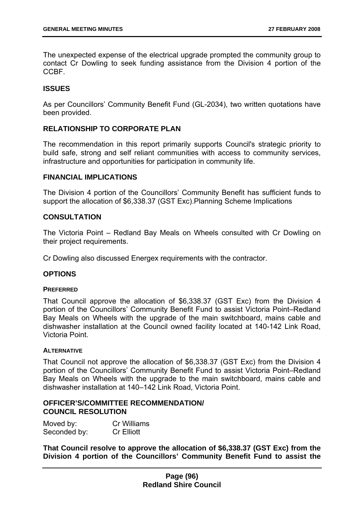The unexpected expense of the electrical upgrade prompted the community group to contact Cr Dowling to seek funding assistance from the Division 4 portion of the **CCBF** 

## **ISSUES**

As per Councillors' Community Benefit Fund (GL-2034), two written quotations have been provided.

## **RELATIONSHIP TO CORPORATE PLAN**

The recommendation in this report primarily supports Council's strategic priority to build safe, strong and self reliant communities with access to community services, infrastructure and opportunities for participation in community life.

### **FINANCIAL IMPLICATIONS**

The Division 4 portion of the Councillors' Community Benefit has sufficient funds to support the allocation of \$6,338.37 (GST Exc).Planning Scheme Implications

## **CONSULTATION**

The Victoria Point – Redland Bay Meals on Wheels consulted with Cr Dowling on their project requirements.

Cr Dowling also discussed Energex requirements with the contractor.

### **OPTIONS**

#### **PREFERRED**

That Council approve the allocation of \$6,338.37 (GST Exc) from the Division 4 portion of the Councillors' Community Benefit Fund to assist Victoria Point–Redland Bay Meals on Wheels with the upgrade of the main switchboard, mains cable and dishwasher installation at the Council owned facility located at 140-142 Link Road, Victoria Point.

#### **ALTERNATIVE**

That Council not approve the allocation of \$6,338.37 (GST Exc) from the Division 4 portion of the Councillors' Community Benefit Fund to assist Victoria Point–Redland Bay Meals on Wheels with the upgrade to the main switchboard, mains cable and dishwasher installation at 140–142 Link Road, Victoria Point.

### **OFFICER'S/COMMITTEE RECOMMENDATION/ COUNCIL RESOLUTION**

Moved by: Cr Williams Seconded by: Cr Elliott

**That Council resolve to approve the allocation of \$6,338.37 (GST Exc) from the Division 4 portion of the Councillors' Community Benefit Fund to assist the**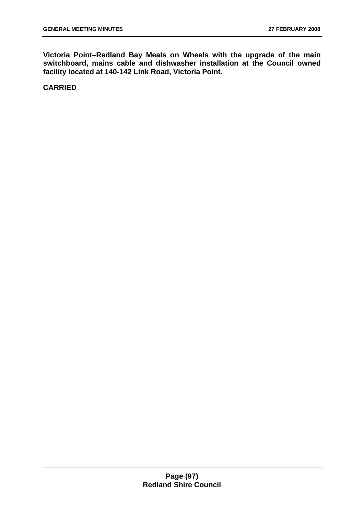**Victoria Point–Redland Bay Meals on Wheels with the upgrade of the main switchboard, mains cable and dishwasher installation at the Council owned facility located at 140-142 Link Road, Victoria Point.**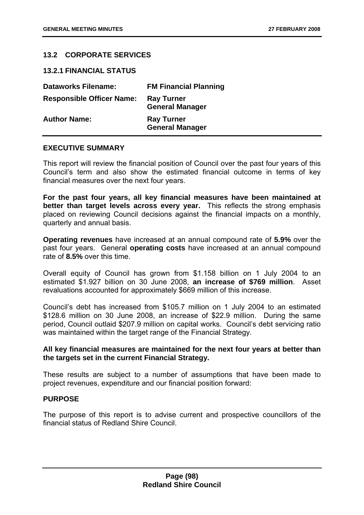# **13.2 CORPORATE SERVICES**

**13.2.1 FINANCIAL STATUS** 

| <b>Dataworks Filename:</b>       | <b>FM Financial Planning</b>                |
|----------------------------------|---------------------------------------------|
| <b>Responsible Officer Name:</b> | <b>Ray Turner</b><br><b>General Manager</b> |
| <b>Author Name:</b>              | <b>Ray Turner</b><br><b>General Manager</b> |

### **EXECUTIVE SUMMARY**

This report will review the financial position of Council over the past four years of this Council's term and also show the estimated financial outcome in terms of key financial measures over the next four years.

**For the past four years, all key financial measures have been maintained at better than target levels across every year.** This reflects the strong emphasis placed on reviewing Council decisions against the financial impacts on a monthly, quarterly and annual basis.

**Operating revenues** have increased at an annual compound rate of **5.9%** over the past four years. General **operating costs** have increased at an annual compound rate of **8.5%** over this time.

Overall equity of Council has grown from \$1.158 billion on 1 July 2004 to an estimated \$1.927 billion on 30 June 2008, **an increase of \$769 million**. Asset revaluations accounted for approximately \$669 million of this increase.

Council's debt has increased from \$105.7 million on 1 July 2004 to an estimated \$128.6 million on 30 June 2008, an increase of \$22.9 million. During the same period, Council outlaid \$207.9 million on capital works. Council's debt servicing ratio was maintained within the target range of the Financial Strategy.

## **All key financial measures are maintained for the next four years at better than the targets set in the current Financial Strategy.**

These results are subject to a number of assumptions that have been made to project revenues, expenditure and our financial position forward:

### **PURPOSE**

The purpose of this report is to advise current and prospective councillors of the financial status of Redland Shire Council.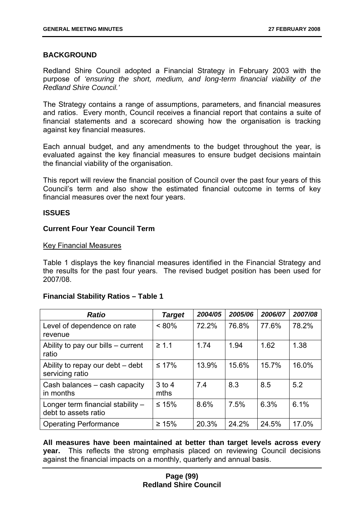### **BACKGROUND**

Redland Shire Council adopted a Financial Strategy in February 2003 with the purpose of *'ensuring the short, medium, and long-term financial viability of the Redland Shire Council.'*

The Strategy contains a range of assumptions, parameters, and financial measures and ratios. Every month, Council receives a financial report that contains a suite of financial statements and a scorecard showing how the organisation is tracking against key financial measures.

Each annual budget, and any amendments to the budget throughout the year, is evaluated against the key financial measures to ensure budget decisions maintain the financial viability of the organisation.

This report will review the financial position of Council over the past four years of this Council's term and also show the estimated financial outcome in terms of key financial measures over the next four years.

### **ISSUES**

### **Current Four Year Council Term**

#### Key Financial Measures

Table 1 displays the key financial measures identified in the Financial Strategy and the results for the past four years. The revised budget position has been used for 2007/08.

### **Financial Stability Ratios – Table 1**

| <b>Ratio</b>                                              | <b>Target</b>    | 2004/05 | 2005/06 | 2006/07 | 2007/08 |
|-----------------------------------------------------------|------------------|---------|---------|---------|---------|
| Level of dependence on rate<br>revenue                    | $< 80\%$         | 72.2%   | 76.8%   | 77.6%   | 78.2%   |
| Ability to pay our bills - current<br>ratio               | $\geq 1.1$       | 1.74    | 1.94    | 1.62    | 1.38    |
| Ability to repay our debt - debt<br>servicing ratio       | $\leq 17\%$      | 13.9%   | 15.6%   | 15.7%   | 16.0%   |
| Cash balances – cash capacity<br>in months                | $3$ to 4<br>mths | 7.4     | 8.3     | 8.5     | 5.2     |
| Longer term financial stability -<br>debt to assets ratio | $≤ 15%$          | 8.6%    | 7.5%    | 6.3%    | 6.1%    |
| <b>Operating Performance</b>                              | $\geq 15\%$      | 20.3%   | 24.2%   | 24.5%   | 17.0%   |

**All measures have been maintained at better than target levels across every year.** This reflects the strong emphasis placed on reviewing Council decisions against the financial impacts on a monthly, quarterly and annual basis.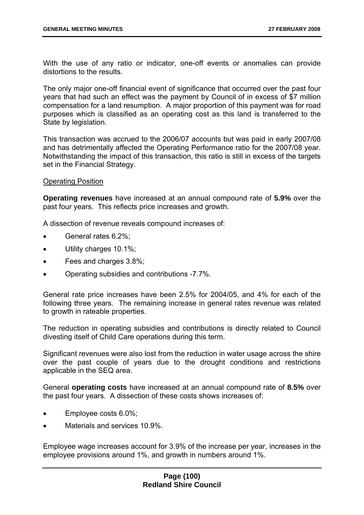With the use of any ratio or indicator, one-off events or anomalies can provide distortions to the results.

The only major one-off financial event of significance that occurred over the past four years that had such an effect was the payment by Council of in excess of \$7 million compensation for a land resumption. A major proportion of this payment was for road purposes which is classified as an operating cost as this land is transferred to the State by legislation.

This transaction was accrued to the 2006/07 accounts but was paid in early 2007/08 and has detrimentally affected the Operating Performance ratio for the 2007/08 year. Notwithstanding the impact of this transaction, this ratio is still in excess of the targets set in the Financial Strategy.

### Operating Position

**Operating revenues** have increased at an annual compound rate of **5.9%** over the past four years. This reflects price increases and growth.

A dissection of revenue reveals compound increases of:

- General rates 6.2%;
- Utility charges 10.1%;
- Fees and charges 3.8%;
- Operating subsidies and contributions -7.7%.

General rate price increases have been 2.5% for 2004/05, and 4% for each of the following three years. The remaining increase in general rates revenue was related to growth in rateable properties.

The reduction in operating subsidies and contributions is directly related to Council divesting itself of Child Care operations during this term.

Significant revenues were also lost from the reduction in water usage across the shire over the past couple of years due to the drought conditions and restrictions applicable in the SEQ area.

General **operating costs** have increased at an annual compound rate of **8.5%** over the past four years. A dissection of these costs shows increases of:

- Employee costs 6.0%;
- Materials and services 10.9%.

Employee wage increases account for 3.9% of the increase per year, increases in the employee provisions around 1%, and growth in numbers around 1%.

## **Page (100) Redland Shire Council**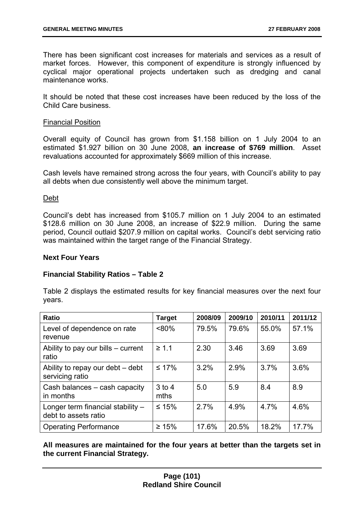There has been significant cost increases for materials and services as a result of market forces. However, this component of expenditure is strongly influenced by cyclical major operational projects undertaken such as dredging and canal maintenance works.

It should be noted that these cost increases have been reduced by the loss of the Child Care business.

### Financial Position

Overall equity of Council has grown from \$1.158 billion on 1 July 2004 to an estimated \$1.927 billion on 30 June 2008, **an increase of \$769 million**. Asset revaluations accounted for approximately \$669 million of this increase.

Cash levels have remained strong across the four years, with Council's ability to pay all debts when due consistently well above the minimum target.

### Debt

Council's debt has increased from \$105.7 million on 1 July 2004 to an estimated \$128.6 million on 30 June 2008, an increase of \$22.9 million. During the same period, Council outlaid \$207.9 million on capital works. Council's debt servicing ratio was maintained within the target range of the Financial Strategy.

### **Next Four Years**

### **Financial Stability Ratios – Table 2**

Table 2 displays the estimated results for key financial measures over the next four years.

| <b>Ratio</b>                                              | <b>Target</b>    | 2008/09 | 2009/10 | 2010/11 | 2011/12 |
|-----------------------------------------------------------|------------------|---------|---------|---------|---------|
| Level of dependence on rate<br>revenue                    | $< 80\%$         | 79.5%   | 79.6%   | 55.0%   | 57.1%   |
| Ability to pay our bills – current<br>ratio               | $\geq 1.1$       | 2.30    | 3.46    | 3.69    | 3.69    |
| Ability to repay our debt – debt<br>servicing ratio       | $\leq 17\%$      | 3.2%    | 2.9%    | 3.7%    | 3.6%    |
| Cash balances - cash capacity<br>in months                | $3$ to 4<br>mths | 5.0     | 5.9     | 8.4     | 8.9     |
| Longer term financial stability -<br>debt to assets ratio | $≤ 15%$          | 2.7%    | 4.9%    | 4.7%    | 4.6%    |
| <b>Operating Performance</b>                              | $\geq 15\%$      | 17.6%   | 20.5%   | 18.2%   | 17.7%   |

**All measures are maintained for the four years at better than the targets set in the current Financial Strategy.**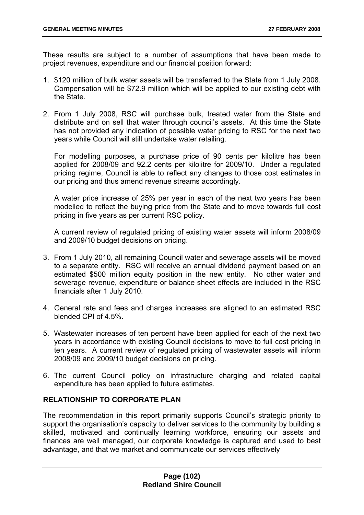These results are subject to a number of assumptions that have been made to project revenues, expenditure and our financial position forward:

- 1. \$120 million of bulk water assets will be transferred to the State from 1 July 2008. Compensation will be \$72.9 million which will be applied to our existing debt with the State.
- 2. From 1 July 2008, RSC will purchase bulk, treated water from the State and distribute and on sell that water through council's assets. At this time the State has not provided any indication of possible water pricing to RSC for the next two years while Council will still undertake water retailing.

For modelling purposes, a purchase price of 90 cents per kilolitre has been applied for 2008/09 and 92.2 cents per kilolitre for 2009/10. Under a regulated pricing regime, Council is able to reflect any changes to those cost estimates in our pricing and thus amend revenue streams accordingly.

A water price increase of 25% per year in each of the next two years has been modelled to reflect the buying price from the State and to move towards full cost pricing in five years as per current RSC policy.

A current review of regulated pricing of existing water assets will inform 2008/09 and 2009/10 budget decisions on pricing.

- 3. From 1 July 2010, all remaining Council water and sewerage assets will be moved to a separate entity. RSC will receive an annual dividend payment based on an estimated \$500 million equity position in the new entity. No other water and sewerage revenue, expenditure or balance sheet effects are included in the RSC financials after 1 July 2010.
- 4. General rate and fees and charges increases are aligned to an estimated RSC blended CPI of 4.5%.
- 5. Wastewater increases of ten percent have been applied for each of the next two years in accordance with existing Council decisions to move to full cost pricing in ten years. A current review of regulated pricing of wastewater assets will inform 2008/09 and 2009/10 budget decisions on pricing.
- 6. The current Council policy on infrastructure charging and related capital expenditure has been applied to future estimates.

# **RELATIONSHIP TO CORPORATE PLAN**

The recommendation in this report primarily supports Council's strategic priority to support the organisation's capacity to deliver services to the community by building a skilled, motivated and continually learning workforce, ensuring our assets and finances are well managed, our corporate knowledge is captured and used to best advantage, and that we market and communicate our services effectively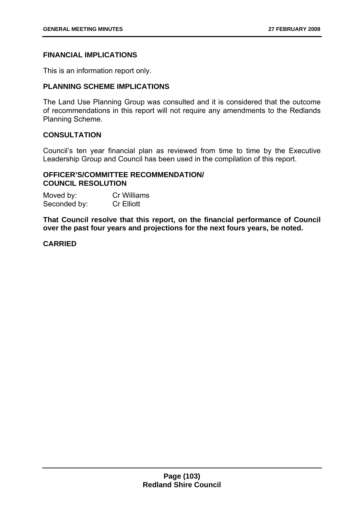### **FINANCIAL IMPLICATIONS**

This is an information report only.

### **PLANNING SCHEME IMPLICATIONS**

The Land Use Planning Group was consulted and it is considered that the outcome of recommendations in this report will not require any amendments to the Redlands Planning Scheme.

## **CONSULTATION**

Council's ten year financial plan as reviewed from time to time by the Executive Leadership Group and Council has been used in the compilation of this report.

## **OFFICER'S/COMMITTEE RECOMMENDATION/ COUNCIL RESOLUTION**

| Moved by:    | <b>Cr Williams</b> |
|--------------|--------------------|
| Seconded by: | <b>Cr Elliott</b>  |

**That Council resolve that this report, on the financial performance of Council over the past four years and projections for the next fours years, be noted.**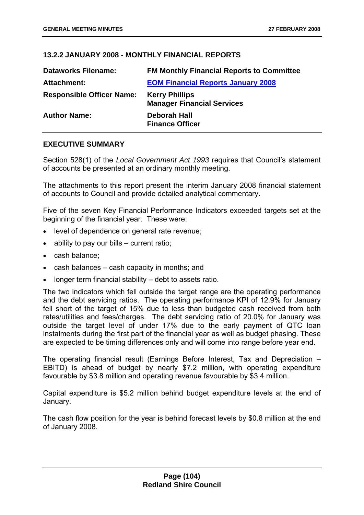## **13.2.2 JANUARY 2008 - MONTHLY FINANCIAL REPORTS**

| <b>Dataworks Filename:</b>       | <b>FM Monthly Financial Reports to Committee</b>           |
|----------------------------------|------------------------------------------------------------|
| <b>Attachment:</b>               | <b>EOM Financial Reports January 2008</b>                  |
| <b>Responsible Officer Name:</b> | <b>Kerry Phillips</b><br><b>Manager Financial Services</b> |
| <b>Author Name:</b>              | <b>Deborah Hall</b><br><b>Finance Officer</b>              |

### **EXECUTIVE SUMMARY**

Section 528(1) of the *Local Government Act 1993* requires that Council's statement of accounts be presented at an ordinary monthly meeting.

The attachments to this report present the interim January 2008 financial statement of accounts to Council and provide detailed analytical commentary.

Five of the seven Key Financial Performance Indicators exceeded targets set at the beginning of the financial year. These were:

- level of dependence on general rate revenue;
- ability to pay our bills current ratio;
- cash balance;
- cash balances cash capacity in months; and
- longer term financial stability debt to assets ratio.

The two indicators which fell outside the target range are the operating performance and the debt servicing ratios. The operating performance KPI of 12.9% for January fell short of the target of 15% due to less than budgeted cash received from both rates/utilities and fees/charges. The debt servicing ratio of 20.0% for January was outside the target level of under 17% due to the early payment of QTC loan instalments during the first part of the financial year as well as budget phasing. These are expected to be timing differences only and will come into range before year end.

The operating financial result (Earnings Before Interest, Tax and Depreciation – EBITD) is ahead of budget by nearly \$7.2 million, with operating expenditure favourable by \$3.8 million and operating revenue favourable by \$3.4 million.

Capital expenditure is \$5.2 million behind budget expenditure levels at the end of January.

The cash flow position for the year is behind forecast levels by \$0.8 million at the end of January 2008.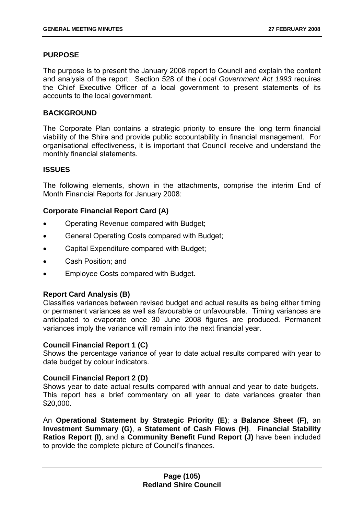### **PURPOSE**

The purpose is to present the January 2008 report to Council and explain the content and analysis of the report. Section 528 of the *Local Government Act 1993* requires the Chief Executive Officer of a local government to present statements of its accounts to the local government.

### **BACKGROUND**

The Corporate Plan contains a strategic priority to ensure the long term financial viability of the Shire and provide public accountability in financial management. For organisational effectiveness, it is important that Council receive and understand the monthly financial statements.

#### **ISSUES**

The following elements, shown in the attachments, comprise the interim End of Month Financial Reports for January 2008:

### **Corporate Financial Report Card (A)**

- Operating Revenue compared with Budget;
- General Operating Costs compared with Budget;
- Capital Expenditure compared with Budget;
- Cash Position; and
- Employee Costs compared with Budget.

### **Report Card Analysis (B)**

Classifies variances between revised budget and actual results as being either timing or permanent variances as well as favourable or unfavourable. Timing variances are anticipated to evaporate once 30 June 2008 figures are produced. Permanent variances imply the variance will remain into the next financial year.

#### **Council Financial Report 1 (C)**

Shows the percentage variance of year to date actual results compared with year to date budget by colour indicators.

### **Council Financial Report 2 (D)**

Shows year to date actual results compared with annual and year to date budgets. This report has a brief commentary on all year to date variances greater than \$20,000.

An **Operational Statement by Strategic Priority (E)**; a **Balance Sheet (F)**, an **Investment Summary (G)**, a **Statement of Cash Flows (H)**, **Financial Stability Ratios Report (I)**, and a **Community Benefit Fund Report (J)** have been included to provide the complete picture of Council's finances.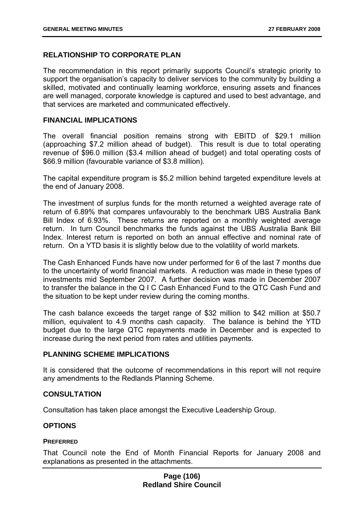# **RELATIONSHIP TO CORPORATE PLAN**

The recommendation in this report primarily supports Council's strategic priority to support the organisation's capacity to deliver services to the community by building a skilled, motivated and continually learning workforce, ensuring assets and finances are well managed, corporate knowledge is captured and used to best advantage, and that services are marketed and communicated effectively.

#### **FINANCIAL IMPLICATIONS**

The overall financial position remains strong with EBITD of \$29.1 million (approaching \$7.2 million ahead of budget). This result is due to total operating revenue of \$96.0 million (\$3.4 million ahead of budget) and total operating costs of \$66.9 million (favourable variance of \$3.8 million).

The capital expenditure program is \$5.2 million behind targeted expenditure levels at the end of January 2008.

The investment of surplus funds for the month returned a weighted average rate of return of 6.89% that compares unfavourably to the benchmark UBS Australia Bank Bill Index of 6.93%. These returns are reported on a monthly weighted average return. In turn Council benchmarks the funds against the UBS Australia Bank Bill Index. Interest return is reported on both an annual effective and nominal rate of return. On a YTD basis it is slightly below due to the volatility of world markets.

The Cash Enhanced Funds have now under performed for 6 of the last 7 months due to the uncertainty of world financial markets. A reduction was made in these types of investments mid September 2007. A further decision was made in December 2007 to transfer the balance in the Q I C Cash Enhanced Fund to the QTC Cash Fund and the situation to be kept under review during the coming months.

The cash balance exceeds the target range of \$32 million to \$42 million at \$50.7 million, equivalent to 4.9 months cash capacity. The balance is behind the YTD budget due to the large QTC repayments made in December and is expected to increase during the next period from rates and utilities payments.

### **PLANNING SCHEME IMPLICATIONS**

It is considered that the outcome of recommendations in this report will not require any amendments to the Redlands Planning Scheme.

### **CONSULTATION**

Consultation has taken place amongst the Executive Leadership Group.

### **OPTIONS**

#### **PREFERRED**

That Council note the End of Month Financial Reports for January 2008 and explanations as presented in the attachments.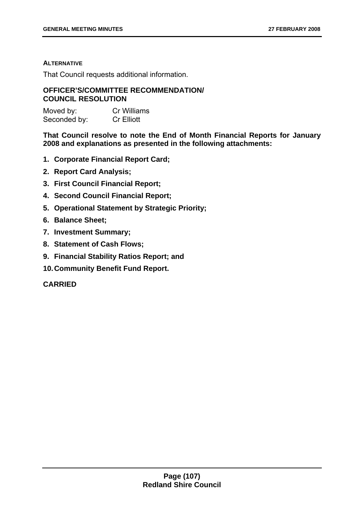#### **ALTERNATIVE**

That Council requests additional information.

### **OFFICER'S/COMMITTEE RECOMMENDATION/ COUNCIL RESOLUTION**

| Moved by:    | <b>Cr Williams</b> |
|--------------|--------------------|
| Seconded by: | <b>Cr Elliott</b>  |

**That Council resolve to note the End of Month Financial Reports for January 2008 and explanations as presented in the following attachments:** 

- **1. Corporate Financial Report Card;**
- **2. Report Card Analysis;**
- **3. First Council Financial Report;**
- **4. Second Council Financial Report;**
- **5. Operational Statement by Strategic Priority;**
- **6. Balance Sheet;**
- **7. Investment Summary;**
- **8. Statement of Cash Flows;**
- **9. Financial Stability Ratios Report; and**
- **10. Community Benefit Fund Report.**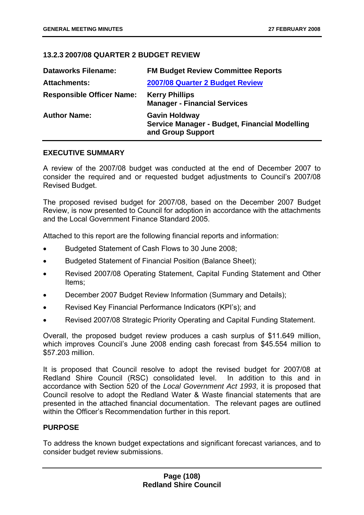## **13.2.3 2007/08 QUARTER 2 BUDGET REVIEW**

| <b>Dataworks Filename:</b>       | <b>FM Budget Review Committee Reports</b>                                                  |
|----------------------------------|--------------------------------------------------------------------------------------------|
| <b>Attachments:</b>              | 2007/08 Quarter 2 Budget Review                                                            |
| <b>Responsible Officer Name:</b> | <b>Kerry Phillips</b><br><b>Manager - Financial Services</b>                               |
| <b>Author Name:</b>              | <b>Gavin Holdway</b><br>Service Manager - Budget, Financial Modelling<br>and Group Support |

## **EXECUTIVE SUMMARY**

A review of the 2007/08 budget was conducted at the end of December 2007 to consider the required and or requested budget adjustments to Council's 2007/08 Revised Budget.

The proposed revised budget for 2007/08, based on the December 2007 Budget Review, is now presented to Council for adoption in accordance with the attachments and the Local Government Finance Standard 2005.

Attached to this report are the following financial reports and information:

- Budgeted Statement of Cash Flows to 30 June 2008;
- Budgeted Statement of Financial Position (Balance Sheet);
- Revised 2007/08 Operating Statement, Capital Funding Statement and Other Items;
- December 2007 Budget Review Information (Summary and Details);
- Revised Key Financial Performance Indicators (KPI's); and
- Revised 2007/08 Strategic Priority Operating and Capital Funding Statement.

Overall, the proposed budget review produces a cash surplus of \$11.649 million, which improves Council's June 2008 ending cash forecast from \$45.554 million to \$57.203 million.

It is proposed that Council resolve to adopt the revised budget for 2007/08 at Redland Shire Council (RSC) consolidated level. In addition to this and in accordance with Section 520 of the *Local Government Act 1993*, it is proposed that Council resolve to adopt the Redland Water & Waste financial statements that are presented in the attached financial documentation. The relevant pages are outlined within the Officer's Recommendation further in this report.

## **PURPOSE**

To address the known budget expectations and significant forecast variances, and to consider budget review submissions.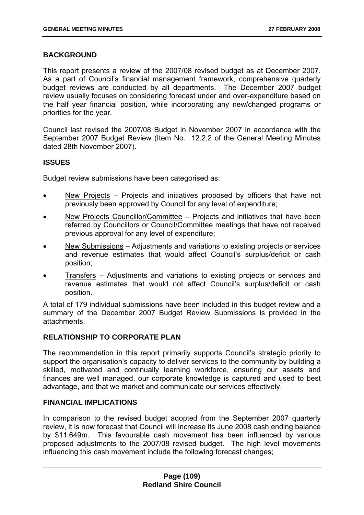# **BACKGROUND**

This report presents a review of the 2007/08 revised budget as at December 2007. As a part of Council's financial management framework, comprehensive quarterly budget reviews are conducted by all departments. The December 2007 budget review usually focuses on considering forecast under and over-expenditure based on the half year financial position, while incorporating any new/changed programs or priorities for the year.

Council last revised the 2007/08 Budget in November 2007 in accordance with the September 2007 Budget Review (Item No. 12.2.2 of the General Meeting Minutes dated 28th November 2007).

## **ISSUES**

Budget review submissions have been categorised as:

- New Projects Projects and initiatives proposed by officers that have not previously been approved by Council for any level of expenditure;
- New Projects Councillor/Committee Projects and initiatives that have been referred by Councillors or Council/Committee meetings that have not received previous approval for any level of expenditure;
- New Submissions Adjustments and variations to existing projects or services and revenue estimates that would affect Council's surplus/deficit or cash position;
- Transfers Adjustments and variations to existing projects or services and revenue estimates that would not affect Council's surplus/deficit or cash position.

A total of 179 individual submissions have been included in this budget review and a summary of the December 2007 Budget Review Submissions is provided in the attachments.

# **RELATIONSHIP TO CORPORATE PLAN**

The recommendation in this report primarily supports Council's strategic priority to support the organisation's capacity to deliver services to the community by building a skilled, motivated and continually learning workforce, ensuring our assets and finances are well managed, our corporate knowledge is captured and used to best advantage, and that we market and communicate our services effectively.

# **FINANCIAL IMPLICATIONS**

In comparison to the revised budget adopted from the September 2007 quarterly review, it is now forecast that Council will increase its June 2008 cash ending balance by \$11.649m. This favourable cash movement has been influenced by various proposed adjustments to the 2007/08 revised budget. The high level movements influencing this cash movement include the following forecast changes;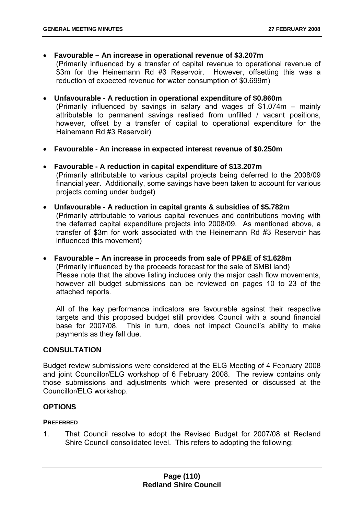• **Favourable – An increase in operational revenue of \$3.207m** 

(Primarily influenced by a transfer of capital revenue to operational revenue of \$3m for the Heinemann Rd #3 Reservoir. However, offsetting this was a reduction of expected revenue for water consumption of \$0.699m)

# • **Unfavourable - A reduction in operational expenditure of \$0.860m**

(Primarily influenced by savings in salary and wages of \$1.074m – mainly attributable to permanent savings realised from unfilled / vacant positions, however, offset by a transfer of capital to operational expenditure for the Heinemann Rd #3 Reservoir)

- **Favourable An increase in expected interest revenue of \$0.250m**
- **Favourable A reduction in capital expenditure of \$13.207m**  (Primarily attributable to various capital projects being deferred to the 2008/09

financial year. Additionally, some savings have been taken to account for various projects coming under budget)

- **Unfavourable A reduction in capital grants & subsidies of \$5.782m**  (Primarily attributable to various capital revenues and contributions moving with the deferred capital expenditure projects into 2008/09. As mentioned above, a transfer of \$3m for work associated with the Heinemann Rd #3 Reservoir has influenced this movement)
- **Favourable An increase in proceeds from sale of PP&E of \$1.628m**  (Primarily influenced by the proceeds forecast for the sale of SMBI land) Please note that the above listing includes only the major cash flow movements, however all budget submissions can be reviewed on pages 10 to 23 of the attached reports.

All of the key performance indicators are favourable against their respective targets and this proposed budget still provides Council with a sound financial base for 2007/08. This in turn, does not impact Council's ability to make payments as they fall due.

# **CONSULTATION**

Budget review submissions were considered at the ELG Meeting of 4 February 2008 and joint Councillor/ELG workshop of 6 February 2008. The review contains only those submissions and adjustments which were presented or discussed at the Councillor/ELG workshop.

# **OPTIONS**

## **PREFERRED**

1. That Council resolve to adopt the Revised Budget for 2007/08 at Redland Shire Council consolidated level. This refers to adopting the following: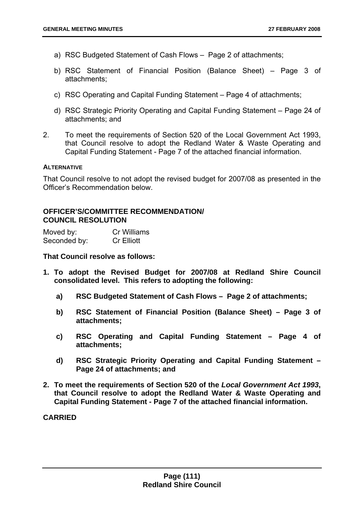- a) RSC Budgeted Statement of Cash Flows Page 2 of attachments;
- b) RSC Statement of Financial Position (Balance Sheet) Page 3 of attachments;
- c) RSC Operating and Capital Funding Statement Page 4 of attachments;
- d) RSC Strategic Priority Operating and Capital Funding Statement Page 24 of attachments; and
- 2. To meet the requirements of Section 520 of the Local Government Act 1993, that Council resolve to adopt the Redland Water & Waste Operating and Capital Funding Statement - Page 7 of the attached financial information.

#### **ALTERNATIVE**

That Council resolve to not adopt the revised budget for 2007/08 as presented in the Officer's Recommendation below.

## **OFFICER'S/COMMITTEE RECOMMENDATION/ COUNCIL RESOLUTION**

| Moved by:    | Cr Williams       |
|--------------|-------------------|
| Seconded by: | <b>Cr Elliott</b> |

**That Council resolve as follows:** 

- **1. To adopt the Revised Budget for 2007/08 at Redland Shire Council consolidated level. This refers to adopting the following:** 
	- **a) RSC Budgeted Statement of Cash Flows Page 2 of attachments;**
	- **b) RSC Statement of Financial Position (Balance Sheet) Page 3 of attachments;**
	- **c) RSC Operating and Capital Funding Statement Page 4 of attachments;**
	- **d) RSC Strategic Priority Operating and Capital Funding Statement Page 24 of attachments; and**
- **2. To meet the requirements of Section 520 of the** *Local Government Act 1993***, that Council resolve to adopt the Redland Water & Waste Operating and Capital Funding Statement - Page 7 of the attached financial information.**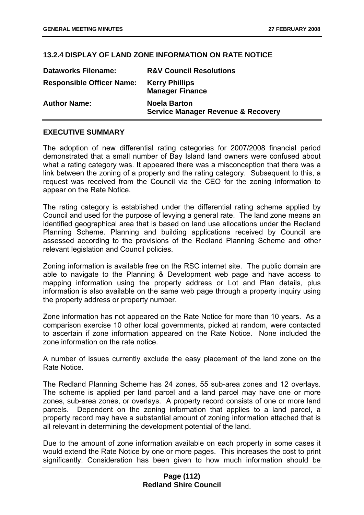## **13.2.4 DISPLAY OF LAND ZONE INFORMATION ON RATE NOTICE**

| <b>Dataworks Filename:</b>       | <b>R&amp;V Council Resolutions</b>                                   |
|----------------------------------|----------------------------------------------------------------------|
| <b>Responsible Officer Name:</b> | <b>Kerry Phillips</b><br><b>Manager Finance</b>                      |
| <b>Author Name:</b>              | <b>Noela Barton</b><br><b>Service Manager Revenue &amp; Recovery</b> |

## **EXECUTIVE SUMMARY**

The adoption of new differential rating categories for 2007/2008 financial period demonstrated that a small number of Bay Island land owners were confused about what a rating category was. It appeared there was a misconception that there was a link between the zoning of a property and the rating category. Subsequent to this, a request was received from the Council via the CEO for the zoning information to appear on the Rate Notice.

The rating category is established under the differential rating scheme applied by Council and used for the purpose of levying a general rate. The land zone means an identified geographical area that is based on land use allocations under the Redland Planning Scheme. Planning and building applications received by Council are assessed according to the provisions of the Redland Planning Scheme and other relevant legislation and Council policies.

Zoning information is available free on the RSC internet site. The public domain are able to navigate to the Planning & Development web page and have access to mapping information using the property address or Lot and Plan details, plus information is also available on the same web page through a property inquiry using the property address or property number.

Zone information has not appeared on the Rate Notice for more than 10 years. As a comparison exercise 10 other local governments, picked at random, were contacted to ascertain if zone information appeared on the Rate Notice. None included the zone information on the rate notice.

A number of issues currently exclude the easy placement of the land zone on the Rate Notice.

The Redland Planning Scheme has 24 zones, 55 sub-area zones and 12 overlays. The scheme is applied per land parcel and a land parcel may have one or more zones, sub-area zones, or overlays. A property record consists of one or more land parcels. Dependent on the zoning information that applies to a land parcel, a property record may have a substantial amount of zoning information attached that is all relevant in determining the development potential of the land.

Due to the amount of zone information available on each property in some cases it would extend the Rate Notice by one or more pages. This increases the cost to print significantly. Consideration has been given to how much information should be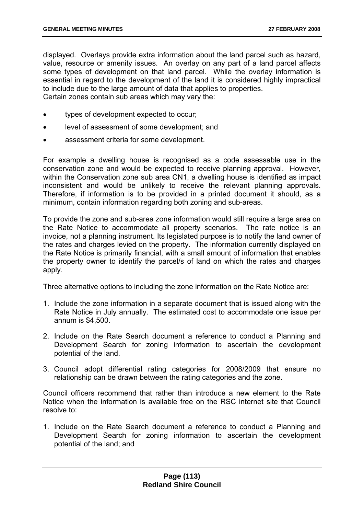displayed. Overlays provide extra information about the land parcel such as hazard, value, resource or amenity issues. An overlay on any part of a land parcel affects some types of development on that land parcel. While the overlay information is essential in regard to the development of the land it is considered highly impractical to include due to the large amount of data that applies to properties. Certain zones contain sub areas which may vary the:

- types of development expected to occur;
- level of assessment of some development; and
- assessment criteria for some development.

For example a dwelling house is recognised as a code assessable use in the conservation zone and would be expected to receive planning approval. However, within the Conservation zone sub area CN1, a dwelling house is identified as impact inconsistent and would be unlikely to receive the relevant planning approvals. Therefore, if information is to be provided in a printed document it should, as a minimum, contain information regarding both zoning and sub-areas.

To provide the zone and sub-area zone information would still require a large area on the Rate Notice to accommodate all property scenarios. The rate notice is an invoice, not a planning instrument. Its legislated purpose is to notify the land owner of the rates and charges levied on the property. The information currently displayed on the Rate Notice is primarily financial, with a small amount of information that enables the property owner to identify the parcel/s of land on which the rates and charges apply.

Three alternative options to including the zone information on the Rate Notice are:

- 1. Include the zone information in a separate document that is issued along with the Rate Notice in July annually. The estimated cost to accommodate one issue per annum is \$4,500.
- 2. Include on the Rate Search document a reference to conduct a Planning and Development Search for zoning information to ascertain the development potential of the land.
- 3. Council adopt differential rating categories for 2008/2009 that ensure no relationship can be drawn between the rating categories and the zone.

Council officers recommend that rather than introduce a new element to the Rate Notice when the information is available free on the RSC internet site that Council resolve to:

1. Include on the Rate Search document a reference to conduct a Planning and Development Search for zoning information to ascertain the development potential of the land; and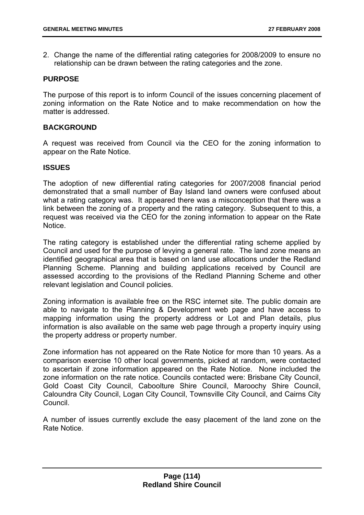2. Change the name of the differential rating categories for 2008/2009 to ensure no relationship can be drawn between the rating categories and the zone.

## **PURPOSE**

The purpose of this report is to inform Council of the issues concerning placement of zoning information on the Rate Notice and to make recommendation on how the matter is addressed.

## **BACKGROUND**

A request was received from Council via the CEO for the zoning information to appear on the Rate Notice.

## **ISSUES**

The adoption of new differential rating categories for 2007/2008 financial period demonstrated that a small number of Bay Island land owners were confused about what a rating category was. It appeared there was a misconception that there was a link between the zoning of a property and the rating category. Subsequent to this, a request was received via the CEO for the zoning information to appear on the Rate **Notice** 

The rating category is established under the differential rating scheme applied by Council and used for the purpose of levying a general rate. The land zone means an identified geographical area that is based on land use allocations under the Redland Planning Scheme. Planning and building applications received by Council are assessed according to the provisions of the Redland Planning Scheme and other relevant legislation and Council policies.

Zoning information is available free on the RSC internet site. The public domain are able to navigate to the Planning & Development web page and have access to mapping information using the property address or Lot and Plan details, plus information is also available on the same web page through a property inquiry using the property address or property number.

Zone information has not appeared on the Rate Notice for more than 10 years. As a comparison exercise 10 other local governments, picked at random, were contacted to ascertain if zone information appeared on the Rate Notice. None included the zone information on the rate notice. Councils contacted were: Brisbane City Council, Gold Coast City Council, Caboolture Shire Council, Maroochy Shire Council, Caloundra City Council, Logan City Council, Townsville City Council, and Cairns City Council.

A number of issues currently exclude the easy placement of the land zone on the Rate Notice.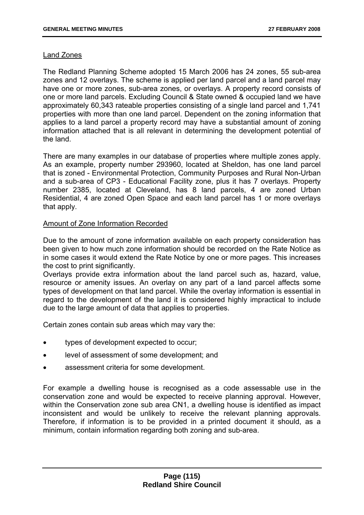## Land Zones

The Redland Planning Scheme adopted 15 March 2006 has 24 zones, 55 sub-area zones and 12 overlays. The scheme is applied per land parcel and a land parcel may have one or more zones, sub-area zones, or overlays. A property record consists of one or more land parcels. Excluding Council & State owned & occupied land we have approximately 60,343 rateable properties consisting of a single land parcel and 1,741 properties with more than one land parcel. Dependent on the zoning information that applies to a land parcel a property record may have a substantial amount of zoning information attached that is all relevant in determining the development potential of the land.

There are many examples in our database of properties where multiple zones apply. As an example, property number 293960, located at Sheldon, has one land parcel that is zoned - Environmental Protection, Community Purposes and Rural Non-Urban and a sub-area of CP3 - Educational Facility zone, plus it has 7 overlays. Property number 2385, located at Cleveland, has 8 land parcels, 4 are zoned Urban Residential, 4 are zoned Open Space and each land parcel has 1 or more overlays that apply.

## Amount of Zone Information Recorded

Due to the amount of zone information available on each property consideration has been given to how much zone information should be recorded on the Rate Notice as in some cases it would extend the Rate Notice by one or more pages. This increases the cost to print significantly.

Overlays provide extra information about the land parcel such as, hazard, value, resource or amenity issues. An overlay on any part of a land parcel affects some types of development on that land parcel. While the overlay information is essential in regard to the development of the land it is considered highly impractical to include due to the large amount of data that applies to properties.

Certain zones contain sub areas which may vary the:

- types of development expected to occur;
- level of assessment of some development; and
- assessment criteria for some development.

For example a dwelling house is recognised as a code assessable use in the conservation zone and would be expected to receive planning approval. However, within the Conservation zone sub area CN1, a dwelling house is identified as impact inconsistent and would be unlikely to receive the relevant planning approvals. Therefore, if information is to be provided in a printed document it should, as a minimum, contain information regarding both zoning and sub-area.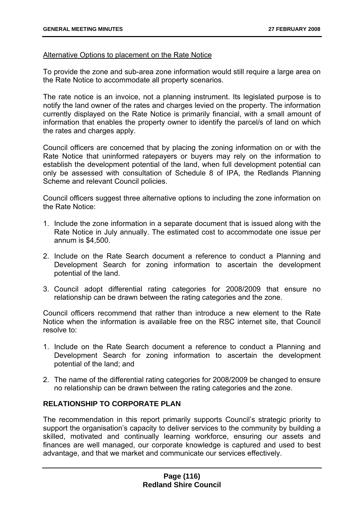## Alternative Options to placement on the Rate Notice

To provide the zone and sub-area zone information would still require a large area on the Rate Notice to accommodate all property scenarios.

The rate notice is an invoice, not a planning instrument. Its legislated purpose is to notify the land owner of the rates and charges levied on the property. The information currently displayed on the Rate Notice is primarily financial, with a small amount of information that enables the property owner to identify the parcel/s of land on which the rates and charges apply.

Council officers are concerned that by placing the zoning information on or with the Rate Notice that uninformed ratepayers or buyers may rely on the information to establish the development potential of the land, when full development potential can only be assessed with consultation of Schedule 8 of IPA, the Redlands Planning Scheme and relevant Council policies.

Council officers suggest three alternative options to including the zone information on the Rate Notice:

- 1. Include the zone information in a separate document that is issued along with the Rate Notice in July annually. The estimated cost to accommodate one issue per annum is \$4,500.
- 2. Include on the Rate Search document a reference to conduct a Planning and Development Search for zoning information to ascertain the development potential of the land.
- 3. Council adopt differential rating categories for 2008/2009 that ensure no relationship can be drawn between the rating categories and the zone.

Council officers recommend that rather than introduce a new element to the Rate Notice when the information is available free on the RSC internet site, that Council resolve to:

- 1. Include on the Rate Search document a reference to conduct a Planning and Development Search for zoning information to ascertain the development potential of the land; and
- 2. The name of the differential rating categories for 2008/2009 be changed to ensure no relationship can be drawn between the rating categories and the zone.

# **RELATIONSHIP TO CORPORATE PLAN**

The recommendation in this report primarily supports Council's strategic priority to support the organisation's capacity to deliver services to the community by building a skilled, motivated and continually learning workforce, ensuring our assets and finances are well managed, our corporate knowledge is captured and used to best advantage, and that we market and communicate our services effectively.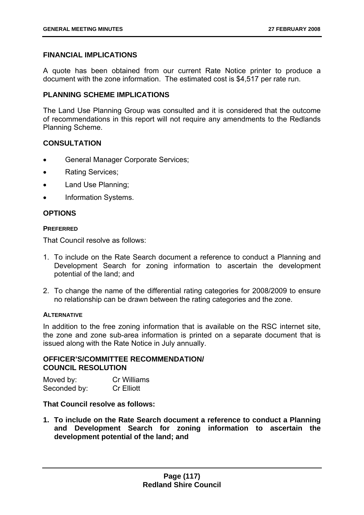# **FINANCIAL IMPLICATIONS**

A quote has been obtained from our current Rate Notice printer to produce a document with the zone information. The estimated cost is \$4,517 per rate run.

## **PLANNING SCHEME IMPLICATIONS**

The Land Use Planning Group was consulted and it is considered that the outcome of recommendations in this report will not require any amendments to the Redlands Planning Scheme.

# **CONSULTATION**

- General Manager Corporate Services;
- Rating Services;
- Land Use Planning;
- Information Systems.

# **OPTIONS**

#### **PREFERRED**

That Council resolve as follows:

- 1. To include on the Rate Search document a reference to conduct a Planning and Development Search for zoning information to ascertain the development potential of the land; and
- 2. To change the name of the differential rating categories for 2008/2009 to ensure no relationship can be drawn between the rating categories and the zone.

## **ALTERNATIVE**

In addition to the free zoning information that is available on the RSC internet site, the zone and zone sub-area information is printed on a separate document that is issued along with the Rate Notice in July annually.

## **OFFICER'S/COMMITTEE RECOMMENDATION/ COUNCIL RESOLUTION**

| Moved by:    | Cr Williams       |
|--------------|-------------------|
| Seconded by: | <b>Cr Elliott</b> |

## **That Council resolve as follows:**

**1. To include on the Rate Search document a reference to conduct a Planning and Development Search for zoning information to ascertain the development potential of the land; and**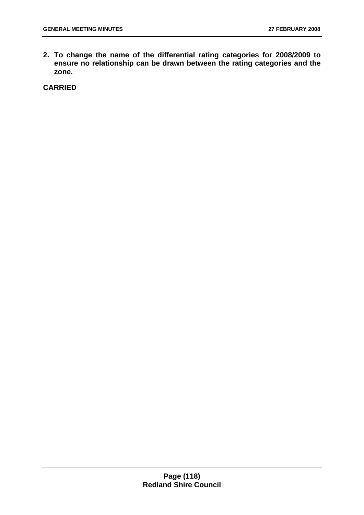**2. To change the name of the differential rating categories for 2008/2009 to ensure no relationship can be drawn between the rating categories and the zone.**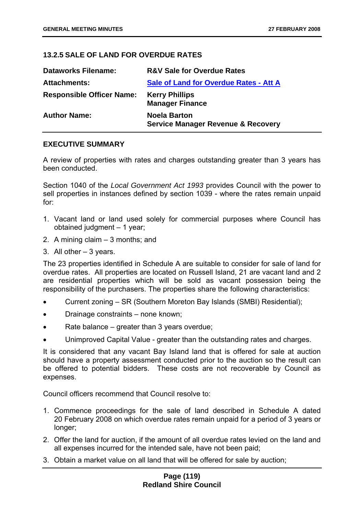# **13.2.5 SALE OF LAND FOR OVERDUE RATES**

| <b>Dataworks Filename:</b>       | <b>R&amp;V Sale for Overdue Rates</b>                                |
|----------------------------------|----------------------------------------------------------------------|
| <b>Attachments:</b>              | <b>Sale of Land for Overdue Rates - Att A</b>                        |
| <b>Responsible Officer Name:</b> | <b>Kerry Phillips</b><br><b>Manager Finance</b>                      |
| <b>Author Name:</b>              | <b>Noela Barton</b><br><b>Service Manager Revenue &amp; Recovery</b> |

## **EXECUTIVE SUMMARY**

A review of properties with rates and charges outstanding greater than 3 years has been conducted.

Section 1040 of the *Local Government Act 1993* provides Council with the power to sell properties in instances defined by section 1039 - where the rates remain unpaid for:

- 1. Vacant land or land used solely for commercial purposes where Council has obtained judgment – 1 year;
- 2. A mining claim 3 months; and
- 3. All other 3 years.

The 23 properties identified in Schedule A are suitable to consider for sale of land for overdue rates. All properties are located on Russell Island, 21 are vacant land and 2 are residential properties which will be sold as vacant possession being the responsibility of the purchasers. The properties share the following characteristics:

- Current zoning SR (Southern Moreton Bay Islands (SMBI) Residential);
- Drainage constraints none known;
- Rate balance greater than 3 years overdue;
- Unimproved Capital Value greater than the outstanding rates and charges.

It is considered that any vacant Bay Island land that is offered for sale at auction should have a property assessment conducted prior to the auction so the result can be offered to potential bidders. These costs are not recoverable by Council as expenses.

Council officers recommend that Council resolve to:

- 1. Commence proceedings for the sale of land described in Schedule A dated 20 February 2008 on which overdue rates remain unpaid for a period of 3 years or longer;
- 2. Offer the land for auction, if the amount of all overdue rates levied on the land and all expenses incurred for the intended sale, have not been paid;
- 3. Obtain a market value on all land that will be offered for sale by auction;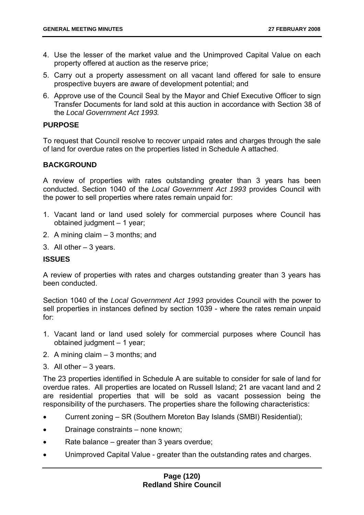- 4. Use the lesser of the market value and the Unimproved Capital Value on each property offered at auction as the reserve price;
- 5. Carry out a property assessment on all vacant land offered for sale to ensure prospective buyers are aware of development potential; and
- 6. Approve use of the Council Seal by the Mayor and Chief Executive Officer to sign Transfer Documents for land sold at this auction in accordance with Section 38 of the *Local Government Act 1993.*

## **PURPOSE**

To request that Council resolve to recover unpaid rates and charges through the sale of land for overdue rates on the properties listed in Schedule A attached.

# **BACKGROUND**

A review of properties with rates outstanding greater than 3 years has been conducted. Section 1040 of the *Local Government Act 1993* provides Council with the power to sell properties where rates remain unpaid for:

- 1. Vacant land or land used solely for commercial purposes where Council has obtained judgment – 1 year;
- 2. A mining claim 3 months; and
- 3. All other 3 years.

# **ISSUES**

A review of properties with rates and charges outstanding greater than 3 years has been conducted.

Section 1040 of the *Local Government Act 1993* provides Council with the power to sell properties in instances defined by section 1039 - where the rates remain unpaid for:

- 1. Vacant land or land used solely for commercial purposes where Council has obtained judgment – 1 year;
- 2. A mining claim 3 months; and
- 3. All other 3 years.

The 23 properties identified in Schedule A are suitable to consider for sale of land for overdue rates. All properties are located on Russell Island; 21 are vacant land and 2 are residential properties that will be sold as vacant possession being the responsibility of the purchasers. The properties share the following characteristics:

- Current zoning SR (Southern Moreton Bay Islands (SMBI) Residential);
- Drainage constraints none known;
- Rate balance greater than 3 years overdue;
- Unimproved Capital Value greater than the outstanding rates and charges.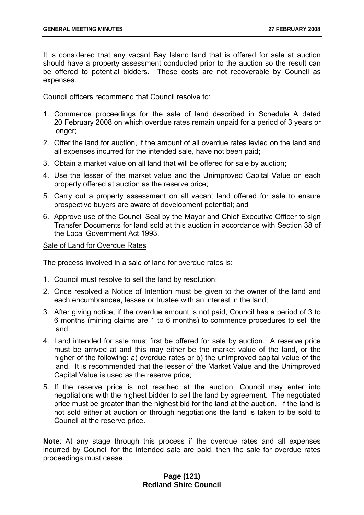It is considered that any vacant Bay Island land that is offered for sale at auction should have a property assessment conducted prior to the auction so the result can be offered to potential bidders. These costs are not recoverable by Council as expenses.

Council officers recommend that Council resolve to:

- 1. Commence proceedings for the sale of land described in Schedule A dated 20 February 2008 on which overdue rates remain unpaid for a period of 3 years or longer;
- 2. Offer the land for auction, if the amount of all overdue rates levied on the land and all expenses incurred for the intended sale, have not been paid;
- 3. Obtain a market value on all land that will be offered for sale by auction;
- 4. Use the lesser of the market value and the Unimproved Capital Value on each property offered at auction as the reserve price;
- 5. Carry out a property assessment on all vacant land offered for sale to ensure prospective buyers are aware of development potential; and
- 6. Approve use of the Council Seal by the Mayor and Chief Executive Officer to sign Transfer Documents for land sold at this auction in accordance with Section 38 of the Local Government Act 1993.

## Sale of Land for Overdue Rates

The process involved in a sale of land for overdue rates is:

- 1. Council must resolve to sell the land by resolution;
- 2. Once resolved a Notice of Intention must be given to the owner of the land and each encumbrancee, lessee or trustee with an interest in the land;
- 3. After giving notice, if the overdue amount is not paid, Council has a period of 3 to 6 months (mining claims are 1 to 6 months) to commence procedures to sell the land;
- 4. Land intended for sale must first be offered for sale by auction. A reserve price must be arrived at and this may either be the market value of the land, or the higher of the following: a) overdue rates or b) the unimproved capital value of the land. It is recommended that the lesser of the Market Value and the Unimproved Capital Value is used as the reserve price;
- 5. If the reserve price is not reached at the auction, Council may enter into negotiations with the highest bidder to sell the land by agreement. The negotiated price must be greater than the highest bid for the land at the auction. If the land is not sold either at auction or through negotiations the land is taken to be sold to Council at the reserve price.

**Note**: At any stage through this process if the overdue rates and all expenses incurred by Council for the intended sale are paid, then the sale for overdue rates proceedings must cease.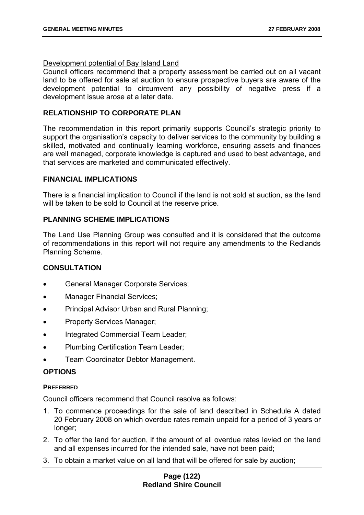# Development potential of Bay Island Land

Council officers recommend that a property assessment be carried out on all vacant land to be offered for sale at auction to ensure prospective buyers are aware of the development potential to circumvent any possibility of negative press if a development issue arose at a later date.

# **RELATIONSHIP TO CORPORATE PLAN**

The recommendation in this report primarily supports Council's strategic priority to support the organisation's capacity to deliver services to the community by building a skilled, motivated and continually learning workforce, ensuring assets and finances are well managed, corporate knowledge is captured and used to best advantage, and that services are marketed and communicated effectively.

## **FINANCIAL IMPLICATIONS**

There is a financial implication to Council if the land is not sold at auction, as the land will be taken to be sold to Council at the reserve price.

# **PLANNING SCHEME IMPLICATIONS**

The Land Use Planning Group was consulted and it is considered that the outcome of recommendations in this report will not require any amendments to the Redlands Planning Scheme.

# **CONSULTATION**

- General Manager Corporate Services;
- Manager Financial Services;
- Principal Advisor Urban and Rural Planning;
- Property Services Manager;
- Integrated Commercial Team Leader;
- Plumbing Certification Team Leader;
- Team Coordinator Debtor Management.

# **OPTIONS**

## **PREFERRED**

Council officers recommend that Council resolve as follows:

- 1. To commence proceedings for the sale of land described in Schedule A dated 20 February 2008 on which overdue rates remain unpaid for a period of 3 years or longer;
- 2. To offer the land for auction, if the amount of all overdue rates levied on the land and all expenses incurred for the intended sale, have not been paid;
- 3. To obtain a market value on all land that will be offered for sale by auction;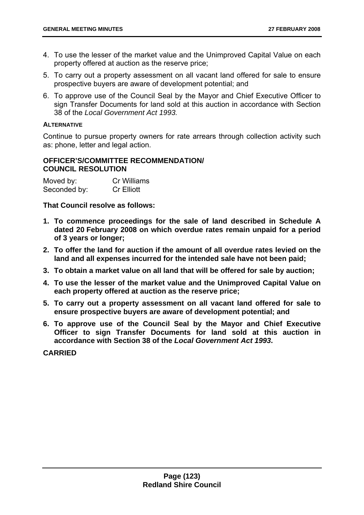- 4. To use the lesser of the market value and the Unimproved Capital Value on each property offered at auction as the reserve price;
- 5. To carry out a property assessment on all vacant land offered for sale to ensure prospective buyers are aware of development potential; and
- 6. To approve use of the Council Seal by the Mayor and Chief Executive Officer to sign Transfer Documents for land sold at this auction in accordance with Section 38 of the *Local Government Act 1993.*

# **ALTERNATIVE**

Continue to pursue property owners for rate arrears through collection activity such as: phone, letter and legal action.

## **OFFICER'S/COMMITTEE RECOMMENDATION/ COUNCIL RESOLUTION**

| Moved by:    | <b>Cr Williams</b> |
|--------------|--------------------|
| Seconded by: | <b>Cr Elliott</b>  |

**That Council resolve as follows:** 

- **1. To commence proceedings for the sale of land described in Schedule A dated 20 February 2008 on which overdue rates remain unpaid for a period of 3 years or longer;**
- **2. To offer the land for auction if the amount of all overdue rates levied on the land and all expenses incurred for the intended sale have not been paid;**
- **3. To obtain a market value on all land that will be offered for sale by auction;**
- **4. To use the lesser of the market value and the Unimproved Capital Value on each property offered at auction as the reserve price;**
- **5. To carry out a property assessment on all vacant land offered for sale to ensure prospective buyers are aware of development potential; and**
- **6. To approve use of the Council Seal by the Mayor and Chief Executive Officer to sign Transfer Documents for land sold at this auction in accordance with Section 38 of the** *Local Government Act 1993***.**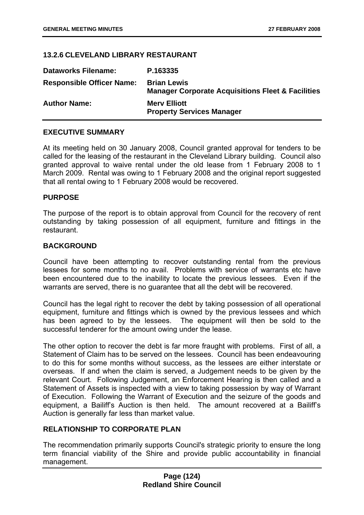## **13.2.6 CLEVELAND LIBRARY RESTAURANT**

| <b>Dataworks Filename:</b>       | P.163335                                                                           |
|----------------------------------|------------------------------------------------------------------------------------|
| <b>Responsible Officer Name:</b> | <b>Brian Lewis</b><br><b>Manager Corporate Acquisitions Fleet &amp; Facilities</b> |
| <b>Author Name:</b>              | <b>Mery Elliott</b><br><b>Property Services Manager</b>                            |

## **EXECUTIVE SUMMARY**

At its meeting held on 30 January 2008, Council granted approval for tenders to be called for the leasing of the restaurant in the Cleveland Library building. Council also granted approval to waive rental under the old lease from 1 February 2008 to 1 March 2009. Rental was owing to 1 February 2008 and the original report suggested that all rental owing to 1 February 2008 would be recovered.

## **PURPOSE**

The purpose of the report is to obtain approval from Council for the recovery of rent outstanding by taking possession of all equipment, furniture and fittings in the restaurant.

## **BACKGROUND**

Council have been attempting to recover outstanding rental from the previous lessees for some months to no avail. Problems with service of warrants etc have been encountered due to the inability to locate the previous lessees. Even if the warrants are served, there is no guarantee that all the debt will be recovered.

Council has the legal right to recover the debt by taking possession of all operational equipment, furniture and fittings which is owned by the previous lessees and which has been agreed to by the lessees. The equipment will then be sold to the successful tenderer for the amount owing under the lease.

The other option to recover the debt is far more fraught with problems. First of all, a Statement of Claim has to be served on the lessees. Council has been endeavouring to do this for some months without success, as the lessees are either interstate or overseas. If and when the claim is served, a Judgement needs to be given by the relevant Court. Following Judgement, an Enforcement Hearing is then called and a Statement of Assets is inspected with a view to taking possession by way of Warrant of Execution. Following the Warrant of Execution and the seizure of the goods and equipment, a Bailiff's Auction is then held. The amount recovered at a Bailiff's Auction is generally far less than market value.

## **RELATIONSHIP TO CORPORATE PLAN**

The recommendation primarily supports Council's strategic priority to ensure the long term financial viability of the Shire and provide public accountability in financial management.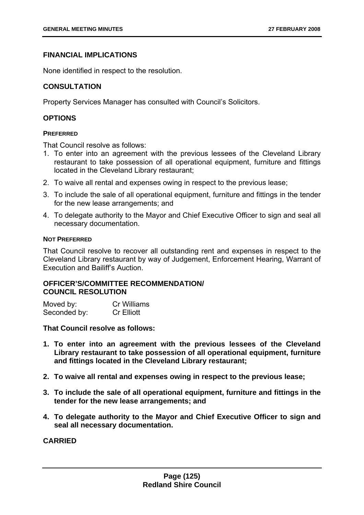# **FINANCIAL IMPLICATIONS**

None identified in respect to the resolution.

# **CONSULTATION**

Property Services Manager has consulted with Council's Solicitors.

# **OPTIONS**

## **PREFERRED**

That Council resolve as follows:

- 1. To enter into an agreement with the previous lessees of the Cleveland Library restaurant to take possession of all operational equipment, furniture and fittings located in the Cleveland Library restaurant;
- 2. To waive all rental and expenses owing in respect to the previous lease;
- 3. To include the sale of all operational equipment, furniture and fittings in the tender for the new lease arrangements; and
- 4. To delegate authority to the Mayor and Chief Executive Officer to sign and seal all necessary documentation.

## **NOT PREFERRED**

That Council resolve to recover all outstanding rent and expenses in respect to the Cleveland Library restaurant by way of Judgement, Enforcement Hearing, Warrant of Execution and Bailiff's Auction.

## **OFFICER'S/COMMITTEE RECOMMENDATION/ COUNCIL RESOLUTION**

| Moved by:    | <b>Cr Williams</b> |
|--------------|--------------------|
| Seconded by: | <b>Cr Elliott</b>  |

**That Council resolve as follows:** 

- **1. To enter into an agreement with the previous lessees of the Cleveland Library restaurant to take possession of all operational equipment, furniture and fittings located in the Cleveland Library restaurant;**
- **2. To waive all rental and expenses owing in respect to the previous lease;**
- **3. To include the sale of all operational equipment, furniture and fittings in the tender for the new lease arrangements; and**
- **4. To delegate authority to the Mayor and Chief Executive Officer to sign and seal all necessary documentation.**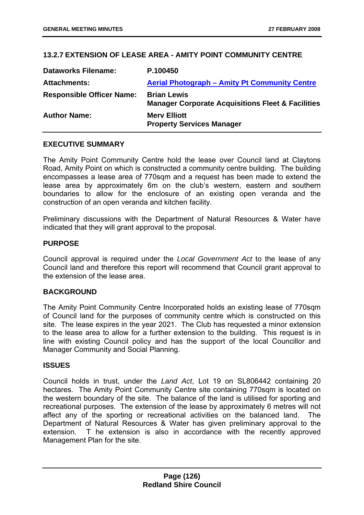# **13.2.7 EXTENSION OF LEASE AREA - AMITY POINT COMMUNITY CENTRE**

| <b>Dataworks Filename:</b>       | P.100450                                                                           |
|----------------------------------|------------------------------------------------------------------------------------|
| <b>Attachments:</b>              | <b>Aerial Photograph - Amity Pt Community Centre</b>                               |
| <b>Responsible Officer Name:</b> | <b>Brian Lewis</b><br><b>Manager Corporate Acquisitions Fleet &amp; Facilities</b> |
| <b>Author Name:</b>              | <b>Mery Elliott</b><br><b>Property Services Manager</b>                            |

## **EXECUTIVE SUMMARY**

The Amity Point Community Centre hold the lease over Council land at Claytons Road, Amity Point on which is constructed a community centre building. The building encompasses a lease area of 770sqm and a request has been made to extend the lease area by approximately 6m on the club's western, eastern and southern boundaries to allow for the enclosure of an existing open veranda and the construction of an open veranda and kitchen facility.

Preliminary discussions with the Department of Natural Resources & Water have indicated that they will grant approval to the proposal.

# **PURPOSE**

Council approval is required under the *Local Government Act* to the lease of any Council land and therefore this report will recommend that Council grant approval to the extension of the lease area.

## **BACKGROUND**

The Amity Point Community Centre Incorporated holds an existing lease of 770sqm of Council land for the purposes of community centre which is constructed on this site. The lease expires in the year 2021. The Club has requested a minor extension to the lease area to allow for a further extension to the building. This request is in line with existing Council policy and has the support of the local Councillor and Manager Community and Social Planning.

## **ISSUES**

Council holds in trust, under the *Land Act*, Lot 19 on SL806442 containing 20 hectares. The Amity Point Community Centre site containing 770sqm is located on the western boundary of the site. The balance of the land is utilised for sporting and recreational purposes. The extension of the lease by approximately 6 metres will not affect any of the sporting or recreational activities on the balanced land. The Department of Natural Resources & Water has given preliminary approval to the extension. T he extension is also in accordance with the recently approved Management Plan for the site.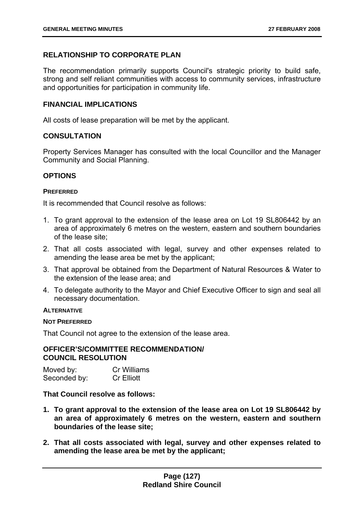# **RELATIONSHIP TO CORPORATE PLAN**

The recommendation primarily supports Council's strategic priority to build safe, strong and self reliant communities with access to community services, infrastructure and opportunities for participation in community life.

# **FINANCIAL IMPLICATIONS**

All costs of lease preparation will be met by the applicant.

# **CONSULTATION**

Property Services Manager has consulted with the local Councillor and the Manager Community and Social Planning.

## **OPTIONS**

## **PREFERRED**

It is recommended that Council resolve as follows:

- 1. To grant approval to the extension of the lease area on Lot 19 SL806442 by an area of approximately 6 metres on the western, eastern and southern boundaries of the lease site;
- 2. That all costs associated with legal, survey and other expenses related to amending the lease area be met by the applicant;
- 3. That approval be obtained from the Department of Natural Resources & Water to the extension of the lease area; and
- 4. To delegate authority to the Mayor and Chief Executive Officer to sign and seal all necessary documentation.

## **ALTERNATIVE**

## **NOT PREFERRED**

That Council not agree to the extension of the lease area.

## **OFFICER'S/COMMITTEE RECOMMENDATION/ COUNCIL RESOLUTION**

| Moved by:    | <b>Cr Williams</b> |
|--------------|--------------------|
| Seconded by: | <b>Cr Elliott</b>  |

**That Council resolve as follows:** 

- **1. To grant approval to the extension of the lease area on Lot 19 SL806442 by an area of approximately 6 metres on the western, eastern and southern boundaries of the lease site;**
- **2. That all costs associated with legal, survey and other expenses related to amending the lease area be met by the applicant;**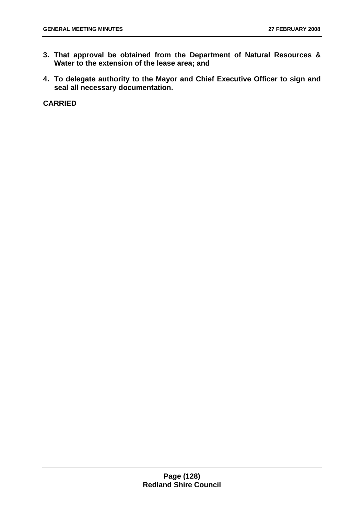- **3. That approval be obtained from the Department of Natural Resources & Water to the extension of the lease area; and**
- **4. To delegate authority to the Mayor and Chief Executive Officer to sign and seal all necessary documentation.**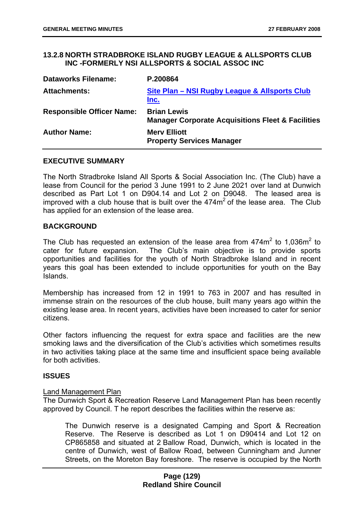## **13.2.8 NORTH STRADBROKE ISLAND RUGBY LEAGUE & ALLSPORTS CLUB INC -FORMERLY NSI ALLSPORTS & SOCIAL ASSOC INC**

| <b>Dataworks Filename:</b>       | P.200864                                                                           |
|----------------------------------|------------------------------------------------------------------------------------|
| <b>Attachments:</b>              | Site Plan – NSI Rugby League & Allsports Club<br>Inc.                              |
| <b>Responsible Officer Name:</b> | <b>Brian Lewis</b><br><b>Manager Corporate Acquisitions Fleet &amp; Facilities</b> |
| <b>Author Name:</b>              | <b>Merv Elliott</b><br><b>Property Services Manager</b>                            |

#### **EXECUTIVE SUMMARY**

The North Stradbroke Island All Sports & Social Association Inc. (The Club) have a lease from Council for the period 3 June 1991 to 2 June 2021 over land at Dunwich described as Part Lot 1 on D904.14 and Lot 2 on D9048. The leased area is improved with a club house that is built over the  $474m<sup>2</sup>$  of the lease area. The Club has applied for an extension of the lease area.

## **BACKGROUND**

The Club has requested an extension of the lease area from  $474m^2$  to 1,036m<sup>2</sup> to cater for future expansion. The Club's main objective is to provide sports opportunities and facilities for the youth of North Stradbroke Island and in recent years this goal has been extended to include opportunities for youth on the Bay Islands.

Membership has increased from 12 in 1991 to 763 in 2007 and has resulted in immense strain on the resources of the club house, built many years ago within the existing lease area. In recent years, activities have been increased to cater for senior citizens.

Other factors influencing the request for extra space and facilities are the new smoking laws and the diversification of the Club's activities which sometimes results in two activities taking place at the same time and insufficient space being available for both activities.

## **ISSUES**

#### Land Management Plan

The Dunwich Sport & Recreation Reserve Land Management Plan has been recently approved by Council. T he report describes the facilities within the reserve as:

The Dunwich reserve is a designated Camping and Sport & Recreation Reserve. The Reserve is described as Lot 1 on D90414 and Lot 12 on CP865858 and situated at 2 Ballow Road, Dunwich, which is located in the centre of Dunwich, west of Ballow Road, between Cunningham and Junner Streets, on the Moreton Bay foreshore. The reserve is occupied by the North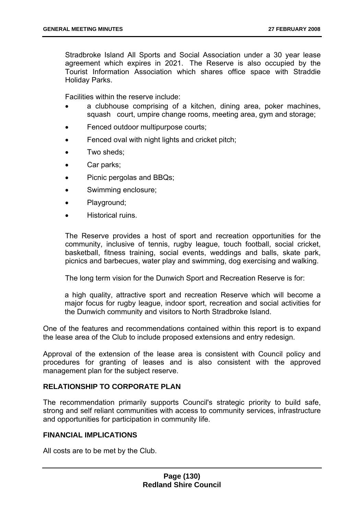Stradbroke Island All Sports and Social Association under a 30 year lease agreement which expires in 2021. The Reserve is also occupied by the Tourist Information Association which shares office space with Straddie Holiday Parks.

Facilities within the reserve include:

- a clubhouse comprising of a kitchen, dining area, poker machines, squash court, umpire change rooms, meeting area, gym and storage;
- Fenced outdoor multipurpose courts;
- Fenced oval with night lights and cricket pitch;
- Two sheds:
- Car parks;
- Picnic pergolas and BBQs:
- Swimming enclosure;
- Playground;
- Historical ruins.

The Reserve provides a host of sport and recreation opportunities for the community, inclusive of tennis, rugby league, touch football, social cricket, basketball, fitness training, social events, weddings and balls, skate park, picnics and barbecues, water play and swimming, dog exercising and walking.

The long term vision for the Dunwich Sport and Recreation Reserve is for:

a high quality, attractive sport and recreation Reserve which will become a major focus for rugby league, indoor sport, recreation and social activities for the Dunwich community and visitors to North Stradbroke Island.

One of the features and recommendations contained within this report is to expand the lease area of the Club to include proposed extensions and entry redesign.

Approval of the extension of the lease area is consistent with Council policy and procedures for granting of leases and is also consistent with the approved management plan for the subject reserve.

## **RELATIONSHIP TO CORPORATE PLAN**

The recommendation primarily supports Council's strategic priority to build safe, strong and self reliant communities with access to community services, infrastructure and opportunities for participation in community life.

## **FINANCIAL IMPLICATIONS**

All costs are to be met by the Club.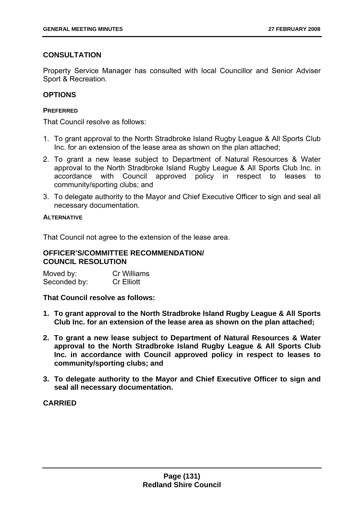# **CONSULTATION**

Property Service Manager has consulted with local Councillor and Senior Adviser Sport & Recreation.

# **OPTIONS**

## **PREFERRED**

That Council resolve as follows:

- 1. To grant approval to the North Stradbroke Island Rugby League & All Sports Club Inc. for an extension of the lease area as shown on the plan attached;
- 2. To grant a new lease subject to Department of Natural Resources & Water approval to the North Stradbroke Island Rugby League & All Sports Club Inc. in accordance with Council approved policy in respect to leases to community/sporting clubs; and
- 3. To delegate authority to the Mayor and Chief Executive Officer to sign and seal all necessary documentation.

#### **ALTERNATIVE**

That Council not agree to the extension of the lease area.

## **OFFICER'S/COMMITTEE RECOMMENDATION/ COUNCIL RESOLUTION**

Moved by: Cr Williams Seconded by: Cr Elliott

**That Council resolve as follows:** 

- **1. To grant approval to the North Stradbroke Island Rugby League & All Sports Club Inc. for an extension of the lease area as shown on the plan attached;**
- **2. To grant a new lease subject to Department of Natural Resources & Water approval to the North Stradbroke Island Rugby League & All Sports Club Inc. in accordance with Council approved policy in respect to leases to community/sporting clubs; and**
- **3. To delegate authority to the Mayor and Chief Executive Officer to sign and seal all necessary documentation.**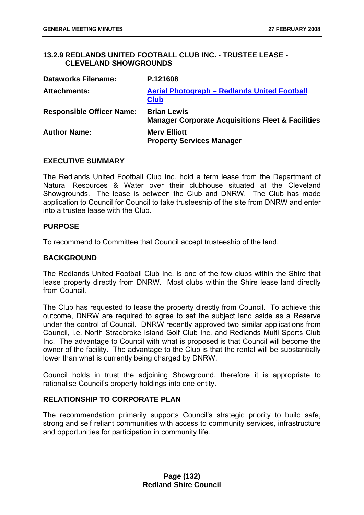# **13.2.9 REDLANDS UNITED FOOTBALL CLUB INC. - TRUSTEE LEASE - CLEVELAND SHOWGROUNDS**

| <b>Dataworks Filename:</b>       | P.121608                                                                           |
|----------------------------------|------------------------------------------------------------------------------------|
| <b>Attachments:</b>              | Aerial Photograph - Redlands United Football<br><b>Club</b>                        |
| <b>Responsible Officer Name:</b> | <b>Brian Lewis</b><br><b>Manager Corporate Acquisitions Fleet &amp; Facilities</b> |
| <b>Author Name:</b>              | <b>Merv Elliott</b><br><b>Property Services Manager</b>                            |

## **EXECUTIVE SUMMARY**

The Redlands United Football Club Inc. hold a term lease from the Department of Natural Resources & Water over their clubhouse situated at the Cleveland Showgrounds. The lease is between the Club and DNRW. The Club has made application to Council for Council to take trusteeship of the site from DNRW and enter into a trustee lease with the Club.

#### **PURPOSE**

To recommend to Committee that Council accept trusteeship of the land.

## **BACKGROUND**

The Redlands United Football Club Inc. is one of the few clubs within the Shire that lease property directly from DNRW. Most clubs within the Shire lease land directly from Council.

The Club has requested to lease the property directly from Council. To achieve this outcome, DNRW are required to agree to set the subject land aside as a Reserve under the control of Council. DNRW recently approved two similar applications from Council, i.e. North Stradbroke Island Golf Club Inc. and Redlands Multi Sports Club Inc. The advantage to Council with what is proposed is that Council will become the owner of the facility. The advantage to the Club is that the rental will be substantially lower than what is currently being charged by DNRW.

Council holds in trust the adjoining Showground, therefore it is appropriate to rationalise Council's property holdings into one entity.

# **RELATIONSHIP TO CORPORATE PLAN**

The recommendation primarily supports Council's strategic priority to build safe, strong and self reliant communities with access to community services, infrastructure and opportunities for participation in community life.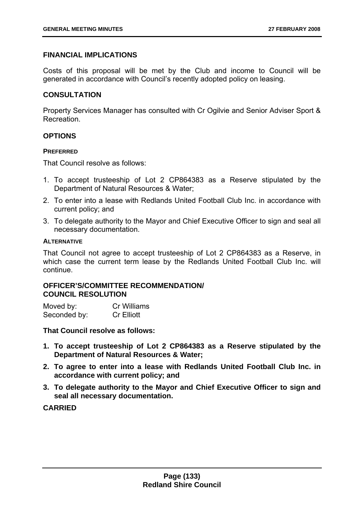# **FINANCIAL IMPLICATIONS**

Costs of this proposal will be met by the Club and income to Council will be generated in accordance with Council's recently adopted policy on leasing.

## **CONSULTATION**

Property Services Manager has consulted with Cr Ogilvie and Senior Adviser Sport & Recreation.

## **OPTIONS**

#### **PREFERRED**

That Council resolve as follows:

- 1. To accept trusteeship of Lot 2 CP864383 as a Reserve stipulated by the Department of Natural Resources & Water;
- 2. To enter into a lease with Redlands United Football Club Inc. in accordance with current policy; and
- 3. To delegate authority to the Mayor and Chief Executive Officer to sign and seal all necessary documentation.

#### **ALTERNATIVE**

That Council not agree to accept trusteeship of Lot 2 CP864383 as a Reserve, in which case the current term lease by the Redlands United Football Club Inc. will continue.

## **OFFICER'S/COMMITTEE RECOMMENDATION/ COUNCIL RESOLUTION**

| Moved by:    | <b>Cr Williams</b> |
|--------------|--------------------|
| Seconded by: | <b>Cr Elliott</b>  |

**That Council resolve as follows:** 

- **1. To accept trusteeship of Lot 2 CP864383 as a Reserve stipulated by the Department of Natural Resources & Water;**
- **2. To agree to enter into a lease with Redlands United Football Club Inc. in accordance with current policy; and**
- **3. To delegate authority to the Mayor and Chief Executive Officer to sign and seal all necessary documentation.**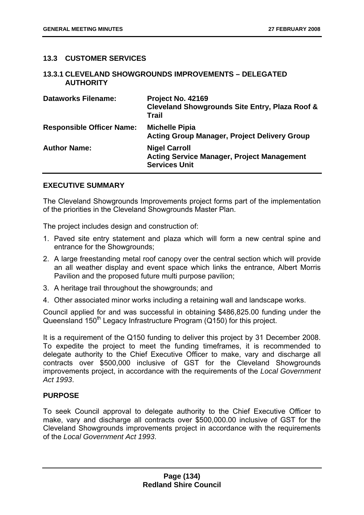# **13.3 CUSTOMER SERVICES**

## **13.3.1 CLEVELAND SHOWGROUNDS IMPROVEMENTS – DELEGATED AUTHORITY**

| <b>Dataworks Filename:</b>       | Project No. 42169<br><b>Cleveland Showgrounds Site Entry, Plaza Roof &amp;</b><br><b>Trail</b>    |
|----------------------------------|---------------------------------------------------------------------------------------------------|
| <b>Responsible Officer Name:</b> | <b>Michelle Pipia</b><br><b>Acting Group Manager, Project Delivery Group</b>                      |
| <b>Author Name:</b>              | <b>Nigel Carroll</b><br><b>Acting Service Manager, Project Management</b><br><b>Services Unit</b> |

## **EXECUTIVE SUMMARY**

The Cleveland Showgrounds Improvements project forms part of the implementation of the priorities in the Cleveland Showgrounds Master Plan.

The project includes design and construction of:

- 1. Paved site entry statement and plaza which will form a new central spine and entrance for the Showgrounds;
- 2. A large freestanding metal roof canopy over the central section which will provide an all weather display and event space which links the entrance, Albert Morris Pavilion and the proposed future multi purpose pavilion;
- 3. A heritage trail throughout the showgrounds; and
- 4. Other associated minor works including a retaining wall and landscape works.

Council applied for and was successful in obtaining \$486,825.00 funding under the Queensland 150<sup>th</sup> Legacy Infrastructure Program (Q150) for this project.

It is a requirement of the Q150 funding to deliver this project by 31 December 2008. To expedite the project to meet the funding timeframes, it is recommended to delegate authority to the Chief Executive Officer to make, vary and discharge all contracts over \$500,000 inclusive of GST for the Cleveland Showgrounds improvements project, in accordance with the requirements of the *Local Government Act 1993*.

## **PURPOSE**

To seek Council approval to delegate authority to the Chief Executive Officer to make, vary and discharge all contracts over \$500,000.00 inclusive of GST for the Cleveland Showgrounds improvements project in accordance with the requirements of the *Local Government Act 1993*.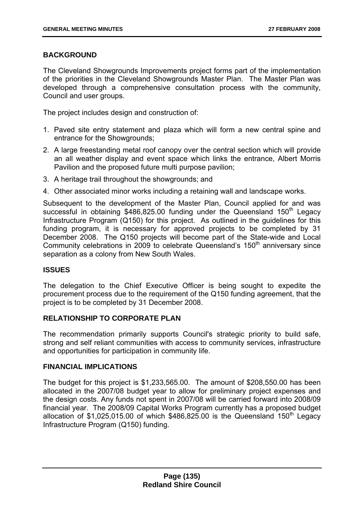# **BACKGROUND**

The Cleveland Showgrounds Improvements project forms part of the implementation of the priorities in the Cleveland Showgrounds Master Plan. The Master Plan was developed through a comprehensive consultation process with the community, Council and user groups.

The project includes design and construction of:

- 1. Paved site entry statement and plaza which will form a new central spine and entrance for the Showgrounds;
- 2. A large freestanding metal roof canopy over the central section which will provide an all weather display and event space which links the entrance, Albert Morris Pavilion and the proposed future multi purpose pavilion;
- 3. A heritage trail throughout the showgrounds; and
- 4. Other associated minor works including a retaining wall and landscape works.

Subsequent to the development of the Master Plan, Council applied for and was successful in obtaining  $$486,825.00$  funding under the Queensland  $150<sup>th</sup>$  Legacy Infrastructure Program (Q150) for this project. As outlined in the guidelines for this funding program, it is necessary for approved projects to be completed by 31 December 2008. The Q150 projects will become part of the State-wide and Local Community celebrations in 2009 to celebrate Queensland's  $150<sup>th</sup>$  anniversary since separation as a colony from New South Wales.

# **ISSUES**

The delegation to the Chief Executive Officer is being sought to expedite the procurement process due to the requirement of the Q150 funding agreement, that the project is to be completed by 31 December 2008.

# **RELATIONSHIP TO CORPORATE PLAN**

The recommendation primarily supports Council's strategic priority to build safe, strong and self reliant communities with access to community services, infrastructure and opportunities for participation in community life.

## **FINANCIAL IMPLICATIONS**

The budget for this project is \$1,233,565.00. The amount of \$208,550.00 has been allocated in the 2007/08 budget year to allow for preliminary project expenses and the design costs. Any funds not spent in 2007/08 will be carried forward into 2008/09 financial year. The 2008/09 Capital Works Program currently has a proposed budget allocation of \$1,025,015.00 of which  $$486,825.00$  is the Queensland 150<sup>th</sup> Legacy Infrastructure Program (Q150) funding.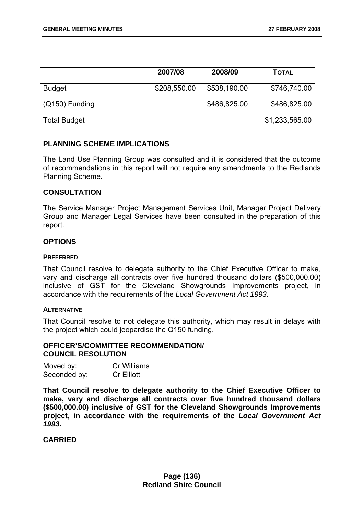|                     | 2007/08      | 2008/09      | <b>TOTAL</b>   |
|---------------------|--------------|--------------|----------------|
| <b>Budget</b>       | \$208,550.00 | \$538,190.00 | \$746,740.00   |
| $(Q150)$ Funding    |              | \$486,825.00 | \$486,825.00   |
| <b>Total Budget</b> |              |              | \$1,233,565.00 |

## **PLANNING SCHEME IMPLICATIONS**

The Land Use Planning Group was consulted and it is considered that the outcome of recommendations in this report will not require any amendments to the Redlands Planning Scheme.

## **CONSULTATION**

The Service Manager Project Management Services Unit, Manager Project Delivery Group and Manager Legal Services have been consulted in the preparation of this report.

## **OPTIONS**

#### **PREFERRED**

That Council resolve to delegate authority to the Chief Executive Officer to make, vary and discharge all contracts over five hundred thousand dollars (\$500,000.00) inclusive of GST for the Cleveland Showgrounds Improvements project, in accordance with the requirements of the *Local Government Act 1993*.

#### **ALTERNATIVE**

That Council resolve to not delegate this authority, which may result in delays with the project which could jeopardise the Q150 funding.

## **OFFICER'S/COMMITTEE RECOMMENDATION/ COUNCIL RESOLUTION**

| Moved by:    | <b>Cr Williams</b> |
|--------------|--------------------|
| Seconded by: | <b>Cr Elliott</b>  |

**That Council resolve to delegate authority to the Chief Executive Officer to make, vary and discharge all contracts over five hundred thousand dollars (\$500,000.00) inclusive of GST for the Cleveland Showgrounds Improvements project, in accordance with the requirements of the** *Local Government Act 1993***.**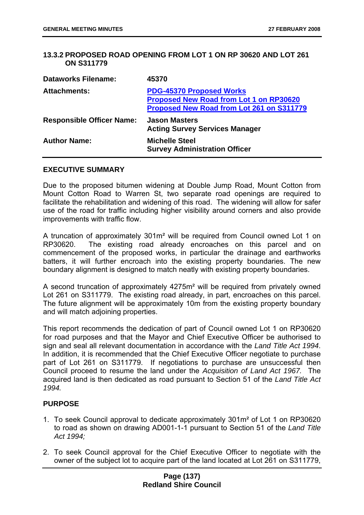## **13.3.2 PROPOSED ROAD OPENING FROM LOT 1 ON RP 30620 AND LOT 261 ON S311779**

| <b>Dataworks Filename:</b>       | 45370                                                                                                                          |
|----------------------------------|--------------------------------------------------------------------------------------------------------------------------------|
| <b>Attachments:</b>              | <b>PDG-45370 Proposed Works</b><br><b>Proposed New Road from Lot 1 on RP30620</b><br>Proposed New Road from Lot 261 on S311779 |
| <b>Responsible Officer Name:</b> | <b>Jason Masters</b><br><b>Acting Survey Services Manager</b>                                                                  |
| <b>Author Name:</b>              | <b>Michelle Steel</b><br><b>Survey Administration Officer</b>                                                                  |

#### **EXECUTIVE SUMMARY**

Due to the proposed bitumen widening at Double Jump Road, Mount Cotton from Mount Cotton Road to Warren St, two separate road openings are required to facilitate the rehabilitation and widening of this road. The widening will allow for safer use of the road for traffic including higher visibility around corners and also provide improvements with traffic flow.

A truncation of approximately 301m² will be required from Council owned Lot 1 on RP30620. The existing road already encroaches on this parcel and on commencement of the proposed works, in particular the drainage and earthworks batters, it will further encroach into the existing property boundaries. The new boundary alignment is designed to match neatly with existing property boundaries.

A second truncation of approximately 4275m² will be required from privately owned Lot 261 on S311779. The existing road already, in part, encroaches on this parcel. The future alignment will be approximately 10m from the existing property boundary and will match adjoining properties.

This report recommends the dedication of part of Council owned Lot 1 on RP30620 for road purposes and that the Mayor and Chief Executive Officer be authorised to sign and seal all relevant documentation in accordance with the *Land Title Act 1994*. In addition, it is recommended that the Chief Executive Officer negotiate to purchase part of Lot 261 on S311779. If negotiations to purchase are unsuccessful then Council proceed to resume the land under the *Acquisition of Land Act 1967.* The acquired land is then dedicated as road pursuant to Section 51 of the *Land Title Act 1994.* 

## **PURPOSE**

- 1. To seek Council approval to dedicate approximately 301m² of Lot 1 on RP30620 to road as shown on drawing AD001-1-1 pursuant to Section 51 of the *Land Title Act 1994;*
- 2. To seek Council approval for the Chief Executive Officer to negotiate with the owner of the subject lot to acquire part of the land located at Lot 261 on S311779,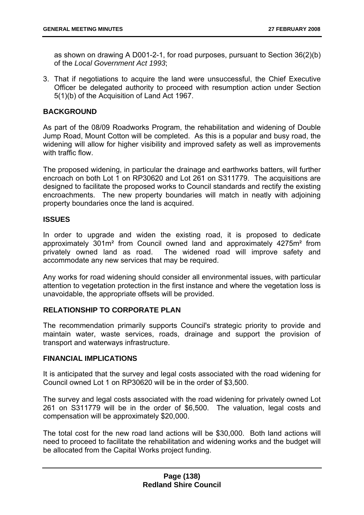as shown on drawing A D001-2-1, for road purposes, pursuant to Section 36(2)(b) of the *Local Government Act 1993*;

3. That if negotiations to acquire the land were unsuccessful, the Chief Executive Officer be delegated authority to proceed with resumption action under Section 5(1)(b) of the Acquisition of Land Act 1967.

## **BACKGROUND**

As part of the 08/09 Roadworks Program, the rehabilitation and widening of Double Jump Road, Mount Cotton will be completed. As this is a popular and busy road, the widening will allow for higher visibility and improved safety as well as improvements with traffic flow.

The proposed widening, in particular the drainage and earthworks batters, will further encroach on both Lot 1 on RP30620 and Lot 261 on S311779. The acquisitions are designed to facilitate the proposed works to Council standards and rectify the existing encroachments. The new property boundaries will match in neatly with adjoining property boundaries once the land is acquired.

## **ISSUES**

In order to upgrade and widen the existing road, it is proposed to dedicate approximately 301m² from Council owned land and approximately 4275m² from privately owned land as road. The widened road will improve safety and accommodate any new services that may be required.

Any works for road widening should consider all environmental issues, with particular attention to vegetation protection in the first instance and where the vegetation loss is unavoidable, the appropriate offsets will be provided.

# **RELATIONSHIP TO CORPORATE PLAN**

The recommendation primarily supports Council's strategic priority to provide and maintain water, waste services, roads, drainage and support the provision of transport and waterways infrastructure.

## **FINANCIAL IMPLICATIONS**

It is anticipated that the survey and legal costs associated with the road widening for Council owned Lot 1 on RP30620 will be in the order of \$3,500.

The survey and legal costs associated with the road widening for privately owned Lot 261 on S311779 will be in the order of \$6,500. The valuation, legal costs and compensation will be approximately \$20,000.

The total cost for the new road land actions will be \$30,000. Both land actions will need to proceed to facilitate the rehabilitation and widening works and the budget will be allocated from the Capital Works project funding.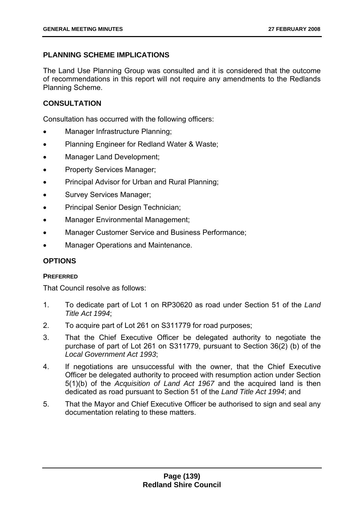# **PLANNING SCHEME IMPLICATIONS**

The Land Use Planning Group was consulted and it is considered that the outcome of recommendations in this report will not require any amendments to the Redlands Planning Scheme.

# **CONSULTATION**

Consultation has occurred with the following officers:

- Manager Infrastructure Planning;
- Planning Engineer for Redland Water & Waste;
- Manager Land Development;
- Property Services Manager;
- Principal Advisor for Urban and Rural Planning;
- Survey Services Manager;
- Principal Senior Design Technician;
- Manager Environmental Management;
- Manager Customer Service and Business Performance;
- Manager Operations and Maintenance.

# **OPTIONS**

# **PREFERRED**

That Council resolve as follows:

- 1. To dedicate part of Lot 1 on RP30620 as road under Section 51 of the *Land Title Act 1994*;
- 2. To acquire part of Lot 261 on S311779 for road purposes;
- 3. That the Chief Executive Officer be delegated authority to negotiate the purchase of part of Lot 261 on S311779, pursuant to Section 36(2) (b) of the *Local Government Act 1993*;
- 4. If negotiations are unsuccessful with the owner, that the Chief Executive Officer be delegated authority to proceed with resumption action under Section 5(1)(b) of the *Acquisition of Land Act 1967* and the acquired land is then dedicated as road pursuant to Section 51 of the *Land Title Act 1994*; and
- 5. That the Mayor and Chief Executive Officer be authorised to sign and seal any documentation relating to these matters.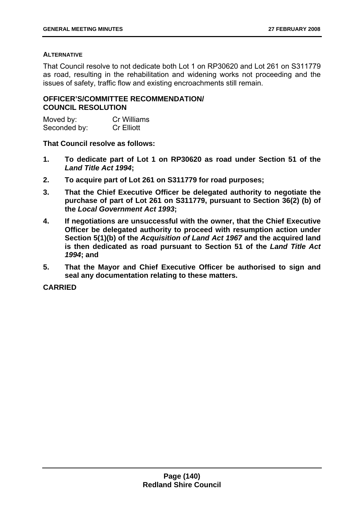## **ALTERNATIVE**

That Council resolve to not dedicate both Lot 1 on RP30620 and Lot 261 on S311779 as road, resulting in the rehabilitation and widening works not proceeding and the issues of safety, traffic flow and existing encroachments still remain.

# **OFFICER'S/COMMITTEE RECOMMENDATION/ COUNCIL RESOLUTION**

| Moved by:    | <b>Cr Williams</b> |
|--------------|--------------------|
| Seconded by: | <b>Cr Elliott</b>  |

## **That Council resolve as follows:**

- **1. To dedicate part of Lot 1 on RP30620 as road under Section 51 of the**  *Land Title Act 1994***;**
- **2. To acquire part of Lot 261 on S311779 for road purposes;**
- **3. That the Chief Executive Officer be delegated authority to negotiate the purchase of part of Lot 261 on S311779, pursuant to Section 36(2) (b) of the** *Local Government Act 1993***;**
- **4. If negotiations are unsuccessful with the owner, that the Chief Executive Officer be delegated authority to proceed with resumption action under Section 5(1)(b) of the** *Acquisition of Land Act 1967* **and the acquired land is then dedicated as road pursuant to Section 51 of the** *Land Title Act 1994***; and**
- **5. That the Mayor and Chief Executive Officer be authorised to sign and seal any documentation relating to these matters.**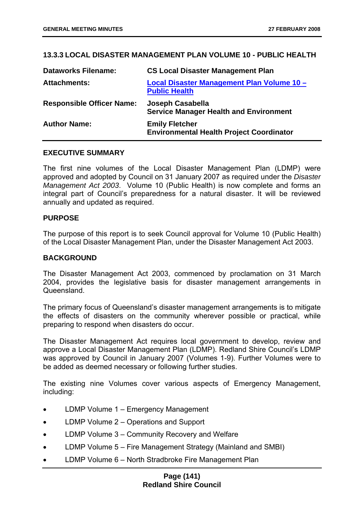## **13.3.3 LOCAL DISASTER MANAGEMENT PLAN VOLUME 10 - PUBLIC HEALTH**

| <b>Dataworks Filename:</b>       | <b>CS Local Disaster Management Plan</b>                                 |
|----------------------------------|--------------------------------------------------------------------------|
| <b>Attachments:</b>              | Local Disaster Management Plan Volume 10 -<br><b>Public Health</b>       |
| <b>Responsible Officer Name:</b> | Joseph Casabella<br><b>Service Manager Health and Environment</b>        |
| <b>Author Name:</b>              | <b>Emily Fletcher</b><br><b>Environmental Health Project Coordinator</b> |

## **EXECUTIVE SUMMARY**

The first nine volumes of the Local Disaster Management Plan (LDMP) were approved and adopted by Council on 31 January 2007 as required under the *Disaster Management Act 2003*. Volume 10 (Public Health) is now complete and forms an integral part of Council's preparedness for a natural disaster. It will be reviewed annually and updated as required.

## **PURPOSE**

The purpose of this report is to seek Council approval for Volume 10 (Public Health) of the Local Disaster Management Plan, under the Disaster Management Act 2003.

### **BACKGROUND**

The Disaster Management Act 2003, commenced by proclamation on 31 March 2004, provides the legislative basis for disaster management arrangements in **Queensland** 

The primary focus of Queensland's disaster management arrangements is to mitigate the effects of disasters on the community wherever possible or practical, while preparing to respond when disasters do occur.

The Disaster Management Act requires local government to develop, review and approve a Local Disaster Management Plan (LDMP). Redland Shire Council's LDMP was approved by Council in January 2007 (Volumes 1-9). Further Volumes were to be added as deemed necessary or following further studies.

The existing nine Volumes cover various aspects of Emergency Management, including:

- LDMP Volume 1 Emergency Management
- LDMP Volume 2 Operations and Support
- LDMP Volume 3 Community Recovery and Welfare
- LDMP Volume 5 Fire Management Strategy (Mainland and SMBI)
- LDMP Volume 6 North Stradbroke Fire Management Plan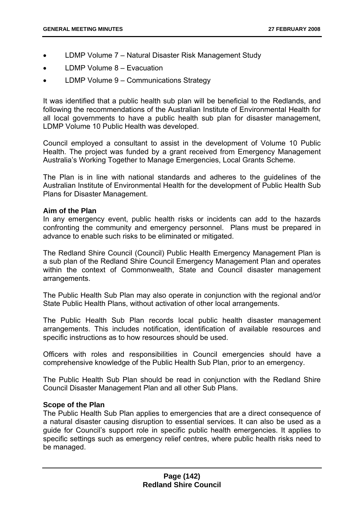- LDMP Volume 7 Natural Disaster Risk Management Study
- LDMP Volume 8 Evacuation
- LDMP Volume 9 Communications Strategy

It was identified that a public health sub plan will be beneficial to the Redlands, and following the recommendations of the Australian Institute of Environmental Health for all local governments to have a public health sub plan for disaster management, LDMP Volume 10 Public Health was developed.

Council employed a consultant to assist in the development of Volume 10 Public Health. The project was funded by a grant received from Emergency Management Australia's Working Together to Manage Emergencies, Local Grants Scheme.

The Plan is in line with national standards and adheres to the guidelines of the Australian Institute of Environmental Health for the development of Public Health Sub Plans for Disaster Management.

## **Aim of the Plan**

In any emergency event, public health risks or incidents can add to the hazards confronting the community and emergency personnel. Plans must be prepared in advance to enable such risks to be eliminated or mitigated.

The Redland Shire Council (Council) Public Health Emergency Management Plan is a sub plan of the Redland Shire Council Emergency Management Plan and operates within the context of Commonwealth, State and Council disaster management arrangements.

The Public Health Sub Plan may also operate in conjunction with the regional and/or State Public Health Plans, without activation of other local arrangements.

The Public Health Sub Plan records local public health disaster management arrangements. This includes notification, identification of available resources and specific instructions as to how resources should be used.

Officers with roles and responsibilities in Council emergencies should have a comprehensive knowledge of the Public Health Sub Plan, prior to an emergency.

The Public Health Sub Plan should be read in conjunction with the Redland Shire Council Disaster Management Plan and all other Sub Plans.

## **Scope of the Plan**

The Public Health Sub Plan applies to emergencies that are a direct consequence of a natural disaster causing disruption to essential services. It can also be used as a guide for Council's support role in specific public health emergencies. It applies to specific settings such as emergency relief centres, where public health risks need to be managed.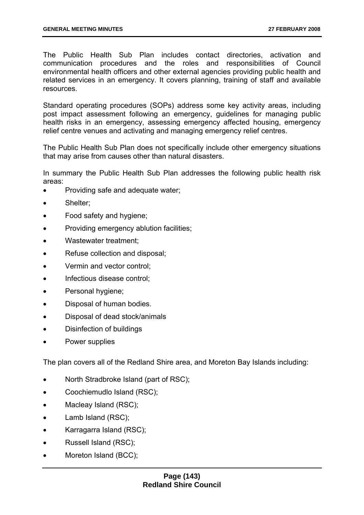The Public Health Sub Plan includes contact directories, activation and communication procedures and the roles and responsibilities of Council environmental health officers and other external agencies providing public health and related services in an emergency. It covers planning, training of staff and available resources.

Standard operating procedures (SOPs) address some key activity areas, including post impact assessment following an emergency, guidelines for managing public health risks in an emergency, assessing emergency affected housing, emergency relief centre venues and activating and managing emergency relief centres.

The Public Health Sub Plan does not specifically include other emergency situations that may arise from causes other than natural disasters.

In summary the Public Health Sub Plan addresses the following public health risk areas:

- Providing safe and adequate water;
- Shelter:
- Food safety and hygiene;
- Providing emergency ablution facilities;
- Wastewater treatment;
- Refuse collection and disposal;
- Vermin and vector control;
- Infectious disease control:
- Personal hygiene;
- Disposal of human bodies.
- Disposal of dead stock/animals
- Disinfection of buildings
- Power supplies

The plan covers all of the Redland Shire area, and Moreton Bay Islands including:

- North Stradbroke Island (part of RSC);
- Coochiemudlo Island (RSC);
- Macleay Island (RSC);
- Lamb Island (RSC);
- Karragarra Island (RSC);
- Russell Island (RSC);
- Moreton Island (BCC);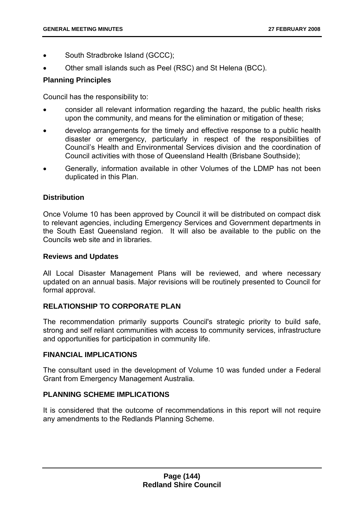- South Stradbroke Island (GCCC);
- Other small islands such as Peel (RSC) and St Helena (BCC).

# **Planning Principles**

Council has the responsibility to:

- consider all relevant information regarding the hazard, the public health risks upon the community, and means for the elimination or mitigation of these;
- develop arrangements for the timely and effective response to a public health disaster or emergency, particularly in respect of the responsibilities of Council's Health and Environmental Services division and the coordination of Council activities with those of Queensland Health (Brisbane Southside);
- Generally, information available in other Volumes of the LDMP has not been duplicated in this Plan.

# **Distribution**

Once Volume 10 has been approved by Council it will be distributed on compact disk to relevant agencies, including Emergency Services and Government departments in the South East Queensland region. It will also be available to the public on the Councils web site and in libraries.

## **Reviews and Updates**

All Local Disaster Management Plans will be reviewed, and where necessary updated on an annual basis. Major revisions will be routinely presented to Council for formal approval.

# **RELATIONSHIP TO CORPORATE PLAN**

The recommendation primarily supports Council's strategic priority to build safe, strong and self reliant communities with access to community services, infrastructure and opportunities for participation in community life.

# **FINANCIAL IMPLICATIONS**

The consultant used in the development of Volume 10 was funded under a Federal Grant from Emergency Management Australia.

# **PLANNING SCHEME IMPLICATIONS**

It is considered that the outcome of recommendations in this report will not require any amendments to the Redlands Planning Scheme.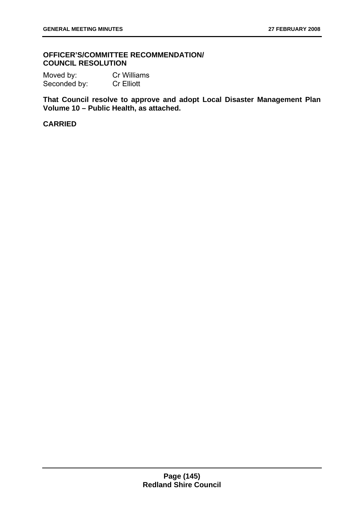## **OFFICER'S/COMMITTEE RECOMMENDATION/ COUNCIL RESOLUTION**

Moved by: Cr Williams Seconded by: Cr Elliott

**That Council resolve to approve and adopt Local Disaster Management Plan Volume 10 – Public Health, as attached.**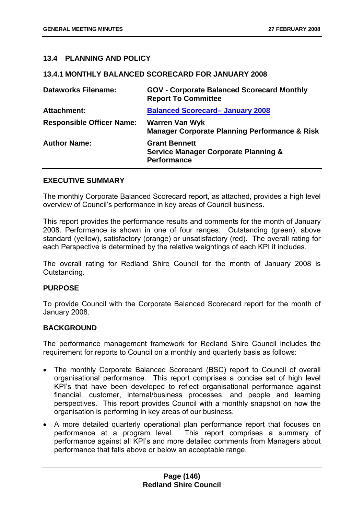## **13.4 PLANNING AND POLICY**

### **13.4.1 MONTHLY BALANCED SCORECARD FOR JANUARY 2008**

| <b>Dataworks Filename:</b>       | <b>GOV - Corporate Balanced Scorecard Monthly</b><br><b>Report To Committee</b>               |
|----------------------------------|-----------------------------------------------------------------------------------------------|
| <b>Attachment:</b>               | <b>Balanced Scorecard- January 2008</b>                                                       |
| <b>Responsible Officer Name:</b> | <b>Warren Van Wyk</b><br><b>Manager Corporate Planning Performance &amp; Risk</b>             |
| <b>Author Name:</b>              | <b>Grant Bennett</b><br><b>Service Manager Corporate Planning &amp;</b><br><b>Performance</b> |

### **EXECUTIVE SUMMARY**

The monthly Corporate Balanced Scorecard report, as attached, provides a high level overview of Council's performance in key areas of Council business.

This report provides the performance results and comments for the month of January 2008. Performance is shown in one of four ranges: Outstanding (green), above standard (yellow), satisfactory (orange) or unsatisfactory (red). The overall rating for each Perspective is determined by the relative weightings of each KPI it includes.

The overall rating for Redland Shire Council for the month of January 2008 is Outstanding.

### **PURPOSE**

To provide Council with the Corporate Balanced Scorecard report for the month of January 2008.

### **BACKGROUND**

The performance management framework for Redland Shire Council includes the requirement for reports to Council on a monthly and quarterly basis as follows:

- The monthly Corporate Balanced Scorecard (BSC) report to Council of overall organisational performance. This report comprises a concise set of high level KPI's that have been developed to reflect organisational performance against financial, customer, internal/business processes, and people and learning perspectives. This report provides Council with a monthly snapshot on how the organisation is performing in key areas of our business.
- A more detailed quarterly operational plan performance report that focuses on performance at a program level. This report comprises a summary of performance against all KPI's and more detailed comments from Managers about performance that falls above or below an acceptable range.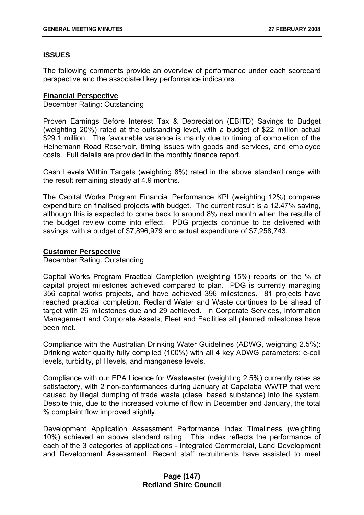# **ISSUES**

The following comments provide an overview of performance under each scorecard perspective and the associated key performance indicators.

## **Financial Perspective**

December Rating: Outstanding

Proven Earnings Before Interest Tax & Depreciation (EBITD) Savings to Budget (weighting 20%) rated at the outstanding level, with a budget of \$22 million actual \$29.1 million. The favourable variance is mainly due to timing of completion of the Heinemann Road Reservoir, timing issues with goods and services, and employee costs. Full details are provided in the monthly finance report.

Cash Levels Within Targets (weighting 8%) rated in the above standard range with the result remaining steady at 4.9 months.

The Capital Works Program Financial Performance KPI (weighting 12%) compares expenditure on finalised projects with budget. The current result is a 12.47% saving, although this is expected to come back to around 8% next month when the results of the budget review come into effect. PDG projects continue to be delivered with savings, with a budget of \$7,896,979 and actual expenditure of \$7,258,743.

## **Customer Perspective**

December Rating: Outstanding

Capital Works Program Practical Completion (weighting 15%) reports on the % of capital project milestones achieved compared to plan. PDG is currently managing 356 capital works projects, and have achieved 396 milestones. 81 projects have reached practical completion. Redland Water and Waste continues to be ahead of target with 26 milestones due and 29 achieved. In Corporate Services, Information Management and Corporate Assets, Fleet and Facilities all planned milestones have been met.

Compliance with the Australian Drinking Water Guidelines (ADWG, weighting 2.5%): Drinking water quality fully complied (100%) with all 4 key ADWG parameters: e-coli levels, turbidity, pH levels, and manganese levels.

Compliance with our EPA Licence for Wastewater (weighting 2.5%) currently rates as satisfactory, with 2 non-conformances during January at Capalaba WWTP that were caused by illegal dumping of trade waste (diesel based substance) into the system. Despite this, due to the increased volume of flow in December and January, the total % complaint flow improved slightly.

Development Application Assessment Performance Index Timeliness (weighting 10%) achieved an above standard rating. This index reflects the performance of each of the 3 categories of applications - Integrated Commercial, Land Development and Development Assessment. Recent staff recruitments have assisted to meet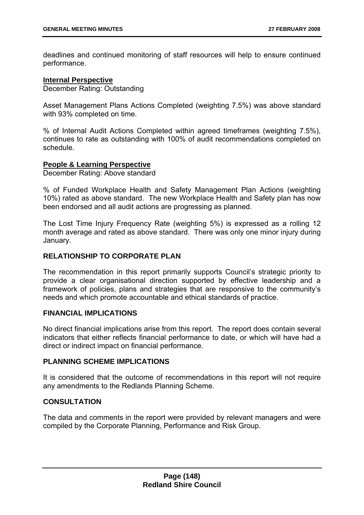deadlines and continued monitoring of staff resources will help to ensure continued performance.

### **Internal Perspective**

December Rating: Outstanding

Asset Management Plans Actions Completed (weighting 7.5%) was above standard with 93% completed on time.

% of Internal Audit Actions Completed within agreed timeframes (weighting 7.5%), continues to rate as outstanding with 100% of audit recommendations completed on schedule.

### **People & Learning Perspective**

December Rating: Above standard

% of Funded Workplace Health and Safety Management Plan Actions (weighting 10%) rated as above standard. The new Workplace Health and Safety plan has now been endorsed and all audit actions are progressing as planned.

The Lost Time Injury Frequency Rate (weighting 5%) is expressed as a rolling 12 month average and rated as above standard. There was only one minor injury during January.

### **RELATIONSHIP TO CORPORATE PLAN**

The recommendation in this report primarily supports Council's strategic priority to provide a clear organisational direction supported by effective leadership and a framework of policies, plans and strategies that are responsive to the community's needs and which promote accountable and ethical standards of practice.

### **FINANCIAL IMPLICATIONS**

No direct financial implications arise from this report. The report does contain several indicators that either reflects financial performance to date, or which will have had a direct or indirect impact on financial performance.

### **PLANNING SCHEME IMPLICATIONS**

It is considered that the outcome of recommendations in this report will not require any amendments to the Redlands Planning Scheme.

### **CONSULTATION**

The data and comments in the report were provided by relevant managers and were compiled by the Corporate Planning, Performance and Risk Group.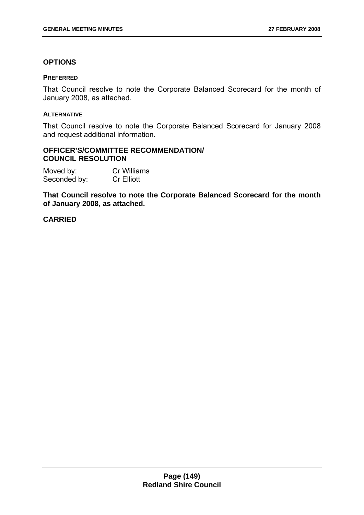## **OPTIONS**

### **PREFERRED**

That Council resolve to note the Corporate Balanced Scorecard for the month of January 2008, as attached.

### **ALTERNATIVE**

That Council resolve to note the Corporate Balanced Scorecard for January 2008 and request additional information.

# **OFFICER'S/COMMITTEE RECOMMENDATION/ COUNCIL RESOLUTION**

| Moved by:    | <b>Cr Williams</b> |
|--------------|--------------------|
| Seconded by: | <b>Cr Elliott</b>  |

**That Council resolve to note the Corporate Balanced Scorecard for the month of January 2008, as attached.**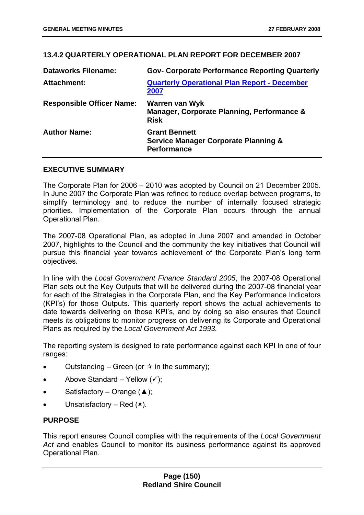# **13.4.2 QUARTERLY OPERATIONAL PLAN REPORT FOR DECEMBER 2007**

| <b>Dataworks Filename:</b>       | <b>Gov- Corporate Performance Reporting Quarterly</b>                                         |
|----------------------------------|-----------------------------------------------------------------------------------------------|
| <b>Attachment:</b>               | <b>Quarterly Operational Plan Report - December</b><br>2007                                   |
| <b>Responsible Officer Name:</b> | Warren van Wyk<br>Manager, Corporate Planning, Performance &<br><b>Risk</b>                   |
| <b>Author Name:</b>              | <b>Grant Bennett</b><br><b>Service Manager Corporate Planning &amp;</b><br><b>Performance</b> |

## **EXECUTIVE SUMMARY**

The Corporate Plan for 2006 – 2010 was adopted by Council on 21 December 2005. In June 2007 the Corporate Plan was refined to reduce overlap between programs, to simplify terminology and to reduce the number of internally focused strategic priorities. Implementation of the Corporate Plan occurs through the annual Operational Plan.

The 2007-08 Operational Plan, as adopted in June 2007 and amended in October 2007, highlights to the Council and the community the key initiatives that Council will pursue this financial year towards achievement of the Corporate Plan's long term objectives.

In line with the *Local Government Finance Standard 2005*, the 2007-08 Operational Plan sets out the Key Outputs that will be delivered during the 2007-08 financial year for each of the Strategies in the Corporate Plan, and the Key Performance Indicators (KPI's) for those Outputs. This quarterly report shows the actual achievements to date towards delivering on those KPI's, and by doing so also ensures that Council meets its obligations to monitor progress on delivering its Corporate and Operational Plans as required by the *Local Government Act 1993.* 

The reporting system is designed to rate performance against each KPI in one of four ranges:

- Outstanding Green (or  $\dot{\alpha}$  in the summary);
- Above Standard Yellow  $(v)$ ;
- Satisfactory Orange  $($ \triangle );
- Unsatisfactory Red  $(x)$ .

# **PURPOSE**

This report ensures Council complies with the requirements of the *Local Government Act* and enables Council to monitor its business performance against its approved Operational Plan.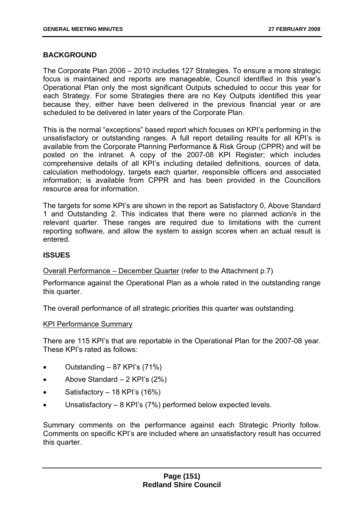## **BACKGROUND**

The Corporate Plan 2006 – 2010 includes 127 Strategies. To ensure a more strategic focus is maintained and reports are manageable, Council identified in this year's Operational Plan only the most significant Outputs scheduled to occur this year for each Strategy. For some Strategies there are no Key Outputs identified this year because they, either have been delivered in the previous financial year or are scheduled to be delivered in later years of the Corporate Plan.

This is the normal "exceptions" based report which focuses on KPI's performing in the unsatisfactory or outstanding ranges. A full report detailing results for all KPI's is available from the Corporate Planning Performance & Risk Group (CPPR) and will be posted on the intranet. A copy of the 2007-08 KPI Register; which includes comprehensive details of all KPI's including detailed definitions, sources of data, calculation methodology, targets each quarter, responsible officers and associated information; is available from CPPR and has been provided in the Councillors resource area for information.

The targets for some KPI's are shown in the report as Satisfactory 0, Above Standard 1 and Outstanding 2. This indicates that there were no planned action/s in the relevant quarter. These ranges are required due to limitations with the current reporting software, and allow the system to assign scores when an actual result is entered.

## **ISSUES**

Overall Performance – December Quarter (refer to the Attachment p.7)

Performance against the Operational Plan as a whole rated in the outstanding range this quarter.

The overall performance of all strategic priorities this quarter was outstanding.

#### KPI Performance Summary

There are 115 KPI's that are reportable in the Operational Plan for the 2007-08 year. These KPI's rated as follows:

- Outstanding 87 KPI's (71%)
- Above Standard  $-2$  KPI's  $(2\%)$
- Satisfactory  $-18$  KPI's (16%)
- Unsatisfactory 8 KPI's (7%) performed below expected levels.

Summary comments on the performance against each Strategic Priority follow. Comments on specific KPI's are included where an unsatisfactory result has occurred this quarter.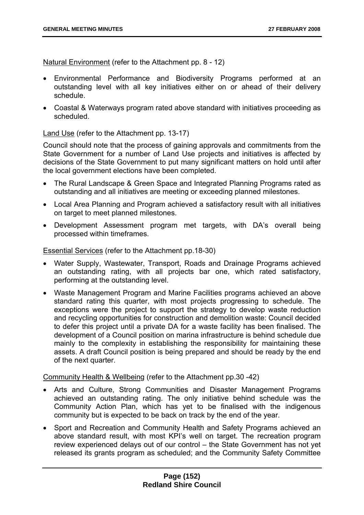Natural Environment (refer to the Attachment pp. 8 - 12)

- Environmental Performance and Biodiversity Programs performed at an outstanding level with all key initiatives either on or ahead of their delivery schedule.
- Coastal & Waterways program rated above standard with initiatives proceeding as scheduled.

Land Use (refer to the Attachment pp. 13-17)

Council should note that the process of gaining approvals and commitments from the State Government for a number of Land Use projects and initiatives is affected by decisions of the State Government to put many significant matters on hold until after the local government elections have been completed.

- The Rural Landscape & Green Space and Integrated Planning Programs rated as outstanding and all initiatives are meeting or exceeding planned milestones.
- Local Area Planning and Program achieved a satisfactory result with all initiatives on target to meet planned milestones.
- Development Assessment program met targets, with DA's overall being processed within timeframes.

Essential Services (refer to the Attachment pp.18-30)

- Water Supply, Wastewater, Transport, Roads and Drainage Programs achieved an outstanding rating, with all projects bar one, which rated satisfactory, performing at the outstanding level.
- Waste Management Program and Marine Facilities programs achieved an above standard rating this quarter, with most projects progressing to schedule. The exceptions were the project to support the strategy to develop waste reduction and recycling opportunities for construction and demolition waste: Council decided to defer this project until a private DA for a waste facility has been finalised. The development of a Council position on marina infrastructure is behind schedule due mainly to the complexity in establishing the responsibility for maintaining these assets. A draft Council position is being prepared and should be ready by the end of the next quarter.

Community Health & Wellbeing (refer to the Attachment pp.30 -42)

- Arts and Culture, Strong Communities and Disaster Management Programs achieved an outstanding rating. The only initiative behind schedule was the Community Action Plan, which has yet to be finalised with the indigenous community but is expected to be back on track by the end of the year.
- Sport and Recreation and Community Health and Safety Programs achieved an above standard result, with most KPI's well on target. The recreation program review experienced delays out of our control – the State Government has not yet released its grants program as scheduled; and the Community Safety Committee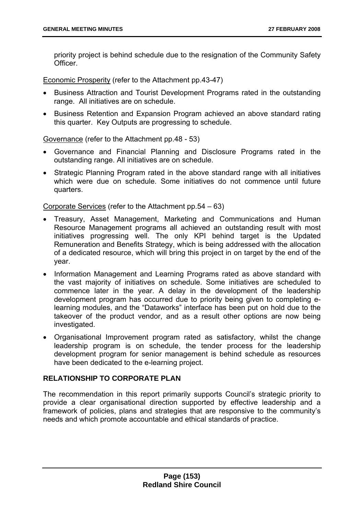priority project is behind schedule due to the resignation of the Community Safety **Officer** 

Economic Prosperity (refer to the Attachment pp.43-47)

- Business Attraction and Tourist Development Programs rated in the outstanding range. All initiatives are on schedule.
- Business Retention and Expansion Program achieved an above standard rating this quarter. Key Outputs are progressing to schedule.

Governance (refer to the Attachment pp.48 - 53)

- Governance and Financial Planning and Disclosure Programs rated in the outstanding range. All initiatives are on schedule.
- Strategic Planning Program rated in the above standard range with all initiatives which were due on schedule. Some initiatives do not commence until future quarters.

Corporate Services (refer to the Attachment pp.54 – 63)

- Treasury, Asset Management, Marketing and Communications and Human Resource Management programs all achieved an outstanding result with most initiatives progressing well. The only KPI behind target is the Updated Remuneration and Benefits Strategy, which is being addressed with the allocation of a dedicated resource, which will bring this project in on target by the end of the year.
- Information Management and Learning Programs rated as above standard with the vast majority of initiatives on schedule. Some initiatives are scheduled to commence later in the year. A delay in the development of the leadership development program has occurred due to priority being given to completing elearning modules, and the "Dataworks" interface has been put on hold due to the takeover of the product vendor, and as a result other options are now being investigated.
- Organisational Improvement program rated as satisfactory, whilst the change leadership program is on schedule, the tender process for the leadership development program for senior management is behind schedule as resources have been dedicated to the e-learning project.

# **RELATIONSHIP TO CORPORATE PLAN**

The recommendation in this report primarily supports Council's strategic priority to provide a clear organisational direction supported by effective leadership and a framework of policies, plans and strategies that are responsive to the community's needs and which promote accountable and ethical standards of practice.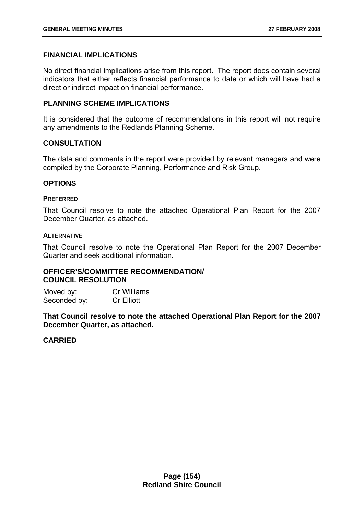## **FINANCIAL IMPLICATIONS**

No direct financial implications arise from this report. The report does contain several indicators that either reflects financial performance to date or which will have had a direct or indirect impact on financial performance.

## **PLANNING SCHEME IMPLICATIONS**

It is considered that the outcome of recommendations in this report will not require any amendments to the Redlands Planning Scheme.

## **CONSULTATION**

The data and comments in the report were provided by relevant managers and were compiled by the Corporate Planning, Performance and Risk Group.

### **OPTIONS**

### **PREFERRED**

That Council resolve to note the attached Operational Plan Report for the 2007 December Quarter, as attached.

### **ALTERNATIVE**

That Council resolve to note the Operational Plan Report for the 2007 December Quarter and seek additional information.

# **OFFICER'S/COMMITTEE RECOMMENDATION/ COUNCIL RESOLUTION**

Moved by: Cr Williams Seconded by: Cr Elliott

**That Council resolve to note the attached Operational Plan Report for the 2007 December Quarter, as attached.**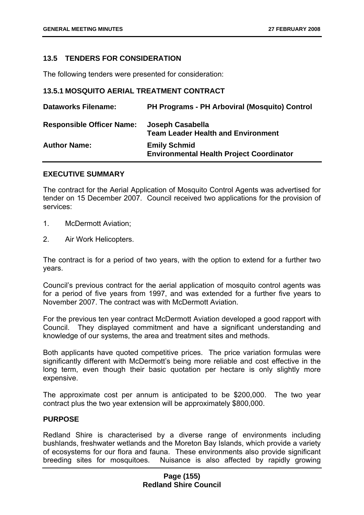## **13.5 TENDERS FOR CONSIDERATION**

The following tenders were presented for consideration:

## **13.5.1 MOSQUITO AERIAL TREATMENT CONTRACT**

| <b>Dataworks Filename:</b>       | <b>PH Programs - PH Arboviral (Mosquito) Control</b>                   |
|----------------------------------|------------------------------------------------------------------------|
| <b>Responsible Officer Name:</b> | Joseph Casabella<br><b>Team Leader Health and Environment</b>          |
| <b>Author Name:</b>              | <b>Emily Schmid</b><br><b>Environmental Health Project Coordinator</b> |

### **EXECUTIVE SUMMARY**

The contract for the Aerial Application of Mosquito Control Agents was advertised for tender on 15 December 2007. Council received two applications for the provision of services:

- 1. McDermott Aviation;
- 2. Air Work Helicopters.

The contract is for a period of two years, with the option to extend for a further two years.

Council's previous contract for the aerial application of mosquito control agents was for a period of five years from 1997, and was extended for a further five years to November 2007. The contract was with McDermott Aviation.

For the previous ten year contract McDermott Aviation developed a good rapport with Council. They displayed commitment and have a significant understanding and knowledge of our systems, the area and treatment sites and methods.

Both applicants have quoted competitive prices. The price variation formulas were significantly different with McDermott's being more reliable and cost effective in the long term, even though their basic quotation per hectare is only slightly more expensive.

The approximate cost per annum is anticipated to be \$200,000. The two year contract plus the two year extension will be approximately \$800,000.

### **PURPOSE**

Redland Shire is characterised by a diverse range of environments including bushlands, freshwater wetlands and the Moreton Bay Islands, which provide a variety of ecosystems for our flora and fauna. These environments also provide significant breeding sites for mosquitoes. Nuisance is also affected by rapidly growing

## **Page (155) Redland Shire Council**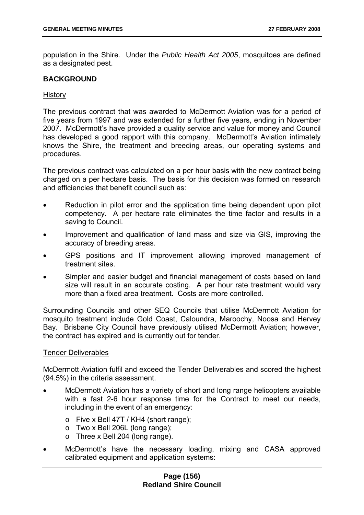population in the Shire. Under the *Public Health Act 2005*, mosquitoes are defined as a designated pest.

### **BACKGROUND**

### **History**

The previous contract that was awarded to McDermott Aviation was for a period of five years from 1997 and was extended for a further five years, ending in November 2007. McDermott's have provided a quality service and value for money and Council has developed a good rapport with this company. McDermott's Aviation intimately knows the Shire, the treatment and breeding areas, our operating systems and procedures.

The previous contract was calculated on a per hour basis with the new contract being charged on a per hectare basis. The basis for this decision was formed on research and efficiencies that benefit council such as:

- Reduction in pilot error and the application time being dependent upon pilot competency. A per hectare rate eliminates the time factor and results in a saving to Council.
- Improvement and qualification of land mass and size via GIS, improving the accuracy of breeding areas.
- GPS positions and IT improvement allowing improved management of treatment sites.
- Simpler and easier budget and financial management of costs based on land size will result in an accurate costing. A per hour rate treatment would vary more than a fixed area treatment. Costs are more controlled.

Surrounding Councils and other SEQ Councils that utilise McDermott Aviation for mosquito treatment include Gold Coast, Caloundra, Maroochy, Noosa and Hervey Bay. Brisbane City Council have previously utilised McDermott Aviation; however, the contract has expired and is currently out for tender.

### Tender Deliverables

McDermott Aviation fulfil and exceed the Tender Deliverables and scored the highest (94.5%) in the criteria assessment.

- McDermott Aviation has a variety of short and long range helicopters available with a fast 2-6 hour response time for the Contract to meet our needs, including in the event of an emergency:
	- o Five x Bell 47T / KH4 (short range);
	- o Two x Bell 206L (long range);
	- o Three x Bell 204 (long range).
- McDermott's have the necessary loading, mixing and CASA approved calibrated equipment and application systems: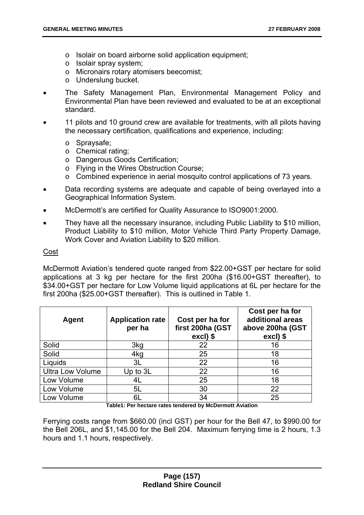- o Isolair on board airborne solid application equipment;
- o Isolair spray system;
- o Micronairs rotary atomisers beecomist;
- o Underslung bucket.
- The Safety Management Plan, Environmental Management Policy and Environmental Plan have been reviewed and evaluated to be at an exceptional standard.
- 11 pilots and 10 ground crew are available for treatments, with all pilots having the necessary certification, qualifications and experience, including:
	- o Spraysafe;
	- o Chemical rating;
	- o Dangerous Goods Certification;
	- o Flying in the Wires Obstruction Course;
	- o Combined experience in aerial mosquito control applications of 73 years.
- Data recording systems are adequate and capable of being overlayed into a Geographical Information System.
- McDermott's are certified for Quality Assurance to ISO9001:2000.
- They have all the necessary insurance, including Public Liability to \$10 million, Product Liability to \$10 million, Motor Vehicle Third Party Property Damage, Work Cover and Aviation Liability to \$20 million.

### Cost

McDermott Aviation's tendered quote ranged from \$22.00+GST per hectare for solid applications at 3 kg per hectare for the first 200ha (\$16.00+GST thereafter), to \$34.00+GST per hectare for Low Volume liquid applications at 6L per hectare for the first 200ha (\$25.00+GST thereafter). This is outlined in Table 1.

| Agent                   | <b>Application rate</b><br>per ha | Cost per ha for<br>first 200ha (GST<br>excl) \$ | Cost per ha for<br>additional areas<br>above 200ha (GST<br>excl) \$ |
|-------------------------|-----------------------------------|-------------------------------------------------|---------------------------------------------------------------------|
| Solid                   | 3kg                               | 22                                              | 16                                                                  |
| Solid                   | 4kg                               | 25                                              | 18                                                                  |
| Liquids                 | 3L                                | 22                                              | 16                                                                  |
| <b>Ultra Low Volume</b> | Up to $3L$                        | 22                                              | 16                                                                  |
| Low Volume              | 4L                                | 25                                              | 18                                                                  |
| Low Volume              | 5L                                | 30                                              | 22                                                                  |
| Low Volume              | 6L                                | 34                                              | 25                                                                  |

**Table1: Per hectare rates tendered by McDermott Aviation** 

Ferrying costs range from \$660.00 (incl GST) per hour for the Bell 47, to \$990.00 for the Bell 206L, and \$1,145.00 for the Bell 204. Maximum ferrying time is 2 hours, 1.3 hours and 1.1 hours, respectively.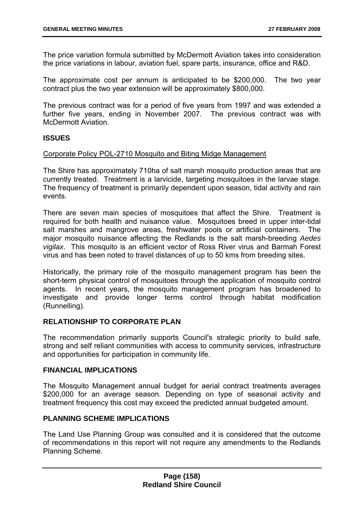The price variation formula submitted by McDermott Aviation takes into consideration the price variations in labour, aviation fuel, spare parts, insurance, office and R&D.

The approximate cost per annum is anticipated to be \$200,000. The two year contract plus the two year extension will be approximately \$800,000.

The previous contract was for a period of five years from 1997 and was extended a further five years, ending in November 2007. The previous contract was with McDermott Aviation.

### **ISSUES**

### Corporate Policy POL-2710 Mosquito and Biting Midge Management

The Shire has approximately 710ha of salt marsh mosquito production areas that are currently treated. Treatment is a larvicide, targeting mosquitoes in the larvae stage. The frequency of treatment is primarily dependent upon season, tidal activity and rain events.

There are seven main species of mosquitoes that affect the Shire. Treatment is required for both health and nuisance value. Mosquitoes breed in upper inter-tidal salt marshes and mangrove areas, freshwater pools or artificial containers. The major mosquito nuisance affecting the Redlands is the salt marsh-breeding *Aedes vigilax*. This mosquito is an efficient vector of Ross River virus and Barmah Forest virus and has been noted to travel distances of up to 50 kms from breeding sites.

Historically, the primary role of the mosquito management program has been the short-term physical control of mosquitoes through the application of mosquito control agents. In recent years, the mosquito management program has broadened to investigate and provide longer terms control through habitat modification (Runnelling).

## **RELATIONSHIP TO CORPORATE PLAN**

The recommendation primarily supports Council's strategic priority to build safe, strong and self reliant communities with access to community services, infrastructure and opportunities for participation in community life.

### **FINANCIAL IMPLICATIONS**

The Mosquito Management annual budget for aerial contract treatments averages \$200,000 for an average season. Depending on type of seasonal activity and treatment frequency this cost may exceed the predicted annual budgeted amount.

# **PLANNING SCHEME IMPLICATIONS**

The Land Use Planning Group was consulted and it is considered that the outcome of recommendations in this report will not require any amendments to the Redlands Planning Scheme.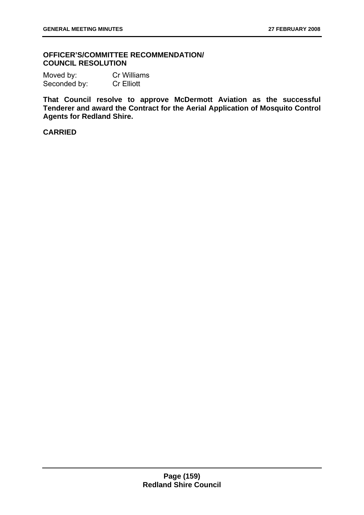## **OFFICER'S/COMMITTEE RECOMMENDATION/ COUNCIL RESOLUTION**

Moved by: Cr Williams Seconded by: Cr Elliott

**That Council resolve to approve McDermott Aviation as the successful Tenderer and award the Contract for the Aerial Application of Mosquito Control Agents for Redland Shire.**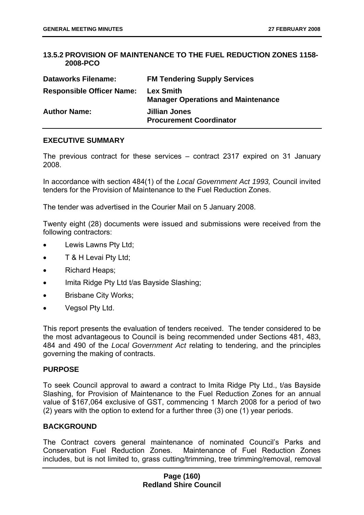## **13.5.2 PROVISION OF MAINTENANCE TO THE FUEL REDUCTION ZONES 1158- 2008-PCO**

| <b>Dataworks Filename:</b>       | <b>FM Tendering Supply Services</b>                           |
|----------------------------------|---------------------------------------------------------------|
| <b>Responsible Officer Name:</b> | <b>Lex Smith</b><br><b>Manager Operations and Maintenance</b> |
| <b>Author Name:</b>              | Jillian Jones<br><b>Procurement Coordinator</b>               |

### **EXECUTIVE SUMMARY**

The previous contract for these services – contract 2317 expired on 31 January 2008.

In accordance with section 484(1) of the *Local Government Act 1993,* Council invited tenders for the Provision of Maintenance to the Fuel Reduction Zones.

The tender was advertised in the Courier Mail on 5 January 2008.

Twenty eight (28) documents were issued and submissions were received from the following contractors:

- Lewis Lawns Pty Ltd;
- T & H Levai Pty Ltd;
- Richard Heaps;
- Imita Ridge Pty Ltd t/as Bayside Slashing;
- Brisbane City Works;
- Vegsol Pty Ltd.

This report presents the evaluation of tenders received. The tender considered to be the most advantageous to Council is being recommended under Sections 481, 483, 484 and 490 of the *Local Government Act* relating to tendering, and the principles governing the making of contracts.

### **PURPOSE**

To seek Council approval to award a contract to Imita Ridge Pty Ltd., t/as Bayside Slashing, for Provision of Maintenance to the Fuel Reduction Zones for an annual value of \$167,064 exclusive of GST, commencing 1 March 2008 for a period of two (2) years with the option to extend for a further three (3) one (1) year periods.

### **BACKGROUND**

The Contract covers general maintenance of nominated Council's Parks and Conservation Fuel Reduction Zones. Maintenance of Fuel Reduction Zones includes, but is not limited to, grass cutting/trimming, tree trimming/removal, removal

## **Page (160) Redland Shire Council**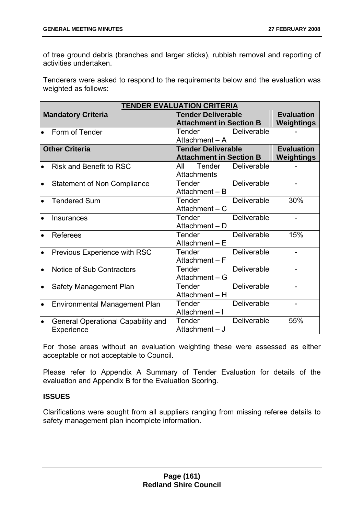of tree ground debris (branches and larger sticks), rubbish removal and reporting of activities undertaken.

Tenderers were asked to respond to the requirements below and the evaluation was weighted as follows:

| <b>TENDER EVALUATION CRITERIA</b> |                                                        |               |                                |                    |                          |
|-----------------------------------|--------------------------------------------------------|---------------|--------------------------------|--------------------|--------------------------|
|                                   | <b>Mandatory Criteria</b><br><b>Tender Deliverable</b> |               | <b>Evaluation</b>              |                    |                          |
|                                   |                                                        |               | <b>Attachment in Section B</b> |                    | Weightings               |
| $\bullet$                         | Form of Tender                                         | Tender        |                                | Deliverable        |                          |
|                                   |                                                        |               | Attachment - A                 |                    |                          |
|                                   | <b>Other Criteria</b>                                  |               | <b>Tender Deliverable</b>      |                    | <b>Evaluation</b>        |
|                                   |                                                        |               | <b>Attachment in Section B</b> |                    | Weightings               |
| $\bullet$                         | <b>Risk and Benefit to RSC</b>                         | All           | Tender                         | Deliverable        |                          |
|                                   |                                                        |               | Attachments                    |                    |                          |
| $\bullet$                         | <b>Statement of Non Compliance</b>                     | <b>Tender</b> |                                | Deliverable        |                          |
|                                   |                                                        |               | Attachment - B                 |                    |                          |
| $\bullet$                         | <b>Tendered Sum</b>                                    | Tender        |                                | Deliverable        | 30%                      |
|                                   |                                                        |               | Attachment $- C$               |                    |                          |
| $\bullet$                         | Insurances                                             | Tender        |                                | Deliverable        | $\overline{a}$           |
|                                   |                                                        |               | Attachment - D                 |                    |                          |
| $\bullet$                         | <b>Referees</b>                                        | Tender        |                                | Deliverable        | 15%                      |
|                                   |                                                        |               | Attachment - E                 |                    |                          |
| $\bullet$                         | Previous Experience with RSC                           | <b>Tender</b> |                                | Deliverable        | $\overline{\phantom{0}}$ |
|                                   |                                                        |               | Attachment - F                 |                    |                          |
| $\bullet$                         | Notice of Sub Contractors                              | Tender        |                                | Deliverable        |                          |
|                                   |                                                        |               | Attachment - G                 |                    |                          |
| $\bullet$                         | Safety Management Plan                                 | <b>Tender</b> |                                | Deliverable        | $\overline{\phantom{0}}$ |
|                                   |                                                        |               | Attachment - H                 |                    |                          |
| $\bullet$                         | <b>Environmental Management Plan</b>                   | Tender        |                                | Deliverable        |                          |
|                                   |                                                        |               | Attachment-I                   |                    |                          |
| $\bullet$                         | <b>General Operational Capability and</b>              | Tender        |                                | <b>Deliverable</b> | 55%                      |
|                                   | Experience                                             |               | Attachment - J                 |                    |                          |

For those areas without an evaluation weighting these were assessed as either acceptable or not acceptable to Council.

Please refer to Appendix A Summary of Tender Evaluation for details of the evaluation and Appendix B for the Evaluation Scoring.

# **ISSUES**

Clarifications were sought from all suppliers ranging from missing referee details to safety management plan incomplete information.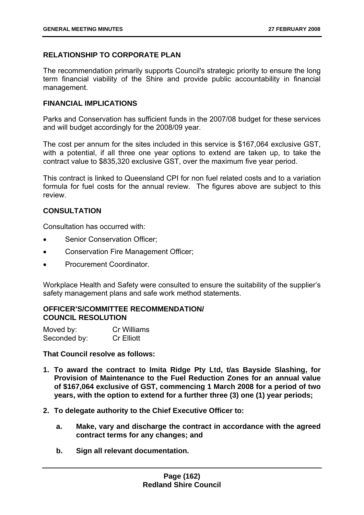# **RELATIONSHIP TO CORPORATE PLAN**

The recommendation primarily supports Council's strategic priority to ensure the long term financial viability of the Shire and provide public accountability in financial management.

# **FINANCIAL IMPLICATIONS**

Parks and Conservation has sufficient funds in the 2007/08 budget for these services and will budget accordingly for the 2008/09 year.

The cost per annum for the sites included in this service is \$167,064 exclusive GST, with a potential, if all three one year options to extend are taken up, to take the contract value to \$835,320 exclusive GST, over the maximum five year period.

This contract is linked to Queensland CPI for non fuel related costs and to a variation formula for fuel costs for the annual review. The figures above are subject to this review.

# **CONSULTATION**

Consultation has occurred with:

- Senior Conservation Officer:
- Conservation Fire Management Officer;
- Procurement Coordinator.

Workplace Health and Safety were consulted to ensure the suitability of the supplier's safety management plans and safe work method statements.

## **OFFICER'S/COMMITTEE RECOMMENDATION/ COUNCIL RESOLUTION**

| Moved by:    | Cr Williams       |
|--------------|-------------------|
| Seconded by: | <b>Cr Elliott</b> |

**That Council resolve as follows:** 

- **1. To award the contract to Imita Ridge Pty Ltd, t/as Bayside Slashing, for Provision of Maintenance to the Fuel Reduction Zones for an annual value of \$167,064 exclusive of GST, commencing 1 March 2008 for a period of two years, with the option to extend for a further three (3) one (1) year periods;**
- **2. To delegate authority to the Chief Executive Officer to:** 
	- **a. Make, vary and discharge the contract in accordance with the agreed contract terms for any changes; and**
	- **b. Sign all relevant documentation.**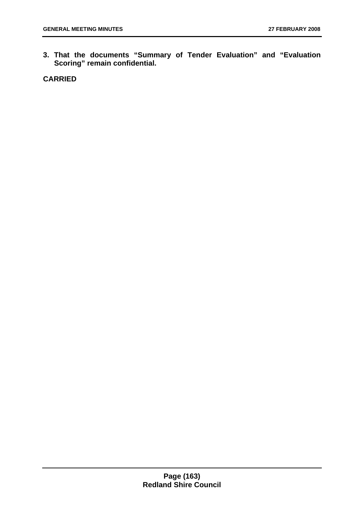**3. That the documents "Summary of Tender Evaluation" and "Evaluation Scoring" remain confidential.**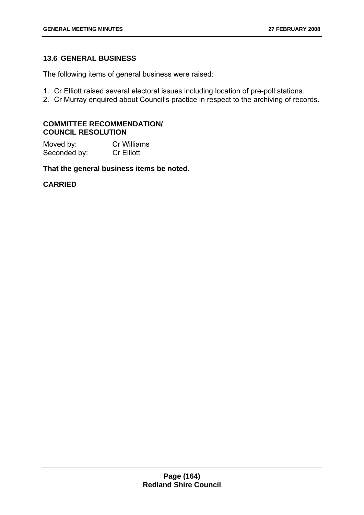# **13.6 GENERAL BUSINESS**

The following items of general business were raised:

- 1. Cr Elliott raised several electoral issues including location of pre-poll stations.
- 2. Cr Murray enquired about Council's practice in respect to the archiving of records.

## **COMMITTEE RECOMMENDATION/ COUNCIL RESOLUTION**

Moved by: Cr Williams Seconded by: Cr Elliott

**That the general business items be noted.**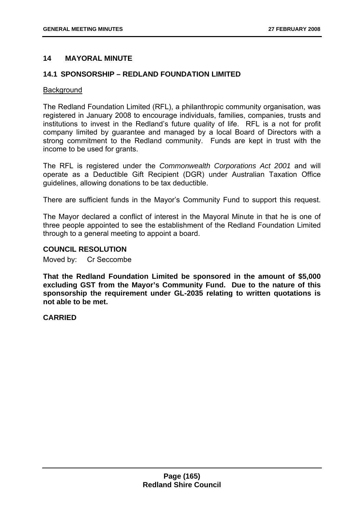## **14 MAYORAL MINUTE**

## **14.1 SPONSORSHIP – REDLAND FOUNDATION LIMITED**

### **Background**

The Redland Foundation Limited (RFL), a philanthropic community organisation, was registered in January 2008 to encourage individuals, families, companies, trusts and institutions to invest in the Redland's future quality of life. RFL is a not for profit company limited by guarantee and managed by a local Board of Directors with a strong commitment to the Redland community. Funds are kept in trust with the income to be used for grants.

The RFL is registered under the *Commonwealth Corporations Act 2001* and will operate as a Deductible Gift Recipient (DGR) under Australian Taxation Office guidelines, allowing donations to be tax deductible.

There are sufficient funds in the Mayor's Community Fund to support this request.

The Mayor declared a conflict of interest in the Mayoral Minute in that he is one of three people appointed to see the establishment of the Redland Foundation Limited through to a general meeting to appoint a board.

### **COUNCIL RESOLUTION**

Moved by: Cr Seccombe

**That the Redland Foundation Limited be sponsored in the amount of \$5,000 excluding GST from the Mayor's Community Fund. Due to the nature of this sponsorship the requirement under GL-2035 relating to written quotations is not able to be met.**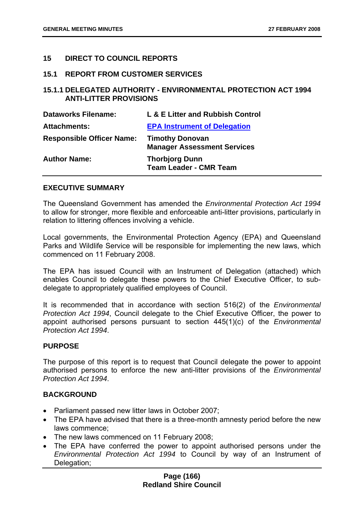## **15 DIRECT TO COUNCIL REPORTS**

### **15.1 REPORT FROM CUSTOMER SERVICES**

# **15.1.1 DELEGATED AUTHORITY - ENVIRONMENTAL PROTECTION ACT 1994 ANTI-LITTER PROVISIONS**

| <b>Dataworks Filename:</b>       | L & E Litter and Rubbish Control                             |
|----------------------------------|--------------------------------------------------------------|
| <b>Attachments:</b>              | <b>EPA Instrument of Delegation</b>                          |
| <b>Responsible Officer Name:</b> | <b>Timothy Donovan</b><br><b>Manager Assessment Services</b> |
| <b>Author Name:</b>              | <b>Thorbjorg Dunn</b><br><b>Team Leader - CMR Team</b>       |

## **EXECUTIVE SUMMARY**

The Queensland Government has amended the *Environmental Protection Act 1994* to allow for stronger, more flexible and enforceable anti-litter provisions, particularly in relation to littering offences involving a vehicle.

Local governments, the Environmental Protection Agency (EPA) and Queensland Parks and Wildlife Service will be responsible for implementing the new laws, which commenced on 11 February 2008.

The EPA has issued Council with an Instrument of Delegation (attached) which enables Council to delegate these powers to the Chief Executive Officer, to subdelegate to appropriately qualified employees of Council.

It is recommended that in accordance with section 516(2) of the *Environmental Protection Act 1994*, Council delegate to the Chief Executive Officer, the power to appoint authorised persons pursuant to section 445(1)(c) of the *Environmental Protection Act 1994*.

### **PURPOSE**

The purpose of this report is to request that Council delegate the power to appoint authorised persons to enforce the new anti-litter provisions of the *Environmental Protection Act 1994*.

## **BACKGROUND**

- Parliament passed new litter laws in October 2007;
- The EPA have advised that there is a three-month amnesty period before the new laws commence;
- The new laws commenced on 11 February 2008;
- The EPA have conferred the power to appoint authorised persons under the *Environmental Protection Act 1994* to Council by way of an Instrument of Delegation;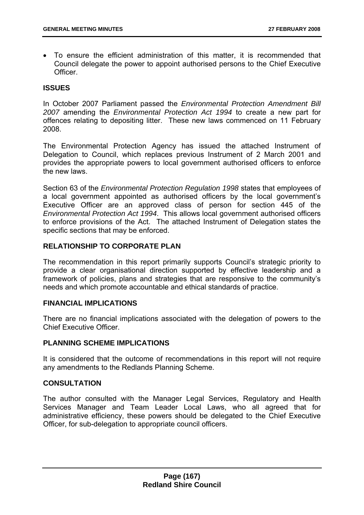• To ensure the efficient administration of this matter, it is recommended that Council delegate the power to appoint authorised persons to the Chief Executive **Officer** 

# **ISSUES**

In October 2007 Parliament passed the *Environmental Protection Amendment Bill 2007* amending the *Environmental Protection Act 1994* to create a new part for offences relating to depositing litter. These new laws commenced on 11 February 2008.

The Environmental Protection Agency has issued the attached Instrument of Delegation to Council, which replaces previous Instrument of 2 March 2001 and provides the appropriate powers to local government authorised officers to enforce the new laws.

Section 63 of the *Environmental Protection Regulation 1998* states that employees of a local government appointed as authorised officers by the local government's Executive Officer are an approved class of person for section 445 of the *Environmental Protection Act 1994*. This allows local government authorised officers to enforce provisions of the Act. The attached Instrument of Delegation states the specific sections that may be enforced.

# **RELATIONSHIP TO CORPORATE PLAN**

The recommendation in this report primarily supports Council's strategic priority to provide a clear organisational direction supported by effective leadership and a framework of policies, plans and strategies that are responsive to the community's needs and which promote accountable and ethical standards of practice.

### **FINANCIAL IMPLICATIONS**

There are no financial implications associated with the delegation of powers to the Chief Executive Officer.

### **PLANNING SCHEME IMPLICATIONS**

It is considered that the outcome of recommendations in this report will not require any amendments to the Redlands Planning Scheme.

### **CONSULTATION**

The author consulted with the Manager Legal Services, Regulatory and Health Services Manager and Team Leader Local Laws, who all agreed that for administrative efficiency, these powers should be delegated to the Chief Executive Officer, for sub-delegation to appropriate council officers.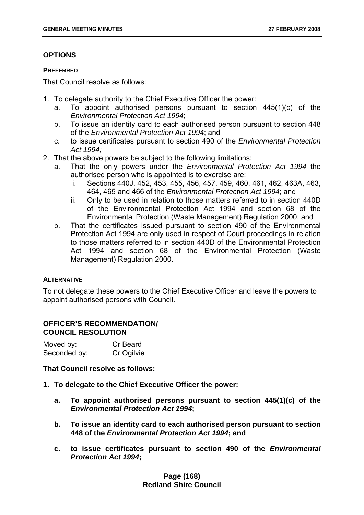# **OPTIONS**

### **PREFERRED**

That Council resolve as follows:

- 1. To delegate authority to the Chief Executive Officer the power:
	- a. To appoint authorised persons pursuant to section 445(1)(c) of the *Environmental Protection Act 1994*;
	- b. To issue an identity card to each authorised person pursuant to section 448 of the *Environmental Protection Act 1994*; and
	- c. to issue certificates pursuant to section 490 of the *Environmental Protection Act 1994;*
- 2. That the above powers be subject to the following limitations:
	- a. That the only powers under the *Environmental Protection Act 1994* the authorised person who is appointed is to exercise are:
		- i. Sections 440J, 452, 453, 455, 456, 457, 459, 460, 461, 462, 463A, 463, 464, 465 and 466 of the *Environmental Protection Act 1994*; and
		- ii. Only to be used in relation to those matters referred to in section 440D of the Environmental Protection Act 1994 and section 68 of the Environmental Protection (Waste Management) Regulation 2000; and
	- b. That the certificates issued pursuant to section 490 of the Environmental Protection Act 1994 are only used in respect of Court proceedings in relation to those matters referred to in section 440D of the Environmental Protection Act 1994 and section 68 of the Environmental Protection (Waste Management) Regulation 2000.

### **ALTERNATIVE**

To not delegate these powers to the Chief Executive Officer and leave the powers to appoint authorised persons with Council.

### **OFFICER'S RECOMMENDATION/ COUNCIL RESOLUTION**

| Moved by:    | Cr Beard   |
|--------------|------------|
| Seconded by: | Cr Ogilvie |

**That Council resolve as follows:** 

- **1. To delegate to the Chief Executive Officer the power:** 
	- **a. To appoint authorised persons pursuant to section 445(1)(c) of the**  *Environmental Protection Act 1994***;**
	- **b. To issue an identity card to each authorised person pursuant to section 448 of the** *Environmental Protection Act 1994***; and**
	- **c. to issue certificates pursuant to section 490 of the** *Environmental Protection Act 1994***;**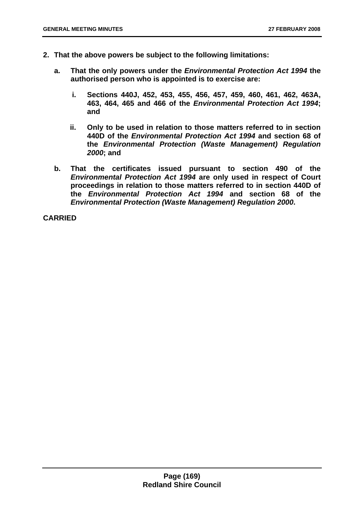- **2. That the above powers be subject to the following limitations:** 
	- **a. That the only powers under the** *Environmental Protection Act 1994* **the authorised person who is appointed is to exercise are:** 
		- **i. Sections 440J, 452, 453, 455, 456, 457, 459, 460, 461, 462, 463A, 463, 464, 465 and 466 of the** *Environmental Protection Act 1994***; and**
		- **ii. Only to be used in relation to those matters referred to in section 440D of the** *Environmental Protection Act 1994* **and section 68 of the** *Environmental Protection (Waste Management) Regulation 2000***; and**
	- **b. That the certificates issued pursuant to section 490 of the**  *Environmental Protection Act 1994* **are only used in respect of Court proceedings in relation to those matters referred to in section 440D of the** *Environmental Protection Act 1994* **and section 68 of the**  *Environmental Protection (Waste Management) Regulation 2000***.**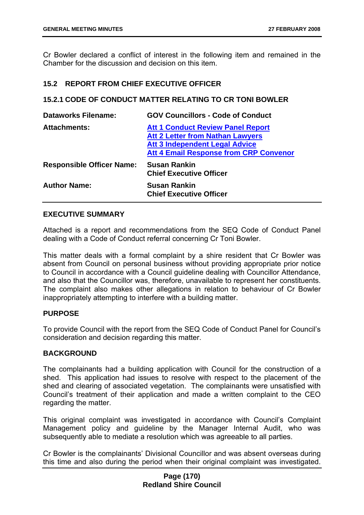Cr Bowler declared a conflict of interest in the following item and remained in the Chamber for the discussion and decision on this item.

## **15.2 REPORT FROM CHIEF EXECUTIVE OFFICER**

### **15.2.1 CODE OF CONDUCT MATTER RELATING TO CR TONI BOWLER**

| <b>Dataworks Filename:</b>       | <b>GOV Councillors - Code of Conduct</b>                                                                                                                                      |
|----------------------------------|-------------------------------------------------------------------------------------------------------------------------------------------------------------------------------|
| <b>Attachments:</b>              | <b>Att 1 Conduct Review Panel Report</b><br><b>Att 2 Letter from Nathan Lawyers</b><br><b>Att 3 Independent Legal Advice</b><br><b>Att 4 Email Response from CRP Convenor</b> |
| <b>Responsible Officer Name:</b> | <b>Susan Rankin</b><br><b>Chief Executive Officer</b>                                                                                                                         |
| <b>Author Name:</b>              | <b>Susan Rankin</b><br><b>Chief Executive Officer</b>                                                                                                                         |

## **EXECUTIVE SUMMARY**

Attached is a report and recommendations from the SEQ Code of Conduct Panel dealing with a Code of Conduct referral concerning Cr Toni Bowler.

This matter deals with a formal complaint by a shire resident that Cr Bowler was absent from Council on personal business without providing appropriate prior notice to Council in accordance with a Council guideline dealing with Councillor Attendance, and also that the Councillor was, therefore, unavailable to represent her constituents. The complaint also makes other allegations in relation to behaviour of Cr Bowler inappropriately attempting to interfere with a building matter.

### **PURPOSE**

To provide Council with the report from the SEQ Code of Conduct Panel for Council's consideration and decision regarding this matter.

### **BACKGROUND**

The complainants had a building application with Council for the construction of a shed. This application had issues to resolve with respect to the placement of the shed and clearing of associated vegetation. The complainants were unsatisfied with Council's treatment of their application and made a written complaint to the CEO regarding the matter.

This original complaint was investigated in accordance with Council's Complaint Management policy and guideline by the Manager Internal Audit, who was subsequently able to mediate a resolution which was agreeable to all parties.

Cr Bowler is the complainants' Divisional Councillor and was absent overseas during this time and also during the period when their original complaint was investigated.

## **Page (170) Redland Shire Council**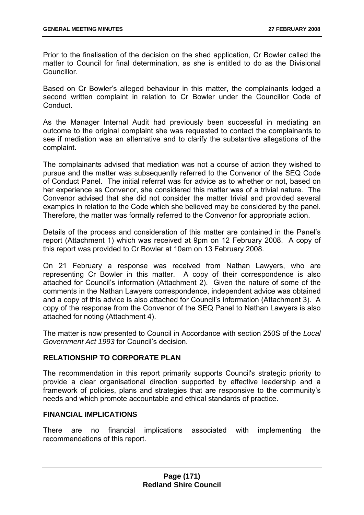Prior to the finalisation of the decision on the shed application, Cr Bowler called the matter to Council for final determination, as she is entitled to do as the Divisional **Councillor** 

Based on Cr Bowler's alleged behaviour in this matter, the complainants lodged a second written complaint in relation to Cr Bowler under the Councillor Code of Conduct.

As the Manager Internal Audit had previously been successful in mediating an outcome to the original complaint she was requested to contact the complainants to see if mediation was an alternative and to clarify the substantive allegations of the complaint.

The complainants advised that mediation was not a course of action they wished to pursue and the matter was subsequently referred to the Convenor of the SEQ Code of Conduct Panel. The initial referral was for advice as to whether or not, based on her experience as Convenor, she considered this matter was of a trivial nature. The Convenor advised that she did not consider the matter trivial and provided several examples in relation to the Code which she believed may be considered by the panel. Therefore, the matter was formally referred to the Convenor for appropriate action.

Details of the process and consideration of this matter are contained in the Panel's report (Attachment 1) which was received at 9pm on 12 February 2008. A copy of this report was provided to Cr Bowler at 10am on 13 February 2008.

On 21 February a response was received from Nathan Lawyers, who are representing Cr Bowler in this matter. A copy of their correspondence is also attached for Council's information (Attachment 2). Given the nature of some of the comments in the Nathan Lawyers correspondence, independent advice was obtained and a copy of this advice is also attached for Council's information (Attachment 3). A copy of the response from the Convenor of the SEQ Panel to Nathan Lawyers is also attached for noting (Attachment 4).

The matter is now presented to Council in Accordance with section 250S of the *Local Government Act 1993* for Council's decision.

# **RELATIONSHIP TO CORPORATE PLAN**

The recommendation in this report primarily supports Council's strategic priority to provide a clear organisational direction supported by effective leadership and a framework of policies, plans and strategies that are responsive to the community's needs and which promote accountable and ethical standards of practice.

# **FINANCIAL IMPLICATIONS**

There are no financial implications associated with implementing the recommendations of this report.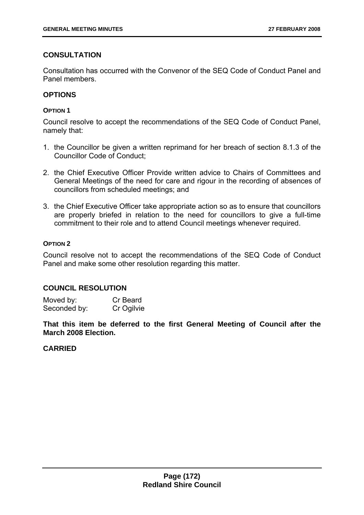# **CONSULTATION**

Consultation has occurred with the Convenor of the SEQ Code of Conduct Panel and Panel members.

# **OPTIONS**

## **OPTION 1**

Council resolve to accept the recommendations of the SEQ Code of Conduct Panel, namely that:

- 1. the Councillor be given a written reprimand for her breach of section 8.1.3 of the Councillor Code of Conduct;
- 2. the Chief Executive Officer Provide written advice to Chairs of Committees and General Meetings of the need for care and rigour in the recording of absences of councillors from scheduled meetings; and
- 3. the Chief Executive Officer take appropriate action so as to ensure that councillors are properly briefed in relation to the need for councillors to give a full-time commitment to their role and to attend Council meetings whenever required.

# **OPTION 2**

Council resolve not to accept the recommendations of the SEQ Code of Conduct Panel and make some other resolution regarding this matter.

# **COUNCIL RESOLUTION**

Moved by: Cr Beard Seconded by: Cr Ogilvie

**That this item be deferred to the first General Meeting of Council after the March 2008 Election.**